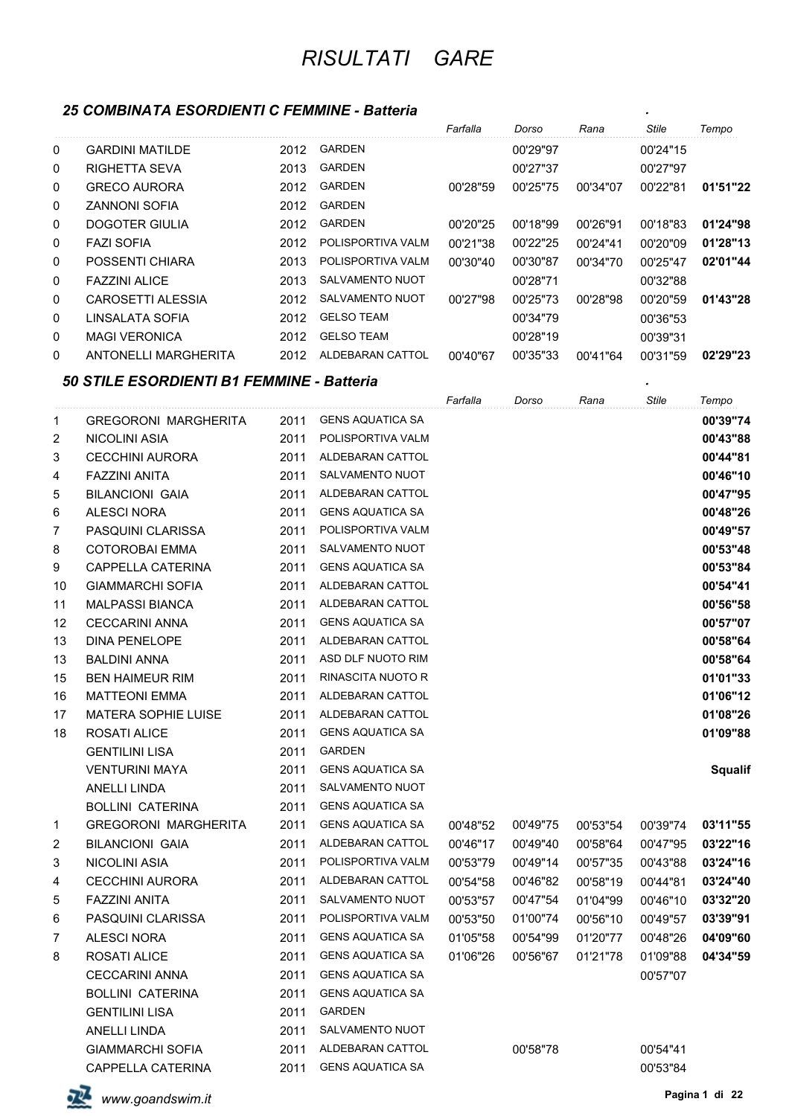### *25 COMBINATA ESORDIENTI C FEMMINE - Batteria .*

|              |                      |      |                   | Farfalla | Dorso    | Rana     | <b>Stile</b> | Tempo    |
|--------------|----------------------|------|-------------------|----------|----------|----------|--------------|----------|
| $\mathbf 0$  | GARDINI MATII DF     | 2012 | <b>GARDEN</b>     |          | 00'29"97 |          | 00'24"15     |          |
| $\mathbf 0$  | <b>RIGHETTA SEVA</b> | 2013 | <b>GARDEN</b>     |          | 00'27"37 |          | 00'27"97     |          |
| $\mathbf 0$  | <b>GRECO AURORA</b>  | 2012 | <b>GARDEN</b>     | 00'28"59 | 00'25"75 | 00'34"07 | 00'22"81     | 01'51"22 |
| 0            | <b>ZANNONI SOFIA</b> | 2012 | <b>GARDEN</b>     |          |          |          |              |          |
| 0            | DOGOTER GIULIA       | 2012 | <b>GARDEN</b>     | 00'20"25 | 00'18"99 | 00'26"91 | 00'18"83     | 01'24"98 |
| 0            | <b>FAZI SOFIA</b>    | 2012 | POLISPORTIVA VALM | 00'21"38 | 00'22"25 | 00'24"41 | 00'20"09     | 01'28"13 |
| 0            | POSSENTI CHIARA      | 2013 | POLISPORTIVA VALM | 00'30"40 | 00'30"87 | 00'34"70 | 00'25"47     | 02'01"44 |
| $\mathbf 0$  | <b>FAZZINI ALICE</b> | 2013 | SALVAMENTO NUOT   |          | 00'28"71 |          | 00'32"88     |          |
| 0            | CAROSETTI ALESSIA    | 2012 | SALVAMENTO NUOT   | 00'27"98 | 00'25"73 | 00'28"98 | 00'20"59     | 01'43"28 |
| 0            | LINSALATA SOFIA      | 2012 | <b>GELSO TEAM</b> |          | 00'34"79 |          | 00'36"53     |          |
| $\mathbf{0}$ | <b>MAGI VERONICA</b> | 2012 | <b>GELSO TEAM</b> |          | 00'28"19 |          | 00'39"31     |          |
| $\mathbf{0}$ | ANTONELLI MARGHERITA | 2012 | ALDEBARAN CATTOL  | 00'40"67 | 00'35"33 | 00'41"64 | 00'31"59     | 02'29"23 |

#### *50 STILE ESORDIENTI B1 FEMMINE - Batteria .*

|                |                             |      |                         | Farfalla | Dorso    | Rana     | <b>Stile</b> | Tempo          |
|----------------|-----------------------------|------|-------------------------|----------|----------|----------|--------------|----------------|
| $\mathbf{1}$   | <b>GREGORONI MARGHERITA</b> | 2011 | <b>GENS AQUATICA SA</b> |          |          |          |              | 00'39"74       |
| $\overline{2}$ | NICOLINI ASIA               | 2011 | POLISPORTIVA VALM       |          |          |          |              | 00'43"88       |
| 3              | <b>CECCHINI AURORA</b>      | 2011 | ALDEBARAN CATTOL        |          |          |          |              | 00'44"81       |
| 4              | <b>FAZZINI ANITA</b>        | 2011 | SALVAMENTO NUOT         |          |          |          |              | 00'46"10       |
| 5              | <b>BILANCIONI GAIA</b>      | 2011 | ALDEBARAN CATTOL        |          |          |          |              | 00'47"95       |
| 6              | <b>ALESCI NORA</b>          | 2011 | <b>GENS AQUATICA SA</b> |          |          |          |              | 00'48"26       |
| $\overline{7}$ | PASQUINI CLARISSA           | 2011 | POLISPORTIVA VALM       |          |          |          |              | 00'49"57       |
| 8              | <b>COTOROBAI EMMA</b>       | 2011 | SALVAMENTO NUOT         |          |          |          |              | 00'53"48       |
| 9              | CAPPELLA CATERINA           | 2011 | <b>GENS AQUATICA SA</b> |          |          |          |              | 00'53"84       |
| 10             | <b>GIAMMARCHI SOFIA</b>     | 2011 | ALDEBARAN CATTOL        |          |          |          |              | 00'54"41       |
| 11             | <b>MALPASSI BIANCA</b>      | 2011 | ALDEBARAN CATTOL        |          |          |          |              | 00'56"58       |
| 12             | <b>CECCARINI ANNA</b>       | 2011 | <b>GENS AQUATICA SA</b> |          |          |          |              | 00'57"07       |
| 13             | <b>DINA PENELOPE</b>        | 2011 | ALDEBARAN CATTOL        |          |          |          |              | 00'58"64       |
| 13             | <b>BALDINI ANNA</b>         | 2011 | ASD DLF NUOTO RIM       |          |          |          |              | 00'58"64       |
| 15             | <b>BEN HAIMEUR RIM</b>      | 2011 | RINASCITA NUOTO R       |          |          |          |              | 01'01"33       |
| 16             | <b>MATTEONI EMMA</b>        | 2011 | ALDEBARAN CATTOL        |          |          |          |              | 01'06"12       |
| 17             | <b>MATERA SOPHIE LUISE</b>  | 2011 | ALDEBARAN CATTOL        |          |          |          |              | 01'08"26       |
| 18             | <b>ROSATI ALICE</b>         | 2011 | <b>GENS AQUATICA SA</b> |          |          |          |              | 01'09"88       |
|                | <b>GENTILINI LISA</b>       | 2011 | <b>GARDEN</b>           |          |          |          |              |                |
|                | <b>VENTURINI MAYA</b>       | 2011 | <b>GENS AQUATICA SA</b> |          |          |          |              | <b>Squalif</b> |
|                | <b>ANELLI LINDA</b>         | 2011 | SALVAMENTO NUOT         |          |          |          |              |                |
|                | <b>BOLLINI CATERINA</b>     | 2011 | <b>GENS AQUATICA SA</b> |          |          |          |              |                |
| $\mathbf 1$    | <b>GREGORONI MARGHERITA</b> | 2011 | <b>GENS AQUATICA SA</b> | 00'48"52 | 00'49"75 | 00'53"54 | 00'39"74     | 03'11"55       |
| $\overline{c}$ | <b>BILANCIONI GAIA</b>      | 2011 | ALDEBARAN CATTOL        | 00'46"17 | 00'49"40 | 00'58"64 | 00'47"95     | 03'22"16       |
| 3              | <b>NICOLINI ASIA</b>        | 2011 | POLISPORTIVA VALM       | 00'53"79 | 00'49"14 | 00'57"35 | 00'43"88     | 03'24"16       |
| 4              | <b>CECCHINI AURORA</b>      | 2011 | ALDEBARAN CATTOL        | 00'54"58 | 00'46"82 | 00'58"19 | 00'44"81     | 03'24"40       |
| 5              | <b>FAZZINI ANITA</b>        | 2011 | SALVAMENTO NUOT         | 00'53"57 | 00'47"54 | 01'04"99 | 00'46"10     | 03'32"20       |
| 6              | PASQUINI CLARISSA           | 2011 | POLISPORTIVA VALM       | 00'53"50 | 01'00"74 | 00'56"10 | 00'49"57     | 03'39"91       |
| 7              | <b>ALESCI NORA</b>          | 2011 | <b>GENS AQUATICA SA</b> | 01'05"58 | 00'54"99 | 01'20"77 | 00'48"26     | 04'09"60       |
| 8              | <b>ROSATI ALICE</b>         | 2011 | <b>GENS AQUATICA SA</b> | 01'06"26 | 00'56"67 | 01'21"78 | 01'09"88     | 04'34"59       |
|                | <b>CECCARINI ANNA</b>       | 2011 | <b>GENS AQUATICA SA</b> |          |          |          | 00'57"07     |                |
|                | <b>BOLLINI CATERINA</b>     | 2011 | <b>GENS AQUATICA SA</b> |          |          |          |              |                |
|                | <b>GENTILINI LISA</b>       | 2011 | <b>GARDEN</b>           |          |          |          |              |                |
|                | ANELLI LINDA                | 2011 | SALVAMENTO NUOT         |          |          |          |              |                |
|                | <b>GIAMMARCHI SOFIA</b>     | 2011 | ALDEBARAN CATTOL        |          | 00'58"78 |          | 00'54"41     |                |
|                | <b>CAPPELLA CATERINA</b>    | 2011 | <b>GENS AQUATICA SA</b> |          |          |          | 00'53"84     |                |

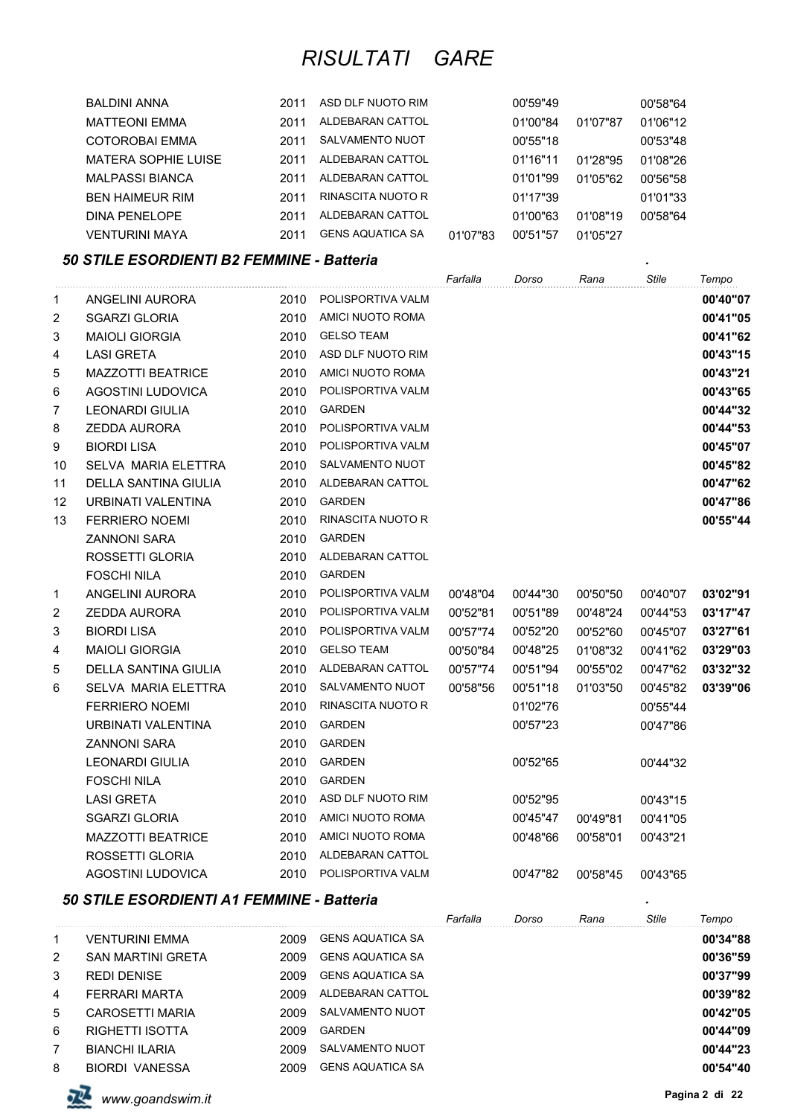| BALDINI ANNA               | 2011 | ASD DLF NUOTO RIM       |          | 00'59"49 |          | 00'58"64 |
|----------------------------|------|-------------------------|----------|----------|----------|----------|
| <b>MATTEONI EMMA</b>       | 2011 | ALDEBARAN CATTOL        |          | 01'00"84 | 01'07"87 | 01'06"12 |
| COTOROBAI EMMA             | 2011 | <b>SALVAMENTO NUOT</b>  |          | 00'55"18 |          | 00'53"48 |
| <b>MATERA SOPHIE LUISE</b> | 2011 | ALDEBARAN CATTOL        |          | 01'16"11 | 01'28"95 | 01'08"26 |
| <b>MALPASSI BIANCA</b>     | 2011 | ALDEBARAN CATTOL        |          | 01'01"99 | 01'05"62 | 00'56"58 |
| <b>BEN HAIMEUR RIM</b>     | 2011 | RINASCITA NUOTO R       |          | 01'17"39 |          | 01'01"33 |
| DINA PENELOPE              | 2011 | ALDEBARAN CATTOL        |          | 01'00"63 | 01'08"19 | 00'58"64 |
| <b>VENTURINI MAYA</b>      | 2011 | <b>GENS AQUATICA SA</b> | 01'07"83 | 00'51"57 | 01'05"27 |          |

#### *50 STILE ESORDIENTI B2 FEMMINE - Batteria .*

|                |                             |      |                          | Farfalla | Dorso    | Rana     | Stile    | Tempo    |
|----------------|-----------------------------|------|--------------------------|----------|----------|----------|----------|----------|
| 1              | ANGELINI AURORA             | 2010 | POLISPORTIVA VALM        |          |          |          |          | 00'40"07 |
| $\overline{2}$ | SGARZI GLORIA               | 2010 | AMICI NUOTO ROMA         |          |          |          |          | 00'41"05 |
| 3              | <b>MAIOLI GIORGIA</b>       | 2010 | <b>GELSO TEAM</b>        |          |          |          |          | 00'41"62 |
| 4              | <b>LASI GRETA</b>           | 2010 | ASD DLF NUOTO RIM        |          |          |          |          | 00'43"15 |
| 5              | <b>MAZZOTTI BEATRICE</b>    | 2010 | AMICI NUOTO ROMA         |          |          |          |          | 00'43"21 |
| 6              | AGOSTINI LUDOVICA           | 2010 | POLISPORTIVA VALM        |          |          |          |          | 00'43"65 |
| $\overline{7}$ | <b>LEONARDI GIULIA</b>      | 2010 | <b>GARDEN</b>            |          |          |          |          | 00'44"32 |
| 8              | <b>ZEDDA AURORA</b>         | 2010 | POLISPORTIVA VALM        |          |          |          |          | 00'44"53 |
| 9              | <b>BIORDI LISA</b>          | 2010 | POLISPORTIVA VALM        |          |          |          |          | 00'45"07 |
| 10             | <b>SELVA MARIA ELETTRA</b>  | 2010 | <b>SALVAMENTO NUOT</b>   |          |          |          |          | 00'45"82 |
| 11             | <b>DELLA SANTINA GIULIA</b> | 2010 | ALDEBARAN CATTOL         |          |          |          |          | 00'47"62 |
| 12             | URBINATI VALENTINA          | 2010 | <b>GARDEN</b>            |          |          |          |          | 00'47"86 |
| 13             | <b>FERRIERO NOEMI</b>       | 2010 | RINASCITA NUOTO R        |          |          |          |          | 00'55"44 |
|                | <b>ZANNONI SARA</b>         | 2010 | <b>GARDEN</b>            |          |          |          |          |          |
|                | ROSSETTI GLORIA             | 2010 | ALDEBARAN CATTOL         |          |          |          |          |          |
|                | <b>FOSCHI NILA</b>          | 2010 | <b>GARDEN</b>            |          |          |          |          |          |
| 1              | ANGELINI AURORA             | 2010 | POLISPORTIVA VALM        | 00'48"04 | 00'44"30 | 00'50"50 | 00'40"07 | 03'02"91 |
| $\overline{c}$ | <b>ZEDDA AURORA</b>         | 2010 | POLISPORTIVA VALM        | 00'52"81 | 00'51"89 | 00'48"24 | 00'44"53 | 03'17"47 |
| 3              | <b>BIORDI LISA</b>          | 2010 | POLISPORTIVA VALM        | 00'57"74 | 00'52"20 | 00'52"60 | 00'45"07 | 03'27"61 |
| 4              | <b>MAIOLI GIORGIA</b>       | 2010 | <b>GELSO TEAM</b>        | 00'50"84 | 00'48"25 | 01'08"32 | 00'41"62 | 03'29"03 |
| 5              | DELLA SANTINA GIULIA        | 2010 | ALDEBARAN CATTOL         | 00'57"74 | 00'51"94 | 00'55"02 | 00'47"62 | 03'32"32 |
| 6              | SELVA MARIA ELETTRA         | 2010 | SALVAMENTO NUOT          | 00'58"56 | 00'51"18 | 01'03"50 | 00'45"82 | 03'39"06 |
|                | <b>FERRIERO NOEMI</b>       | 2010 | <b>RINASCITA NUOTO R</b> |          | 01'02"76 |          | 00'55"44 |          |
|                | URBINATI VALENTINA          | 2010 | <b>GARDEN</b>            |          | 00'57"23 |          | 00'47"86 |          |
|                | <b>ZANNONI SARA</b>         | 2010 | <b>GARDEN</b>            |          |          |          |          |          |
|                | <b>LEONARDI GIULIA</b>      | 2010 | GARDEN                   |          | 00'52"65 |          | 00'44"32 |          |
|                | <b>FOSCHI NILA</b>          | 2010 | <b>GARDEN</b>            |          |          |          |          |          |
|                | <b>LASI GRETA</b>           | 2010 | ASD DLF NUOTO RIM        |          | 00'52"95 |          | 00'43"15 |          |
|                | <b>SGARZI GLORIA</b>        | 2010 | AMICI NUOTO ROMA         |          | 00'45"47 | 00'49"81 | 00'41"05 |          |
|                | <b>MAZZOTTI BEATRICE</b>    | 2010 | AMICI NUOTO ROMA         |          | 00'48"66 | 00'58"01 | 00'43"21 |          |
|                | ROSSETTI GLORIA             | 2010 | ALDEBARAN CATTOL         |          |          |          |          |          |
|                | AGOSTINI LUDOVICA           | 2010 | POLISPORTIVA VALM        |          | 00'47"82 | 00'58"45 | 00'43"65 |          |
|                |                             |      |                          |          |          |          |          |          |

### *50 STILE ESORDIENTI A1 FEMMINE - Batteria .*

|                |                          |      |                         | Farfalla | Dorso | Rana | Stile | Tempo    |
|----------------|--------------------------|------|-------------------------|----------|-------|------|-------|----------|
| 1              | <b>VENTURINI EMMA</b>    | 2009 | <b>GENS AQUATICA SA</b> |          |       |      |       | 00'34"88 |
| $\overline{2}$ | <b>SAN MARTINI GRETA</b> | 2009 | <b>GENS AQUATICA SA</b> |          |       |      |       | 00'36"59 |
| 3              | <b>REDI DENISE</b>       | 2009 | <b>GENS AQUATICA SA</b> |          |       |      |       | 00'37"99 |
| 4              | FERRARI MARTA            | 2009 | ALDEBARAN CATTOL        |          |       |      |       | 00'39"82 |
| 5              | CAROSETTI MARIA          | 2009 | SALVAMENTO NUOT         |          |       |      |       | 00'42"05 |
| 6              | <b>RIGHETTI ISOTTA</b>   | 2009 | <b>GARDEN</b>           |          |       |      |       | 00'44"09 |
| $\overline{7}$ | <b>BIANCHI ILARIA</b>    | 2009 | SALVAMENTO NUOT         |          |       |      |       | 00'44"23 |
| 8              | BIORDI VANESSA           | 2009 | <b>GENS AQUATICA SA</b> |          |       |      |       | 00'54"40 |

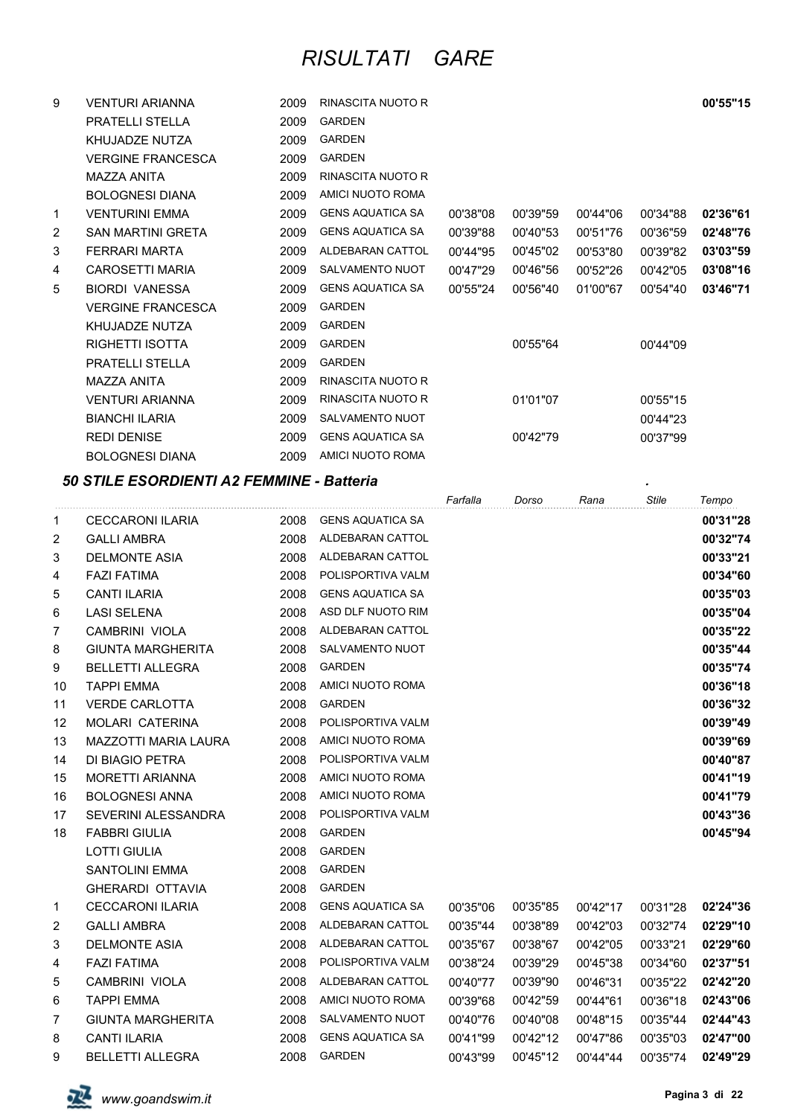| 9 | <b>VENTURI ARIANNA</b>   | 2009 | RINASCITA NUOTO R       |          |          |          |          | 00'55"15 |
|---|--------------------------|------|-------------------------|----------|----------|----------|----------|----------|
|   | <b>PRATELLI STELLA</b>   | 2009 | <b>GARDEN</b>           |          |          |          |          |          |
|   | KHUJADZE NUTZA           | 2009 | <b>GARDEN</b>           |          |          |          |          |          |
|   | <b>VERGINE FRANCESCA</b> | 2009 | <b>GARDEN</b>           |          |          |          |          |          |
|   | MAZZA ANITA              | 2009 | RINASCITA NUOTO R       |          |          |          |          |          |
|   | <b>BOLOGNESI DIANA</b>   | 2009 | AMICI NUOTO ROMA        |          |          |          |          |          |
| 1 | <b>VENTURINI EMMA</b>    | 2009 | <b>GENS AQUATICA SA</b> | 00'38"08 | 00'39"59 | 00'44"06 | 00'34"88 | 02'36"61 |
| 2 | <b>SAN MARTINI GRETA</b> | 2009 | GENS AQUATICA SA        | 00'39"88 | 00'40"53 | 00'51"76 | 00'36"59 | 02'48"76 |
| 3 | FERRARI MARTA            | 2009 | ALDEBARAN CATTOL        | 00'44"95 | 00'45"02 | 00'53"80 | 00'39"82 | 03'03"59 |
| 4 | <b>CAROSETTI MARIA</b>   | 2009 | SALVAMENTO NUOT         | 00'47"29 | 00'46"56 | 00'52"26 | 00'42"05 | 03'08"16 |
| 5 | <b>BIORDI VANESSA</b>    | 2009 | <b>GENS AQUATICA SA</b> | 00'55"24 | 00'56"40 | 01'00"67 | 00'54"40 | 03'46"71 |
|   | <b>VERGINE FRANCESCA</b> | 2009 | <b>GARDEN</b>           |          |          |          |          |          |
|   | KHUJADZE NUTZA           | 2009 | <b>GARDEN</b>           |          |          |          |          |          |
|   | RIGHETTI ISOTTA          | 2009 | <b>GARDEN</b>           |          | 00'55"64 |          | 00'44"09 |          |
|   | <b>PRATELLI STELLA</b>   | 2009 | <b>GARDEN</b>           |          |          |          |          |          |
|   | MAZZA ANITA              | 2009 | RINASCITA NUOTO R       |          |          |          |          |          |
|   | <b>VENTURI ARIANNA</b>   | 2009 | RINASCITA NUOTO R       |          | 01'01"07 |          | 00'55"15 |          |
|   | <b>BIANCHI ILARIA</b>    | 2009 | <b>SALVAMENTO NUOT</b>  |          |          |          | 00'44"23 |          |
|   | <b>REDI DENISE</b>       | 2009 | <b>GENS AQUATICA SA</b> |          | 00'42"79 |          | 00'37"99 |          |
|   | <b>BOLOGNESI DIANA</b>   | 2009 | AMICI NUOTO ROMA        |          |          |          |          |          |

#### *50 STILE ESORDIENTI A2 FEMMINE - Batteria .*

|                |                          |      |                         | Farfalla | Dorso    | Rana     | <b>Stile</b> | Tempo    |
|----------------|--------------------------|------|-------------------------|----------|----------|----------|--------------|----------|
| 1              | <b>CECCARONI ILARIA</b>  | 2008 | <b>GENS AQUATICA SA</b> |          |          |          |              | 00'31"28 |
| 2              | <b>GALLI AMBRA</b>       | 2008 | ALDEBARAN CATTOL        |          |          |          |              | 00'32"74 |
| 3              | <b>DELMONTE ASIA</b>     | 2008 | ALDEBARAN CATTOL        |          |          |          |              | 00'33"21 |
| 4              | <b>FAZI FATIMA</b>       | 2008 | POLISPORTIVA VALM       |          |          |          |              | 00'34"60 |
| 5              | <b>CANTI ILARIA</b>      | 2008 | <b>GENS AQUATICA SA</b> |          |          |          |              | 00'35"03 |
| 6              | <b>LASI SELENA</b>       | 2008 | ASD DLF NUOTO RIM       |          |          |          |              | 00'35"04 |
| $\overline{7}$ | CAMBRINI VIOLA           | 2008 | ALDEBARAN CATTOL        |          |          |          |              | 00'35"22 |
| 8              | <b>GIUNTA MARGHERITA</b> | 2008 | SALVAMENTO NUOT         |          |          |          |              | 00'35"44 |
| 9              | <b>BELLETTI ALLEGRA</b>  | 2008 | <b>GARDEN</b>           |          |          |          |              | 00'35"74 |
| 10             | <b>TAPPI EMMA</b>        | 2008 | AMICI NUOTO ROMA        |          |          |          |              | 00'36"18 |
| 11             | <b>VERDE CARLOTTA</b>    | 2008 | <b>GARDEN</b>           |          |          |          |              | 00'36"32 |
| 12             | <b>MOLARI CATERINA</b>   | 2008 | POLISPORTIVA VALM       |          |          |          |              | 00'39"49 |
| 13             | MAZZOTTI MARIA LAURA     | 2008 | AMICI NUOTO ROMA        |          |          |          |              | 00'39"69 |
| 14             | DI BIAGIO PETRA          | 2008 | POLISPORTIVA VALM       |          |          |          |              | 00'40"87 |
| 15             | <b>MORETTI ARIANNA</b>   | 2008 | AMICI NUOTO ROMA        |          |          |          |              | 00'41"19 |
| 16             | <b>BOLOGNESI ANNA</b>    | 2008 | AMICI NUOTO ROMA        |          |          |          |              | 00'41"79 |
| 17             | SEVERINI ALESSANDRA      | 2008 | POLISPORTIVA VALM       |          |          |          |              | 00'43"36 |
| 18             | <b>FABBRI GIULIA</b>     | 2008 | <b>GARDEN</b>           |          |          |          |              | 00'45"94 |
|                | <b>LOTTI GIULIA</b>      | 2008 | <b>GARDEN</b>           |          |          |          |              |          |
|                | <b>SANTOLINI EMMA</b>    | 2008 | <b>GARDEN</b>           |          |          |          |              |          |
|                | <b>GHERARDI OTTAVIA</b>  | 2008 | <b>GARDEN</b>           |          |          |          |              |          |
| $\mathbf 1$    | <b>CECCARONI ILARIA</b>  | 2008 | <b>GENS AQUATICA SA</b> | 00'35"06 | 00'35"85 | 00'42"17 | 00'31"28     | 02'24"36 |
| $\overline{c}$ | <b>GALLI AMBRA</b>       | 2008 | ALDEBARAN CATTOL        | 00'35"44 | 00'38"89 | 00'42"03 | 00'32"74     | 02'29"10 |
| 3              | <b>DELMONTE ASIA</b>     | 2008 | ALDEBARAN CATTOL        | 00'35"67 | 00'38"67 | 00'42"05 | 00'33"21     | 02'29"60 |
| 4              | <b>FAZI FATIMA</b>       | 2008 | POLISPORTIVA VALM       | 00'38"24 | 00'39"29 | 00'45"38 | 00'34"60     | 02'37"51 |
| 5              | CAMBRINI VIOLA           | 2008 | ALDEBARAN CATTOL        | 00'40"77 | 00'39"90 | 00'46"31 | 00'35"22     | 02'42"20 |
| 6              | <b>TAPPI EMMA</b>        | 2008 | AMICI NUOTO ROMA        | 00'39"68 | 00'42"59 | 00'44"61 | 00'36"18     | 02'43"06 |
| $\overline{7}$ | <b>GIUNTA MARGHERITA</b> | 2008 | SALVAMENTO NUOT         | 00'40"76 | 00'40"08 | 00'48"15 | 00'35"44     | 02'44"43 |
| 8              | <b>CANTI ILARIA</b>      | 2008 | <b>GENS AQUATICA SA</b> | 00'41"99 | 00'42"12 | 00'47"86 | 00'35"03     | 02'47"00 |
| 9              | <b>BELLETTI ALLEGRA</b>  | 2008 | <b>GARDEN</b>           | 00'43"99 | 00'45"12 | 00'44"44 | 00'35"74     | 02'49"29 |

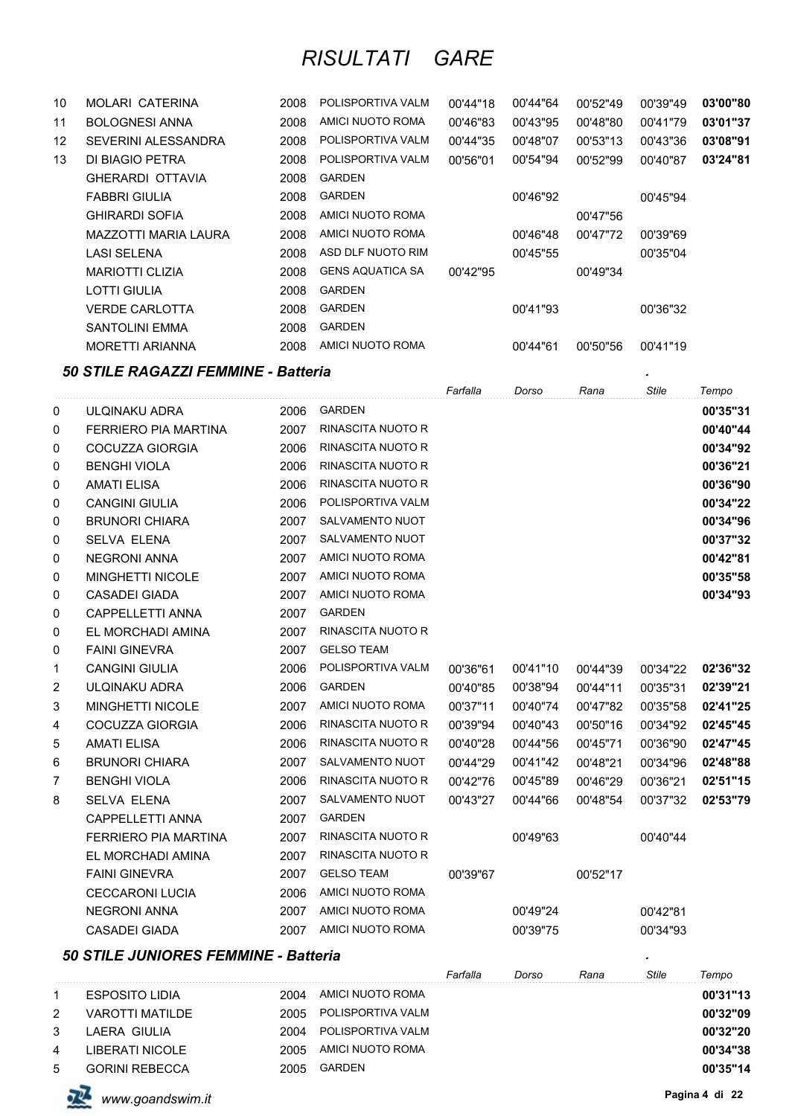| 10                | MOLARI CATERINA         | 2008 | POLISPORTIVA VALM       | 00'44"18 | 00'44"64 | 00'52"49 | 00'39"49 | 03'00"80 |
|-------------------|-------------------------|------|-------------------------|----------|----------|----------|----------|----------|
| 11                | <b>BOLOGNESI ANNA</b>   | 2008 | AMICI NUOTO ROMA        | 00'46"83 | 00'43"95 | 00'48"80 | 00'41"79 | 03'01"37 |
| $12 \overline{ }$ | SEVERINI ALESSANDRA     | 2008 | POLISPORTIVA VALM       | 00'44"35 | 00'48"07 | 00'53"13 | 00'43"36 | 03'08"91 |
| 13                | DI BIAGIO PETRA         | 2008 | POLISPORTIVA VALM       | 00'56"01 | 00'54"94 | 00'52"99 | 00'40"87 | 03'24"81 |
|                   | <b>GHERARDI OTTAVIA</b> | 2008 | <b>GARDEN</b>           |          |          |          |          |          |
|                   | FABBRI GIULIA           | 2008 | <b>GARDEN</b>           |          | 00'46"92 |          | 00'45"94 |          |
|                   | <b>GHIRARDI SOFIA</b>   | 2008 | AMICI NUOTO ROMA        |          |          | 00'47"56 |          |          |
|                   | MAZZOTTI MARIA LAURA    | 2008 | AMICI NUOTO ROMA        |          | 00'46"48 | 00'47"72 | 00'39"69 |          |
|                   | LASI SELENA             | 2008 | ASD DLF NUOTO RIM       |          | 00'45"55 |          | 00'35"04 |          |
|                   | <b>MARIOTTI CLIZIA</b>  | 2008 | <b>GENS AQUATICA SA</b> | 00'42"95 |          | 00'49"34 |          |          |
|                   | LOTTI GIULIA            | 2008 | <b>GARDEN</b>           |          |          |          |          |          |
|                   | <b>VERDE CARLOTTA</b>   | 2008 | <b>GARDEN</b>           |          | 00'41"93 |          | 00'36"32 |          |
|                   | SANTOLINI EMMA          | 2008 | <b>GARDEN</b>           |          |          |          |          |          |
|                   | <b>MORETTI ARIANNA</b>  | 2008 | AMICI NUOTO ROMA        |          | 00'44"61 | 00'50"56 | 00'41"19 |          |

### *50 STILE RAGAZZI FEMMINE - Batteria .*

| .              |                             |      |                          | Farfalla | Dorso    | Rana     | <b>Stile</b> | Tempo    |
|----------------|-----------------------------|------|--------------------------|----------|----------|----------|--------------|----------|
| 0              | ULQINAKU ADRA               | 2006 | <b>GARDEN</b>            |          |          |          |              | 00'35"31 |
| 0              | <b>FERRIERO PIA MARTINA</b> | 2007 | <b>RINASCITA NUOTO R</b> |          |          |          |              | 00'40"44 |
| 0              | COCUZZA GIORGIA             | 2006 | <b>RINASCITA NUOTO R</b> |          |          |          |              | 00'34"92 |
| 0              | <b>BENGHI VIOLA</b>         | 2006 | <b>RINASCITA NUOTO R</b> |          |          |          |              | 00'36"21 |
| 0              | <b>AMATI ELISA</b>          | 2006 | <b>RINASCITA NUOTO R</b> |          |          |          |              | 00'36"90 |
| 0              | <b>CANGINI GIULIA</b>       | 2006 | POLISPORTIVA VALM        |          |          |          |              | 00'34"22 |
| 0              | <b>BRUNORI CHIARA</b>       | 2007 | <b>SALVAMENTO NUOT</b>   |          |          |          |              | 00'34"96 |
| 0              | <b>SELVA ELENA</b>          | 2007 | <b>SALVAMENTO NUOT</b>   |          |          |          |              | 00'37"32 |
| 0              | <b>NEGRONI ANNA</b>         | 2007 | AMICI NUOTO ROMA         |          |          |          |              | 00'42"81 |
| 0              | <b>MINGHETTI NICOLE</b>     | 2007 | AMICI NUOTO ROMA         |          |          |          |              | 00'35"58 |
| 0              | <b>CASADEI GIADA</b>        | 2007 | AMICI NUOTO ROMA         |          |          |          |              | 00'34"93 |
| 0              | <b>CAPPELLETTI ANNA</b>     | 2007 | <b>GARDEN</b>            |          |          |          |              |          |
| 0              | EL MORCHADI AMINA           | 2007 | RINASCITA NUOTO R        |          |          |          |              |          |
| 0              | <b>FAINI GINEVRA</b>        | 2007 | <b>GELSO TEAM</b>        |          |          |          |              |          |
| 1              | <b>CANGINI GIULIA</b>       | 2006 | POLISPORTIVA VALM        | 00'36"61 | 00'41"10 | 00'44"39 | 00'34"22     | 02'36"32 |
| $\overline{c}$ | ULQINAKU ADRA               | 2006 | <b>GARDEN</b>            | 00'40"85 | 00'38"94 | 00'44"11 | 00'35"31     | 02'39"21 |
| 3              | <b>MINGHETTI NICOLE</b>     | 2007 | AMICI NUOTO ROMA         | 00'37"11 | 00'40"74 | 00'47"82 | 00'35"58     | 02'41"25 |
| 4              | COCUZZA GIORGIA             | 2006 | RINASCITA NUOTO R        | 00'39"94 | 00'40"43 | 00'50"16 | 00'34"92     | 02'45"45 |
| 5              | <b>AMATI ELISA</b>          | 2006 | <b>RINASCITA NUOTO R</b> | 00'40"28 | 00'44"56 | 00'45"71 | 00'36"90     | 02'47"45 |
| 6              | <b>BRUNORI CHIARA</b>       | 2007 | SALVAMENTO NUOT          | 00'44"29 | 00'41"42 | 00'48"21 | 00'34"96     | 02'48"88 |
| $\overline{7}$ | <b>BENGHI VIOLA</b>         | 2006 | <b>RINASCITA NUOTO R</b> | 00'42"76 | 00'45"89 | 00'46"29 | 00'36"21     | 02'51"15 |
| 8              | <b>SELVA ELENA</b>          | 2007 | SALVAMENTO NUOT          | 00'43"27 | 00'44"66 | 00'48"54 | 00'37"32     | 02'53"79 |
|                | <b>CAPPELLETTI ANNA</b>     | 2007 | <b>GARDEN</b>            |          |          |          |              |          |
|                | FERRIERO PIA MARTINA        | 2007 | RINASCITA NUOTO R        |          | 00'49"63 |          | 00'40"44     |          |
|                | EL MORCHADI AMINA           | 2007 | <b>RINASCITA NUOTO R</b> |          |          |          |              |          |
|                | <b>FAINI GINEVRA</b>        | 2007 | <b>GELSO TEAM</b>        | 00'39"67 |          | 00'52"17 |              |          |
|                | <b>CECCARONI LUCIA</b>      | 2006 | AMICI NUOTO ROMA         |          |          |          |              |          |
|                | <b>NEGRONI ANNA</b>         | 2007 | AMICI NUOTO ROMA         |          | 00'49"24 |          | 00'42"81     |          |
|                | <b>CASADEI GIADA</b>        | 2007 | AMICI NUOTO ROMA         |          | 00'39"75 |          | 00'34"93     |          |
|                |                             |      |                          |          |          |          |              |          |

### *50 STILE JUNIORES FEMMINE - Batteria .*

| <b>50 STILE JUNIORES FEMMINE - Batteria</b> |                        |       |                   |          |       |      |       |          |  |  |  |
|---------------------------------------------|------------------------|-------|-------------------|----------|-------|------|-------|----------|--|--|--|
|                                             |                        |       |                   | Farfalla | Dorso | Rana | Stile | Tempo    |  |  |  |
|                                             | <b>ESPOSITO LIDIA</b>  | 2004  | AMICI NUOTO ROMA  |          |       |      |       | 00'31"13 |  |  |  |
| 2                                           | <b>VAROTTI MATILDE</b> | 2005. | POLISPORTIVA VALM |          |       |      |       | 00'32"09 |  |  |  |
| 3                                           | LAERA GIULIA           | 2004  | POLISPORTIVA VALM |          |       |      |       | 00'32"20 |  |  |  |
| 4                                           | LIBERATI NICOLE        | 2005. | AMICI NUOTO ROMA  |          |       |      |       | 00'34"38 |  |  |  |
| 5                                           | <b>GORINI REBECCA</b>  | 2005  | <b>GARDEN</b>     |          |       |      |       | 00'35"14 |  |  |  |

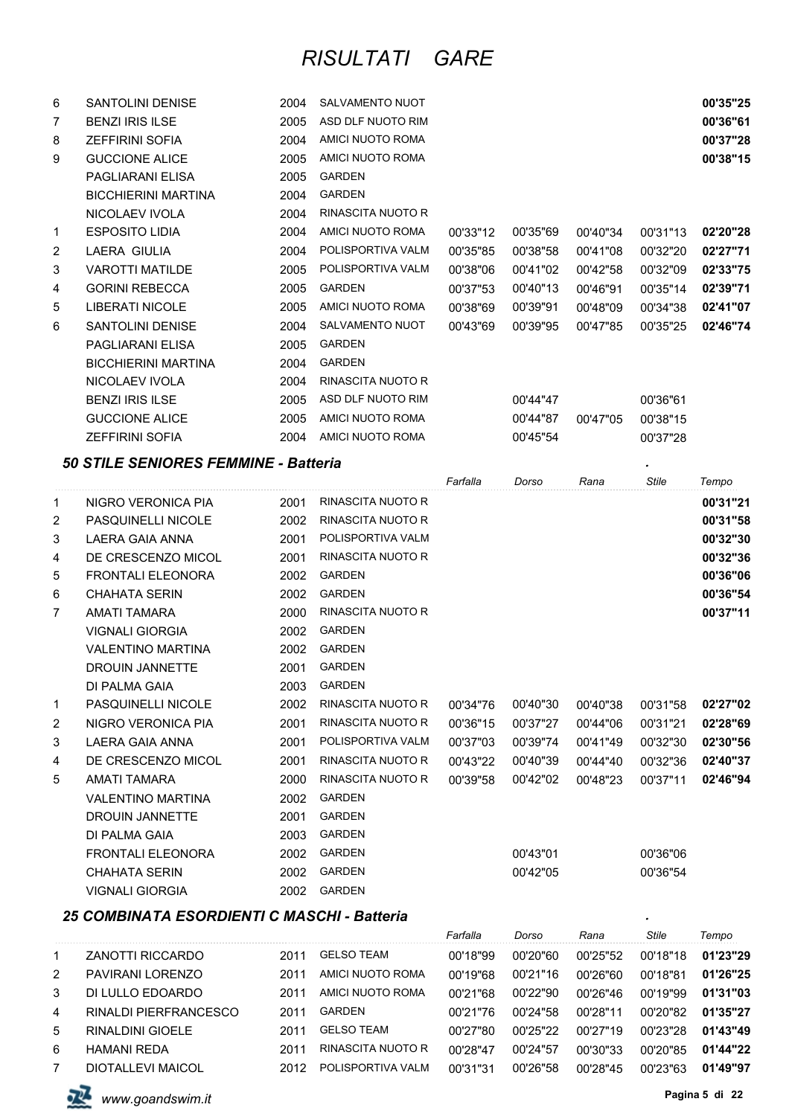| 6            | <b>SANTOLINI DENISE</b>                     | 2004 | SALVAMENTO NUOT   |          |          |          |          | 00'35"25 |
|--------------|---------------------------------------------|------|-------------------|----------|----------|----------|----------|----------|
| 7            | <b>BENZI IRIS ILSE</b>                      | 2005 | ASD DLF NUOTO RIM |          |          |          |          | 00'36"61 |
| 8            | <b>ZEFFIRINI SOFIA</b>                      | 2004 | AMICI NUOTO ROMA  |          |          |          |          | 00'37"28 |
| 9            | <b>GUCCIONE ALICE</b>                       | 2005 | AMICI NUOTO ROMA  |          |          |          |          | 00'38"15 |
|              | PAGLIARANI ELISA                            | 2005 | <b>GARDEN</b>     |          |          |          |          |          |
|              | <b>BICCHIERINI MARTINA</b>                  | 2004 | <b>GARDEN</b>     |          |          |          |          |          |
|              | NICOLAEV IVOLA                              | 2004 | RINASCITA NUOTO R |          |          |          |          |          |
| $\mathbf{1}$ | <b>ESPOSITO LIDIA</b>                       | 2004 | AMICI NUOTO ROMA  | 00'33"12 | 00'35"69 | 00'40"34 | 00'31"13 | 02'20"28 |
| 2            | LAERA GIULIA                                | 2004 | POLISPORTIVA VALM | 00'35"85 | 00'38"58 | 00'41"08 | 00'32"20 | 02'27"71 |
| 3            | <b>VAROTTI MATILDE</b>                      | 2005 | POLISPORTIVA VALM | 00'38"06 | 00'41"02 | 00'42"58 | 00'32"09 | 02'33"75 |
| 4            | <b>GORINI REBECCA</b>                       | 2005 | <b>GARDEN</b>     | 00'37"53 | 00'40"13 | 00'46"91 | 00'35"14 | 02'39"71 |
| 5            | LIBERATI NICOLE                             | 2005 | AMICI NUOTO ROMA  | 00'38"69 | 00'39"91 | 00'48"09 | 00'34"38 | 02'41"07 |
| 6            | <b>SANTOLINI DENISE</b>                     | 2004 | SALVAMENTO NUOT   | 00'43"69 | 00'39"95 | 00'47"85 | 00'35"25 | 02'46"74 |
|              | PAGLIARANI ELISA                            | 2005 | <b>GARDEN</b>     |          |          |          |          |          |
|              | <b>BICCHIERINI MARTINA</b>                  | 2004 | GARDEN            |          |          |          |          |          |
|              | NICOLAEV IVOLA                              | 2004 | RINASCITA NUOTO R |          |          |          |          |          |
|              | <b>BENZI IRIS ILSE</b>                      | 2005 | ASD DLF NUOTO RIM |          | 00'44"47 |          | 00'36"61 |          |
|              | <b>GUCCIONE ALICE</b>                       | 2005 | AMICI NUOTO ROMA  |          | 00'44"87 | 00'47"05 | 00'38"15 |          |
|              | <b>ZEFFIRINI SOFIA</b>                      | 2004 | AMICI NUOTO ROMA  |          | 00'45"54 |          | 00'37"28 |          |
|              | 50 STILE SENIORES FEMMINE - Batteria        |      |                   |          |          |          |          |          |
|              |                                             |      |                   | Farfalla | Dorso    | Rana     | Stile    | Tempo    |
| $\mathbf{1}$ | NIGRO VERONICA PIA                          | 2001 | RINASCITA NUOTO R |          |          |          |          | 00'31"21 |
| 2            | <b>PASQUINELLI NICOLE</b>                   | 2002 | RINASCITA NUOTO R |          |          |          |          | 00'31"58 |
| 3            | LAERA GAIA ANNA                             | 2001 | POLISPORTIVA VALM |          |          |          |          | 00'32"30 |
| 4            | DE CRESCENZO MICOL                          | 2001 | RINASCITA NUOTO R |          |          |          |          | 00'32"36 |
| 5            | <b>FRONTALI ELEONORA</b>                    | 2002 | <b>GARDEN</b>     |          |          |          |          | 00'36"06 |
| 6            | <b>CHAHATA SERIN</b>                        | 2002 | <b>GARDEN</b>     |          |          |          |          | 00'36"54 |
| 7            | AMATI TAMARA                                | 2000 | RINASCITA NUOTO R |          |          |          |          | 00'37"11 |
|              | <b>VIGNALI GIORGIA</b>                      | 2002 | GARDEN            |          |          |          |          |          |
|              | <b>VALENTINO MARTINA</b>                    | 2002 | GARDEN            |          |          |          |          |          |
|              | <b>DROUIN JANNETTE</b>                      | 2001 | <b>GARDEN</b>     |          |          |          |          |          |
|              | DI PALMA GAIA                               |      | 2003 GARDEN       |          |          |          |          |          |
| 1            | PASQUINELLI NICOLE                          | 2002 | RINASCITA NUOTO R | 00'34"76 | 00'40"30 | 00'40"38 | 00'31"58 | 02'27"02 |
| 2            | NIGRO VERONICA PIA                          | 2001 | RINASCITA NUOTO R | 00'36"15 | 00'37"27 | 00'44"06 | 00'31"21 | 02'28"69 |
| 3            | <b>LAERA GAIA ANNA</b>                      | 2001 | POLISPORTIVA VALM | 00'37"03 | 00'39"74 | 00'41"49 | 00'32"30 | 02'30"56 |
| 4            | DE CRESCENZO MICOL                          | 2001 | RINASCITA NUOTO R | 00'43"22 | 00'40"39 | 00'44"40 | 00'32"36 | 02'40"37 |
| 5            | AMATI TAMARA                                | 2000 | RINASCITA NUOTO R | 00'39"58 | 00'42"02 | 00'48"23 | 00'37"11 | 02'46"94 |
|              | <b>VALENTINO MARTINA</b>                    | 2002 | <b>GARDEN</b>     |          |          |          |          |          |
|              | <b>DROUIN JANNETTE</b>                      | 2001 | <b>GARDEN</b>     |          |          |          |          |          |
|              | DI PALMA GAIA                               | 2003 | <b>GARDEN</b>     |          |          |          |          |          |
|              | <b>FRONTALI ELEONORA</b>                    | 2002 | GARDEN            |          | 00'43"01 |          | 00'36"06 |          |
|              | <b>CHAHATA SERIN</b>                        | 2002 | GARDEN            |          | 00'42"05 |          | 00'36"54 |          |
|              | <b>VIGNALI GIORGIA</b>                      |      | 2002 GARDEN       |          |          |          |          |          |
|              |                                             |      |                   |          |          |          |          |          |
|              | 25 COMBINATA ESORDIENTI C MASCHI - Batteria |      |                   | Farfalla | Dorso    | Rana     | Stile    | Tempo    |
| 1            | <b>ZANOTTI RICCARDO</b>                     | 2011 | <b>GELSO TEAM</b> | 00'18"99 | 00'20"60 | 00'25"52 | 00'18"18 | 01'23"29 |
| 2            | PAVIRANI LORENZO                            | 2011 | AMICI NUOTO ROMA  | 00'19"68 | 00'21"16 | 00'26"60 | 00'18"81 | 01'26"25 |
| 3            | DI LULLO EDOARDO                            | 2011 | AMICI NUOTO ROMA  | 00'21"68 | 00'22"90 | 00'26"46 | 00'19"99 | 01'31"03 |
| 4            | RINALDI PIERFRANCESCO                       | 2011 | GARDEN            | 00'21"76 | 00'24"58 | 00'28"11 | 00'20"82 | 01'35"27 |
|              |                                             |      |                   |          |          |          |          |          |

5 RINALDINI GIOELE 2011 GELSO TEAM 00'27"80 00'25"22 00'27"19 00'23"28 **01'43"49**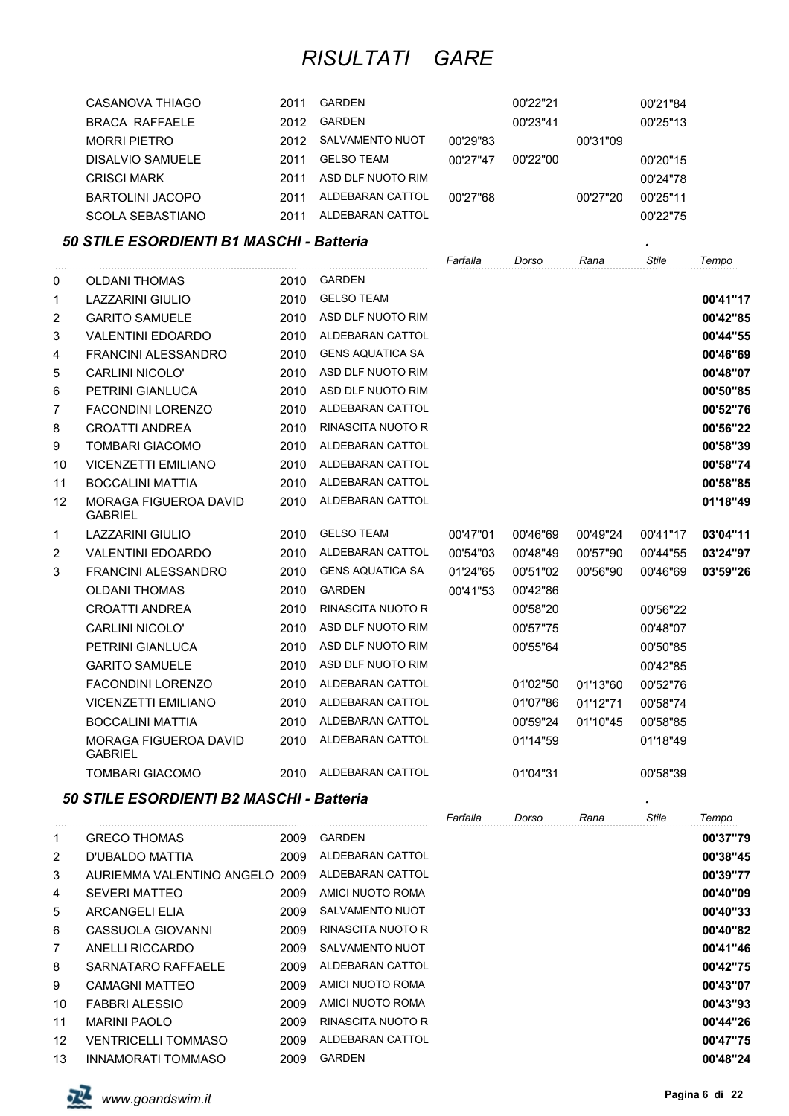| CASANOVA THIAGO         | 2011 | GARDEN            |          | 00'22"21 |          | 00'21"84 |
|-------------------------|------|-------------------|----------|----------|----------|----------|
| <b>BRACA RAFFAELE</b>   | 2012 | GARDEN            |          | 00'23"41 |          | 00'25"13 |
| <b>MORRI PIETRO</b>     | 2012 | SALVAMENTO NUOT   | 00'29"83 |          | 00'31"09 |          |
| DISALVIO SAMUELE        | 2011 | <b>GELSO TEAM</b> | 00'27"47 | 00'22"00 |          | 00'20"15 |
| <b>CRISCI MARK</b>      | 2011 | ASD DLF NUOTO RIM |          |          |          | 00'24"78 |
| <b>BARTOLINI JACOPO</b> | 2011 | ALDEBARAN CATTOL  | 00'27"68 |          | 00'27"20 | 00'25"11 |
| <b>SCOLA SEBASTIANO</b> | 2011 | ALDEBARAN CATTOL  |          |          |          | 00'22"75 |

### *50 STILE ESORDIENTI B1 MASCHI - Batteria .*

|    |                                                |      |                          | Farfalla | Dorso    | Rana     | <b>Stile</b> | Tempo    |
|----|------------------------------------------------|------|--------------------------|----------|----------|----------|--------------|----------|
| 0  | <b>OLDANI THOMAS</b>                           | 2010 | <b>GARDEN</b>            |          |          |          |              |          |
| 1  | <b>LAZZARINI GIULIO</b>                        | 2010 | <b>GELSO TEAM</b>        |          |          |          |              | 00'41"17 |
| 2  | <b>GARITO SAMUELE</b>                          | 2010 | ASD DLF NUOTO RIM        |          |          |          |              | 00'42"85 |
| 3  | <b>VALENTINI EDOARDO</b>                       | 2010 | ALDEBARAN CATTOL         |          |          |          |              | 00'44"55 |
| 4  | <b>FRANCINI ALESSANDRO</b>                     | 2010 | <b>GENS AQUATICA SA</b>  |          |          |          |              | 00'46"69 |
| 5  | <b>CARLINI NICOLO'</b>                         | 2010 | ASD DLF NUOTO RIM        |          |          |          |              | 00'48"07 |
| 6  | PETRINI GIANLUCA                               | 2010 | ASD DLF NUOTO RIM        |          |          |          |              | 00'50"85 |
| 7  | <b>FACONDINI LORENZO</b>                       | 2010 | ALDEBARAN CATTOL         |          |          |          |              | 00'52"76 |
| 8  | <b>CROATTI ANDREA</b>                          | 2010 | <b>RINASCITA NUOTO R</b> |          |          |          |              | 00'56"22 |
| 9  | <b>TOMBARI GIACOMO</b>                         | 2010 | <b>ALDEBARAN CATTOL</b>  |          |          |          |              | 00'58"39 |
| 10 | <b>VICENZETTI EMILIANO</b>                     | 2010 | ALDEBARAN CATTOL         |          |          |          |              | 00'58"74 |
| 11 | <b>BOCCALINI MATTIA</b>                        | 2010 | ALDEBARAN CATTOL         |          |          |          |              | 00'58"85 |
| 12 | MORAGA FIGUEROA DAVID<br><b>GABRIEL</b>        | 2010 | ALDEBARAN CATTOL         |          |          |          |              | 01'18"49 |
| 1  | <b>LAZZARINI GIULIO</b>                        | 2010 | <b>GELSO TEAM</b>        | 00'47"01 | 00'46"69 | 00'49"24 | 00'41"17     | 03'04"11 |
| 2  | <b>VALENTINI EDOARDO</b>                       | 2010 | ALDEBARAN CATTOL         | 00'54"03 | 00'48"49 | 00'57"90 | 00'44"55     | 03'24"97 |
| 3  | <b>FRANCINI ALESSANDRO</b>                     | 2010 | <b>GENS AQUATICA SA</b>  | 01'24"65 | 00'51"02 | 00'56"90 | 00'46"69     | 03'59"26 |
|    | <b>OLDANI THOMAS</b>                           | 2010 | <b>GARDEN</b>            | 00'41"53 | 00'42"86 |          |              |          |
|    | <b>CROATTI ANDREA</b>                          | 2010 | <b>RINASCITA NUOTO R</b> |          | 00'58"20 |          | 00'56"22     |          |
|    | <b>CARLINI NICOLO'</b>                         | 2010 | ASD DLF NUOTO RIM        |          | 00'57"75 |          | 00'48"07     |          |
|    | PETRINI GIANLUCA                               | 2010 | ASD DLF NUOTO RIM        |          | 00'55"64 |          | 00'50"85     |          |
|    | <b>GARITO SAMUELE</b>                          | 2010 | ASD DLF NUOTO RIM        |          |          |          | 00'42"85     |          |
|    | <b>FACONDINI LORENZO</b>                       | 2010 | ALDEBARAN CATTOL         |          | 01'02"50 | 01'13"60 | 00'52"76     |          |
|    | <b>VICENZETTI EMILIANO</b>                     | 2010 | ALDEBARAN CATTOL         |          | 01'07"86 | 01'12"71 | 00'58"74     |          |
|    | <b>BOCCALINI MATTIA</b>                        | 2010 | ALDEBARAN CATTOL         |          | 00'59"24 | 01'10"45 | 00'58"85     |          |
|    | <b>MORAGA FIGUEROA DAVID</b><br><b>GABRIEL</b> | 2010 | ALDEBARAN CATTOL         |          | 01'14"59 |          | 01'18"49     |          |
|    | <b>TOMBARI GIACOMO</b>                         | 2010 | ALDEBARAN CATTOL         |          | 01'04"31 |          | 00'58"39     |          |

### *50 STILE ESORDIENTI B2 MASCHI - Batteria .*

|                |                                |      |                        | Farfalla | Dorso | Rana | Stile | Tempo    |
|----------------|--------------------------------|------|------------------------|----------|-------|------|-------|----------|
| 1              | <b>GRECO THOMAS</b>            | 2009 | <b>GARDEN</b>          |          |       |      |       | 00'37"79 |
| $\overline{2}$ | D'UBALDO MATTIA                | 2009 | ALDEBARAN CATTOL       |          |       |      |       | 00'38"45 |
| 3              | AURIEMMA VALENTINO ANGELO 2009 |      | ALDEBARAN CATTOL       |          |       |      |       | 00'39"77 |
| 4              | <b>SEVERI MATTEO</b>           | 2009 | AMICI NUOTO ROMA       |          |       |      |       | 00'40"09 |
| 5              | ARCANGELI ELIA                 | 2009 | <b>SALVAMENTO NUOT</b> |          |       |      |       | 00'40"33 |
| 6              | CASSUOLA GIOVANNI              | 2009 | RINASCITA NUOTO R      |          |       |      |       | 00'40"82 |
| $\overline{7}$ | ANELLI RICCARDO                | 2009 | <b>SALVAMENTO NUOT</b> |          |       |      |       | 00'41"46 |
| 8              | SARNATARO RAFFAELE             | 2009 | ALDEBARAN CATTOL       |          |       |      |       | 00'42"75 |
| 9              | CAMAGNI MATTEO                 | 2009 | AMICI NUOTO ROMA       |          |       |      |       | 00'43"07 |
| 10             | <b>FABBRI ALESSIO</b>          | 2009 | AMICI NUOTO ROMA       |          |       |      |       | 00'43"93 |
| 11             | <b>MARINI PAOLO</b>            | 2009 | RINASCITA NUOTO R      |          |       |      |       | 00'44"26 |
| 12             | <b>VENTRICELLI TOMMASO</b>     | 2009 | ALDEBARAN CATTOL       |          |       |      |       | 00'47"75 |
| 13             | <b>INNAMORATI TOMMASO</b>      | 2009 | <b>GARDEN</b>          |          |       |      |       | 00'48"24 |

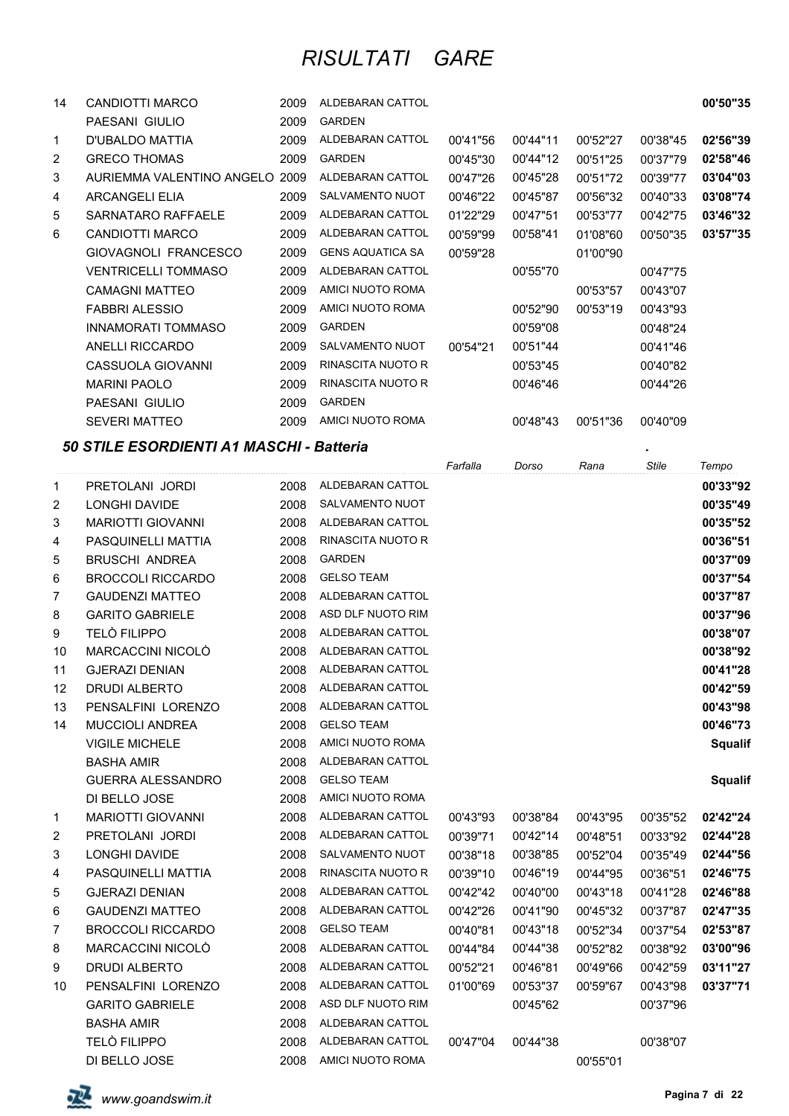| CANDIOTTI MARCO            | 2009 | <b>ALDEBARAN CATTOL</b>        |          |          |          |          | 00'50"35 |
|----------------------------|------|--------------------------------|----------|----------|----------|----------|----------|
| PAESANI GIULIO             | 2009 | <b>GARDEN</b>                  |          |          |          |          |          |
| D'UBALDO MATTIA            | 2009 | ALDEBARAN CATTOL               | 00'41"56 | 00'44"11 | 00'52"27 | 00'38"45 | 02'56"39 |
| <b>GRECO THOMAS</b>        | 2009 | <b>GARDEN</b>                  | 00'45"30 | 00'44"12 | 00'51"25 | 00'37"79 | 02'58"46 |
|                            |      | ALDEBARAN CATTOL               | 00'47"26 | 00'45"28 | 00'51"72 | 00'39"77 | 03'04"03 |
| <b>ARCANGELI ELIA</b>      | 2009 | SALVAMENTO NUOT                | 00'46"22 | 00'45"87 | 00'56"32 | 00'40"33 | 03'08"74 |
| SARNATARO RAFFAELE         | 2009 | ALDEBARAN CATTOL               | 01'22"29 | 00'47"51 | 00'53"77 | 00'42"75 | 03'46"32 |
| CANDIOTTI MARCO            | 2009 | ALDEBARAN CATTOL               | 00'59"99 | 00'58"41 | 01'08"60 | 00'50"35 | 03'57"35 |
| GIOVAGNOLI FRANCESCO       | 2009 | <b>GENS AQUATICA SA</b>        | 00'59"28 |          | 01'00"90 |          |          |
| <b>VENTRICELLI TOMMASO</b> | 2009 | ALDEBARAN CATTOL               |          | 00'55"70 |          | 00'47"75 |          |
| <b>CAMAGNI MATTEO</b>      | 2009 | AMICI NUOTO ROMA               |          |          | 00'53"57 | 00'43"07 |          |
| <b>FABBRI ALESSIO</b>      | 2009 | AMICI NUOTO ROMA               |          | 00'52"90 | 00'53"19 | 00'43"93 |          |
| <b>INNAMORATI TOMMASO</b>  | 2009 | <b>GARDEN</b>                  |          | 00'59"08 |          | 00'48"24 |          |
| ANELLI RICCARDO            | 2009 | SALVAMENTO NUOT                | 00'54"21 | 00'51"44 |          | 00'41"46 |          |
| CASSUOLA GIOVANNI          | 2009 | RINASCITA NUOTO R              |          | 00'53"45 |          | 00'40"82 |          |
| <b>MARINI PAOLO</b>        | 2009 | RINASCITA NUOTO R              |          | 00'46"46 |          | 00'44"26 |          |
| PAESANI GIULIO             | 2009 | <b>GARDEN</b>                  |          |          |          |          |          |
| <b>SEVERI MATTEO</b>       | 2009 | AMICI NUOTO ROMA               |          | 00'48"43 | 00'51"36 | 00'40"09 |          |
|                            |      | AURIEMMA VALENTINO ANGELO 2009 |          |          |          |          |          |

### *50 STILE ESORDIENTI A1 MASCHI - Batteria .*

|             |                          |      |                          | Farfalla | Dorso    | Rana     | Stile    | Tempo          |
|-------------|--------------------------|------|--------------------------|----------|----------|----------|----------|----------------|
| 1           | PRETOLANI JORDI          | 2008 | ALDEBARAN CATTOL         |          |          |          |          | 00'33"92       |
| 2           | <b>LONGHI DAVIDE</b>     | 2008 | SALVAMENTO NUOT          |          |          |          |          | 00'35"49       |
| 3           | <b>MARIOTTI GIOVANNI</b> | 2008 | ALDEBARAN CATTOL         |          |          |          |          | 00'35"52       |
| 4           | PASQUINELLI MATTIA       | 2008 | RINASCITA NUOTO R        |          |          |          |          | 00'36"51       |
| 5           | <b>BRUSCHI ANDREA</b>    | 2008 | <b>GARDEN</b>            |          |          |          |          | 00'37"09       |
| 6           | <b>BROCCOLI RICCARDO</b> | 2008 | <b>GELSO TEAM</b>        |          |          |          |          | 00'37"54       |
| 7           | <b>GAUDENZI MATTEO</b>   | 2008 | ALDEBARAN CATTOL         |          |          |          |          | 00'37"87       |
| 8           | <b>GARITO GABRIELE</b>   | 2008 | ASD DLF NUOTO RIM        |          |          |          |          | 00'37"96       |
| 9           | <b>TELÒ FILIPPO</b>      | 2008 | ALDEBARAN CATTOL         |          |          |          |          | 00'38"07       |
| 10          | MARCACCINI NICOLÒ        | 2008 | ALDEBARAN CATTOL         |          |          |          |          | 00'38"92       |
| 11          | <b>GJERAZI DENIAN</b>    | 2008 | ALDEBARAN CATTOL         |          |          |          |          | 00'41"28       |
| 12          | <b>DRUDI ALBERTO</b>     | 2008 | ALDEBARAN CATTOL         |          |          |          |          | 00'42"59       |
| 13          | PENSALFINI LORENZO       | 2008 | ALDEBARAN CATTOL         |          |          |          |          | 00'43"98       |
| 14          | <b>MUCCIOLI ANDREA</b>   | 2008 | <b>GELSO TEAM</b>        |          |          |          |          | 00'46"73       |
|             | <b>VIGILE MICHELE</b>    | 2008 | AMICI NUOTO ROMA         |          |          |          |          | <b>Squalif</b> |
|             | <b>BASHA AMIR</b>        | 2008 | ALDEBARAN CATTOL         |          |          |          |          |                |
|             | <b>GUERRA ALESSANDRO</b> | 2008 | <b>GELSO TEAM</b>        |          |          |          |          | <b>Squalif</b> |
|             | DI BELLO JOSE            | 2008 | AMICI NUOTO ROMA         |          |          |          |          |                |
| $\mathbf 1$ | <b>MARIOTTI GIOVANNI</b> | 2008 | ALDEBARAN CATTOL         | 00'43"93 | 00'38"84 | 00'43"95 | 00'35"52 | 02'42"24       |
| 2           | PRETOLANI JORDI          | 2008 | ALDEBARAN CATTOL         | 00'39"71 | 00'42"14 | 00'48"51 | 00'33"92 | 02'44"28       |
| 3           | LONGHI DAVIDE            | 2008 | SALVAMENTO NUOT          | 00'38"18 | 00'38"85 | 00'52"04 | 00'35"49 | 02'44"56       |
| 4           | PASQUINELLI MATTIA       | 2008 | <b>RINASCITA NUOTO R</b> | 00'39"10 | 00'46"19 | 00'44"95 | 00'36"51 | 02'46"75       |
| 5           | <b>GJERAZI DENIAN</b>    | 2008 | ALDEBARAN CATTOL         | 00'42"42 | 00'40"00 | 00'43"18 | 00'41"28 | 02'46"88       |
| 6           | <b>GAUDENZI MATTEO</b>   | 2008 | ALDEBARAN CATTOL         | 00'42"26 | 00'41"90 | 00'45"32 | 00'37"87 | 02'47"35       |
| 7           | <b>BROCCOLI RICCARDO</b> | 2008 | <b>GELSO TEAM</b>        | 00'40"81 | 00'43"18 | 00'52"34 | 00'37"54 | 02'53"87       |
| 8           | MARCACCINI NICOLO        | 2008 | ALDEBARAN CATTOL         | 00'44"84 | 00'44"38 | 00'52"82 | 00'38"92 | 03'00"96       |
| 9           | <b>DRUDI ALBERTO</b>     | 2008 | ALDEBARAN CATTOL         | 00'52"21 | 00'46"81 | 00'49"66 | 00'42"59 | 03'11"27       |
| 10          | PENSALFINI LORENZO       | 2008 | ALDEBARAN CATTOL         | 01'00"69 | 00'53"37 | 00'59"67 | 00'43"98 | 03'37"71       |
|             | <b>GARITO GABRIELE</b>   | 2008 | ASD DLF NUOTO RIM        |          | 00'45"62 |          | 00'37"96 |                |
|             | <b>BASHA AMIR</b>        | 2008 | ALDEBARAN CATTOL         |          |          |          |          |                |
|             | <b>TELO FILIPPO</b>      | 2008 | ALDEBARAN CATTOL         | 00'47"04 | 00'44"38 |          | 00'38"07 |                |
|             | DI BELLO JOSE            | 2008 | AMICI NUOTO ROMA         |          |          | 00'55"01 |          |                |

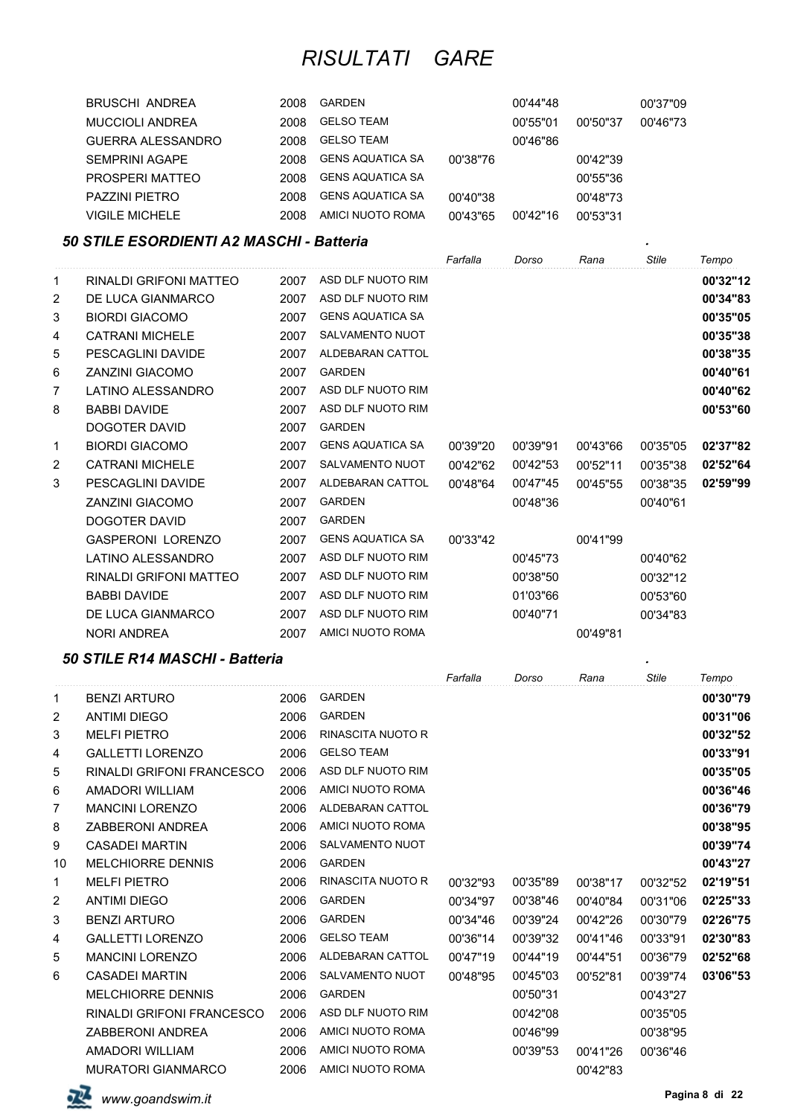| BRUSCHI ANDREA         | 2008 | <b>GARDEN</b>           |          | 00'44"48 |          | 00'37"09 |
|------------------------|------|-------------------------|----------|----------|----------|----------|
| <b>MUCCIOLI ANDREA</b> | 2008 | <b>GELSO TEAM</b>       |          | 00'55"01 | 00'50"37 | 00'46"73 |
| GUERRA ALESSANDRO      | 2008 | <b>GELSO TEAM</b>       |          | 00'46"86 |          |          |
| <b>SEMPRINI AGAPE</b>  | 2008 | GENS AQUATICA SA        | 00'38"76 |          | 00'42"39 |          |
| PROSPERI MATTEO        | 2008 | GENS AQUATICA SA        |          |          | 00'55"36 |          |
| <b>PAZZINI PIETRO</b>  | 2008 | <b>GENS AQUATICA SA</b> | 00'40"38 |          | 00'48"73 |          |
| <b>VIGILE MICHELE</b>  | 2008 | AMICI NUOTO ROMA        | 00'43"65 | 00'42"16 | 00'53"31 |          |

### *50 STILE ESORDIENTI A2 MASCHI - Batteria .*

|                |                          |      |                         | Farfalla | Dorso    | Rana     | <b>Stile</b> | Tempo    |
|----------------|--------------------------|------|-------------------------|----------|----------|----------|--------------|----------|
| 1              | RINALDI GRIFONI MATTEO   | 2007 | ASD DLF NUOTO RIM       |          |          |          |              | 00'32"12 |
| 2              | DE LUCA GIANMARCO        | 2007 | ASD DLF NUOTO RIM       |          |          |          |              | 00'34"83 |
| 3              | <b>BIORDI GIACOMO</b>    | 2007 | <b>GENS AQUATICA SA</b> |          |          |          |              | 00'35"05 |
| 4              | <b>CATRANI MICHELE</b>   | 2007 | <b>SALVAMENTO NUOT</b>  |          |          |          |              | 00'35"38 |
| 5              | PESCAGLINI DAVIDE        | 2007 | <b>ALDEBARAN CATTOL</b> |          |          |          |              | 00'38"35 |
| 6              | <b>ZANZINI GIACOMO</b>   | 2007 | <b>GARDEN</b>           |          |          |          |              | 00'40"61 |
| 7              | LATINO ALESSANDRO        | 2007 | ASD DLF NUOTO RIM       |          |          |          |              | 00'40"62 |
| 8              | <b>BABBI DAVIDE</b>      | 2007 | ASD DLF NUOTO RIM       |          |          |          |              | 00'53"60 |
|                | <b>DOGOTER DAVID</b>     | 2007 | <b>GARDEN</b>           |          |          |          |              |          |
| 1              | <b>BIORDI GIACOMO</b>    | 2007 | <b>GENS AQUATICA SA</b> | 00'39"20 | 00'39"91 | 00'43"66 | 00'35"05     | 02'37"82 |
| $\overline{2}$ | <b>CATRANI MICHELE</b>   | 2007 | <b>SALVAMENTO NUOT</b>  | 00'42"62 | 00'42"53 | 00'52"11 | 00'35"38     | 02'52"64 |
| 3              | PESCAGLINI DAVIDE        | 2007 | ALDEBARAN CATTOL        | 00'48"64 | 00'47"45 | 00'45"55 | 00'38"35     | 02'59"99 |
|                | <b>ZANZINI GIACOMO</b>   | 2007 | <b>GARDEN</b>           |          | 00'48"36 |          | 00'40"61     |          |
|                | <b>DOGOTER DAVID</b>     | 2007 | <b>GARDEN</b>           |          |          |          |              |          |
|                | <b>GASPERONI LORENZO</b> | 2007 | <b>GENS AQUATICA SA</b> | 00'33"42 |          | 00'41"99 |              |          |
|                | <b>LATINO ALESSANDRO</b> | 2007 | ASD DLF NUOTO RIM       |          | 00'45"73 |          | 00'40"62     |          |
|                | RINALDI GRIFONI MATTEO   | 2007 | ASD DLF NUOTO RIM       |          | 00'38"50 |          | 00'32"12     |          |
|                | <b>BABBI DAVIDE</b>      | 2007 | ASD DLF NUOTO RIM       |          | 01'03"66 |          | 00'53"60     |          |
|                | DE LUCA GIANMARCO        | 2007 | ASD DLF NUOTO RIM       |          | 00'40"71 |          | 00'34"83     |          |
|                | <b>NORI ANDREA</b>       | 2007 | AMICI NUOTO ROMA        |          |          | 00'49"81 |              |          |

### *50 STILE R14 MASCHI - Batteria .*

|                |                                  |      |                          | Farfalla | Dorso    | Rana     | Stile    | Tempo    |
|----------------|----------------------------------|------|--------------------------|----------|----------|----------|----------|----------|
| 1              | <b>BENZI ARTURO</b>              | 2006 | <b>GARDEN</b>            |          |          |          |          | 00'30"79 |
| 2              | <b>ANTIMI DIEGO</b>              | 2006 | <b>GARDEN</b>            |          |          |          |          | 00'31"06 |
| 3              | <b>MELFI PIETRO</b>              | 2006 | <b>RINASCITA NUOTO R</b> |          |          |          |          | 00'32"52 |
| 4              | <b>GALLETTI LORENZO</b>          | 2006 | <b>GELSO TEAM</b>        |          |          |          |          | 00'33"91 |
| 5              | <b>RINALDI GRIFONI FRANCESCO</b> | 2006 | ASD DLF NUOTO RIM        |          |          |          |          | 00'35"05 |
| 6              | AMADORI WILLIAM                  | 2006 | AMICI NUOTO ROMA         |          |          |          |          | 00'36"46 |
| 7              | <b>MANCINI LORENZO</b>           | 2006 | ALDEBARAN CATTOL         |          |          |          |          | 00'36"79 |
| 8              | <b>ZABBERONI ANDREA</b>          | 2006 | AMICI NUOTO ROMA         |          |          |          |          | 00'38"95 |
| 9              | <b>CASADEI MARTIN</b>            | 2006 | <b>SALVAMENTO NUOT</b>   |          |          |          |          | 00'39"74 |
| 10             | <b>MELCHIORRE DENNIS</b>         | 2006 | <b>GARDEN</b>            |          |          |          |          | 00'43"27 |
| 1              | <b>MELFI PIETRO</b>              | 2006 | <b>RINASCITA NUOTO R</b> | 00'32"93 | 00'35"89 | 00'38"17 | 00'32"52 | 02'19"51 |
| $\overline{c}$ | <b>ANTIMI DIEGO</b>              | 2006 | <b>GARDEN</b>            | 00'34"97 | 00'38"46 | 00'40"84 | 00'31"06 | 02'25"33 |
| 3              | <b>BENZI ARTURO</b>              | 2006 | <b>GARDEN</b>            | 00'34"46 | 00'39"24 | 00'42"26 | 00'30"79 | 02'26"75 |
| 4              | <b>GALLETTI LORENZO</b>          | 2006 | <b>GELSO TEAM</b>        | 00'36"14 | 00'39"32 | 00'41"46 | 00'33"91 | 02'30"83 |
| 5              | <b>MANCINI LORENZO</b>           | 2006 | ALDEBARAN CATTOL         | 00'47"19 | 00'44"19 | 00'44"51 | 00'36"79 | 02'52"68 |
| 6              | <b>CASADEI MARTIN</b>            | 2006 | <b>SALVAMENTO NUOT</b>   | 00'48"95 | 00'45"03 | 00'52"81 | 00'39"74 | 03'06"53 |
|                | <b>MELCHIORRE DENNIS</b>         | 2006 | <b>GARDEN</b>            |          | 00'50"31 |          | 00'43"27 |          |
|                | <b>RINALDI GRIFONI FRANCESCO</b> | 2006 | ASD DLF NUOTO RIM        |          | 00'42"08 |          | 00'35"05 |          |
|                | <b>ZABBERONI ANDREA</b>          | 2006 | AMICI NUOTO ROMA         |          | 00'46"99 |          | 00'38"95 |          |
|                | AMADORI WILLIAM                  | 2006 | AMICI NUOTO ROMA         |          | 00'39"53 | 00'41"26 | 00'36"46 |          |
|                | <b>MURATORI GIANMARCO</b>        | 2006 | AMICI NUOTO ROMA         |          |          | 00'42"83 |          |          |

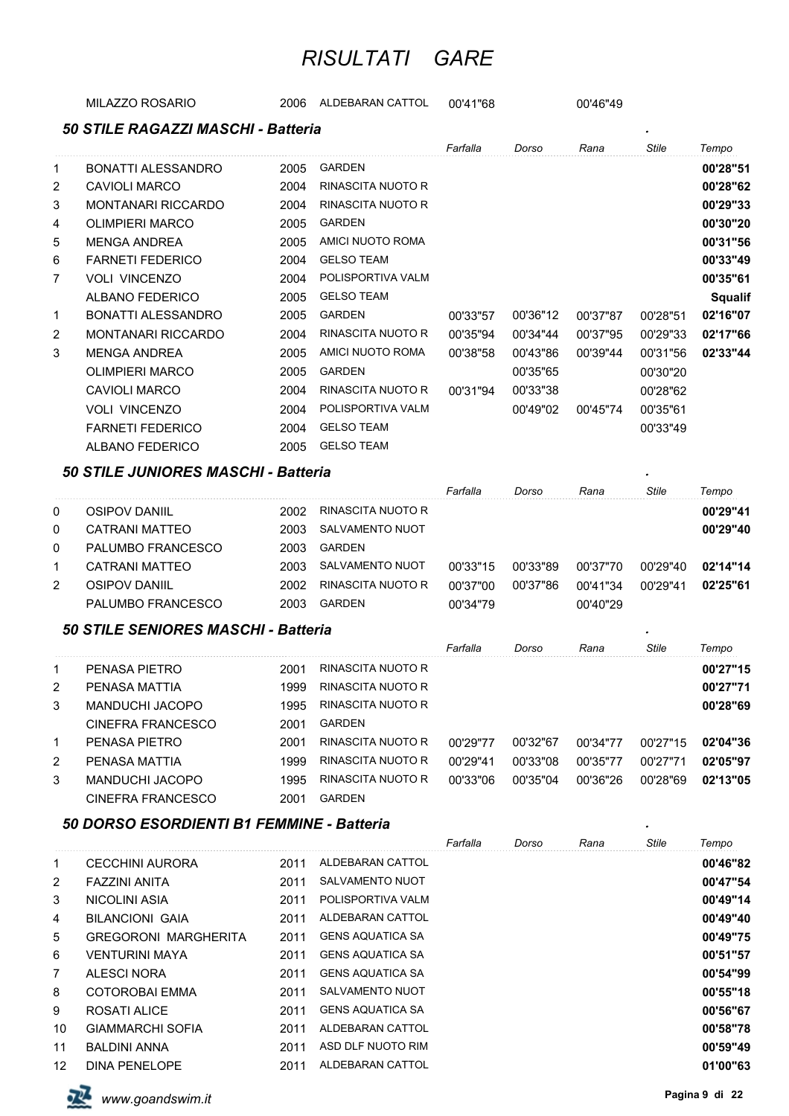MILAZZO ROSARIO 2006 ALDEBARAN CATTOL 00'41"68 00'46"49

|                | 50 STILE RAGAZZI MASCHI - Batteria |      |                   |          |          |          |              |                |
|----------------|------------------------------------|------|-------------------|----------|----------|----------|--------------|----------------|
|                |                                    |      |                   | Farfalla | Dorso    | Rana     | <b>Stile</b> | Tempo          |
| 1              | BONATTI ALESSANDRO                 | 2005 | <b>GARDEN</b>     |          |          |          |              | 00'28"51       |
| 2              | <b>CAVIOLI MARCO</b>               | 2004 | RINASCITA NUOTO R |          |          |          |              | 00'28"62       |
| 3              | <b>MONTANARI RICCARDO</b>          | 2004 | RINASCITA NUOTO R |          |          |          |              | 00'29"33       |
| 4              | <b>OLIMPIERI MARCO</b>             | 2005 | <b>GARDEN</b>     |          |          |          |              | 00'30"20       |
| 5              | <b>MENGA ANDREA</b>                | 2005 | AMICI NUOTO ROMA  |          |          |          |              | 00'31"56       |
| 6              | <b>FARNETI FEDERICO</b>            | 2004 | <b>GELSO TEAM</b> |          |          |          |              | 00'33"49       |
| 7              | <b>VOLI VINCENZO</b>               | 2004 | POLISPORTIVA VALM |          |          |          |              | 00'35"61       |
|                | ALBANO FEDERICO                    | 2005 | <b>GELSO TEAM</b> |          |          |          |              | <b>Squalif</b> |
| 1              | <b>BONATTI ALESSANDRO</b>          | 2005 | <b>GARDEN</b>     | 00'33"57 | 00'36"12 | 00'37"87 | 00'28"51     | 02'16"07       |
| $\overline{2}$ | <b>MONTANARI RICCARDO</b>          | 2004 | RINASCITA NUOTO R | 00'35"94 | 00'34"44 | 00'37"95 | 00'29"33     | 02'17"66       |
| 3              | <b>MENGA ANDREA</b>                | 2005 | AMICI NUOTO ROMA  | 00'38"58 | 00'43"86 | 00'39"44 | 00'31"56     | 02'33"44       |
|                | <b>OLIMPIERI MARCO</b>             | 2005 | <b>GARDEN</b>     |          | 00'35"65 |          | 00'30"20     |                |
|                | <b>CAVIOLI MARCO</b>               | 2004 | RINASCITA NUOTO R | 00'31"94 | 00'33"38 |          | 00'28"62     |                |
|                | <b>VOLI VINCENZO</b>               | 2004 | POLISPORTIVA VALM |          | 00'49"02 | 00'45"74 | 00'35"61     |                |
|                | <b>FARNETI FEDERICO</b>            | 2004 | <b>GELSO TEAM</b> |          |          |          | 00'33"49     |                |
|                | <b>ALBANO FEDERICO</b>             | 2005 | <b>GELSO TEAM</b> |          |          |          |              |                |

### *50 STILE JUNIORES MASCHI - Batteria .*

|               |                      |      |                   | Farfalla | Dorso    | Rana     | Stile    | Tempo    |
|---------------|----------------------|------|-------------------|----------|----------|----------|----------|----------|
| $\Omega$      | <b>OSIPOV DANIIL</b> | 2002 | RINASCITA NUOTO R |          |          |          |          | 00'29"41 |
| $\Omega$      | CATRANI MATTEO       | 2003 | SALVAMENTO NUOT   |          |          |          |          | 00'29"40 |
| $\Omega$      | PALUMBO FRANCESCO    | 2003 | GARDEN            |          |          |          |          |          |
|               | CATRANI MATTEO       | 2003 | SALVAMENTO NUOT   | 00'33"15 | 00'33"89 | 00'37"70 | 00'29"40 | 02'14"14 |
| $\mathcal{P}$ | <b>OSIPOV DANIIL</b> | 2002 | RINASCITA NUOTO R | 00'37"00 | 00'37"86 | 00'41"34 | 00'29"41 | 02'25"61 |
|               | PALUMBO FRANCESCO    | 2003 | <b>GARDEN</b>     | 00'34"79 |          | 00'40"29 |          |          |

#### *50 STILE SENIORES MASCHI - Batteria .*

|              |                   |      |                   | Farfalla | Dorso    | Rana     | Stile    | Tempo    |
|--------------|-------------------|------|-------------------|----------|----------|----------|----------|----------|
| -1           | PENASA PIETRO     | 2001 | RINASCITA NUOTO R |          |          |          |          | 00'27"15 |
| 2            | PENASA MATTIA     | 1999 | RINASCITA NUOTO R |          |          |          |          | 00'27"71 |
| 3            | MANDUCHI JACOPO   | 1995 | RINASCITA NUOTO R |          |          |          |          | 00'28"69 |
|              | CINEFRA FRANCESCO | 2001 | GARDEN            |          |          |          |          |          |
| $\mathbf{1}$ | PENASA PIETRO     | 2001 | RINASCITA NUOTO R | 00'29"77 | 00'32"67 | 00'34"77 | 00'27"15 | 02'04"36 |
| 2            | PENASA MATTIA     | 1999 | RINASCITA NUOTO R | 00'29"41 | 00'33"08 | 00'35"77 | 00'27"71 | 02'05"97 |
| 3            | MANDUCHI JACOPO   | 1995 | RINASCITA NUOTO R | 00'33"06 | 00'35"04 | 00'36"26 | 00'28"69 | 02'13"05 |
|              | CINEFRA FRANCESCO | 2001 | <b>GARDEN</b>     |          |          |          |          |          |

#### *50 DORSO ESORDIENTI B1 FEMMINE - Batteria .*

|    |                             |      |                         | Farfalla | Dorso | Rana | Stile | Tempo    |
|----|-----------------------------|------|-------------------------|----------|-------|------|-------|----------|
| 1  | <b>CECCHINI AURORA</b>      | 2011 | ALDEBARAN CATTOL        |          |       |      |       | 00'46"82 |
| 2  | <b>FAZZINI ANITA</b>        | 2011 | <b>SALVAMENTO NUOT</b>  |          |       |      |       | 00'47"54 |
| 3  | NICOLINI ASIA               | 2011 | POLISPORTIVA VALM       |          |       |      |       | 00'49"14 |
| 4  | <b>BILANCIONI GAIA</b>      | 2011 | ALDEBARAN CATTOL        |          |       |      |       | 00'49"40 |
| 5  | <b>GREGORONI MARGHERITA</b> | 2011 | <b>GENS AQUATICA SA</b> |          |       |      |       | 00'49"75 |
| 6  | <b>VENTURINI MAYA</b>       | 2011 | GENS AQUATICA SA        |          |       |      |       | 00'51"57 |
| 7  | ALESCI NORA                 | 2011 | <b>GENS AQUATICA SA</b> |          |       |      |       | 00'54"99 |
| 8  | <b>COTOROBAI EMMA</b>       | 2011 | SALVAMENTO NUOT         |          |       |      |       | 00'55"18 |
| 9  | ROSATI ALICE                | 2011 | <b>GENS AQUATICA SA</b> |          |       |      |       | 00'56"67 |
| 10 | <b>GIAMMARCHI SOFIA</b>     | 2011 | ALDEBARAN CATTOL        |          |       |      |       | 00'58"78 |
| 11 | <b>BALDINI ANNA</b>         | 2011 | ASD DLF NUOTO RIM       |          |       |      |       | 00'59"49 |
| 12 | <b>DINA PENELOPE</b>        | 2011 | ALDEBARAN CATTOL        |          |       |      |       | 01'00"63 |



**Pagina 9 di** 22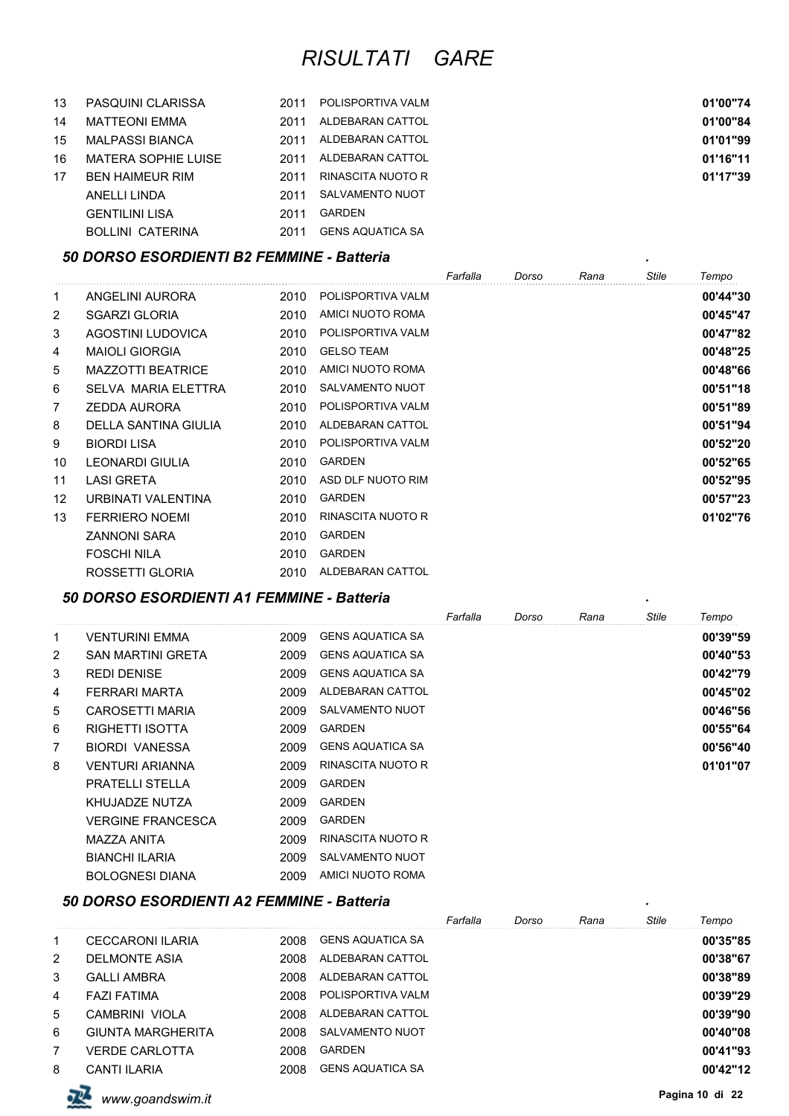| 13 | PASQUINI CLARISSA      | 2011 | POLISPORTIVA VALM | 01'00"74 |
|----|------------------------|------|-------------------|----------|
| 14 | MATTEONI EMMA          | 2011 | ALDEBARAN CATTOL  | 01'00"84 |
| 15 | MALPASSI BIANCA        | 2011 | ALDEBARAN CATTOL  | 01'01"99 |
| 16 | MATERA SOPHIE LUISE    | 2011 | ALDEBARAN CATTOL  | 01'16"11 |
| 17 | <b>BEN HAIMEUR RIM</b> | 2011 | RINASCITA NUOTO R | 01'17"39 |
|    | ANELLI LINDA           | 2011 | SALVAMENTO NUOT   |          |
|    | <b>GENTILINI LISA</b>  | 2011 | GARDEN            |          |

#### BOLLINI CATERINA 2011 GENS AQUATICA SA

#### *50 DORSO ESORDIENTI B2 FEMMINE - Batteria .*

|    |                            |      |                        | Farfalla | Dorso | Rana | Stile | Tempo    |
|----|----------------------------|------|------------------------|----------|-------|------|-------|----------|
| 1  | ANGELINI AURORA            | 2010 | POLISPORTIVA VALM      |          |       |      |       | 00'44"30 |
| 2  | <b>SGARZI GLORIA</b>       | 2010 | AMICI NUOTO ROMA       |          |       |      |       | 00'45"47 |
| 3  | AGOSTINI LUDOVICA          | 2010 | POLISPORTIVA VALM      |          |       |      |       | 00'47"82 |
| 4  | <b>MAIOLI GIORGIA</b>      | 2010 | <b>GELSO TEAM</b>      |          |       |      |       | 00'48"25 |
| 5  | <b>MAZZOTTI BEATRICE</b>   | 2010 | AMICI NUOTO ROMA       |          |       |      |       | 00'48"66 |
| 6  | <b>SELVA MARIA ELETTRA</b> | 2010 | <b>SALVAMENTO NUOT</b> |          |       |      |       | 00'51"18 |
| 7  | <b>ZEDDA AURORA</b>        | 2010 | POLISPORTIVA VALM      |          |       |      |       | 00'51"89 |
| 8  | DELLA SANTINA GIULIA       | 2010 | ALDEBARAN CATTOL       |          |       |      |       | 00'51"94 |
| 9  | <b>BIORDI LISA</b>         | 2010 | POLISPORTIVA VALM      |          |       |      |       | 00'52"20 |
| 10 | LEONARDI GIULIA            | 2010 | <b>GARDEN</b>          |          |       |      |       | 00'52"65 |
| 11 | <b>LASI GRETA</b>          | 2010 | ASD DLF NUOTO RIM      |          |       |      |       | 00'52"95 |
| 12 | URBINATI VALENTINA         | 2010 | <b>GARDEN</b>          |          |       |      |       | 00'57"23 |
| 13 | <b>FERRIERO NOEMI</b>      | 2010 | RINASCITA NUOTO R      |          |       |      |       | 01'02"76 |
|    | <b>ZANNONI SARA</b>        | 2010 | <b>GARDEN</b>          |          |       |      |       |          |
|    | <b>FOSCHI NILA</b>         | 2010 | <b>GARDEN</b>          |          |       |      |       |          |
|    | ROSSETTI GLORIA            | 2010 | ALDEBARAN CATTOL       |          |       |      |       |          |

### *50 DORSO ESORDIENTI A1 FEMMINE - Batteria .*

|                |                          |      |                         | Farfalla | Dorso | Rana | Stile | Tempo    |
|----------------|--------------------------|------|-------------------------|----------|-------|------|-------|----------|
| 1              | VENTURINI EMMA           | 2009 | <b>GENS AQUATICA SA</b> |          |       |      |       | 00'39"59 |
| $\overline{2}$ | SAN MARTINI GRETA        | 2009 | <b>GENS AQUATICA SA</b> |          |       |      |       | 00'40"53 |
| 3              | <b>REDI DENISE</b>       | 2009 | <b>GENS AQUATICA SA</b> |          |       |      |       | 00'42"79 |
| 4              | FERRARI MARTA            | 2009 | ALDEBARAN CATTOL        |          |       |      |       | 00'45"02 |
| 5              | CAROSETTI MARIA          | 2009 | <b>SALVAMENTO NUOT</b>  |          |       |      |       | 00'46"56 |
| 6              | <b>RIGHETTI ISOTTA</b>   | 2009 | <b>GARDEN</b>           |          |       |      |       | 00'55"64 |
| 7              | <b>BIORDI VANESSA</b>    | 2009 | <b>GENS AQUATICA SA</b> |          |       |      |       | 00'56"40 |
| 8              | <b>VENTURI ARIANNA</b>   | 2009 | RINASCITA NUOTO R       |          |       |      |       | 01'01"07 |
|                | <b>PRATELLI STELLA</b>   | 2009 | <b>GARDEN</b>           |          |       |      |       |          |
|                | KHUJADZE NUTZA           | 2009 | <b>GARDEN</b>           |          |       |      |       |          |
|                | <b>VERGINE FRANCESCA</b> | 2009 | <b>GARDEN</b>           |          |       |      |       |          |
|                | MAZZA ANITA              | 2009 | RINASCITA NUOTO R       |          |       |      |       |          |
|                | <b>BIANCHI ILARIA</b>    | 2009 | <b>SALVAMENTO NUOT</b>  |          |       |      |       |          |
|                | <b>BOLOGNESI DIANA</b>   | 2009 | AMICI NUOTO ROMA        |          |       |      |       |          |

#### *50 DORSO ESORDIENTI A2 FEMMINE - Batteria .*

|                |                          |      |                         | Farfalla | Dorso | Rana | <b>Stile</b> | Tempo    |
|----------------|--------------------------|------|-------------------------|----------|-------|------|--------------|----------|
| 1              | <b>CECCARONI ILARIA</b>  | 2008 | <b>GENS AQUATICA SA</b> |          |       |      |              | 00'35"85 |
| 2              | <b>DELMONTE ASIA</b>     | 2008 | ALDEBARAN CATTOL        |          |       |      |              | 00'38"67 |
| 3              | <b>GALLI AMBRA</b>       | 2008 | ALDEBARAN CATTOL        |          |       |      |              | 00'38"89 |
| 4              | <b>FAZI FATIMA</b>       | 2008 | POLISPORTIVA VALM       |          |       |      |              | 00'39"29 |
| 5              | CAMBRINI VIOLA           | 2008 | ALDEBARAN CATTOL        |          |       |      |              | 00'39"90 |
| 6              | <b>GIUNTA MARGHERITA</b> | 2008 | SALVAMENTO NUOT         |          |       |      |              | 00'40"08 |
| $\overline{7}$ | <b>VERDE CARLOTTA</b>    | 2008 | <b>GARDEN</b>           |          |       |      |              | 00'41"93 |
| 8              | CANTI ILARIA             | 2008 | <b>GENS AQUATICA SA</b> |          |       |      |              | 00'42"12 |

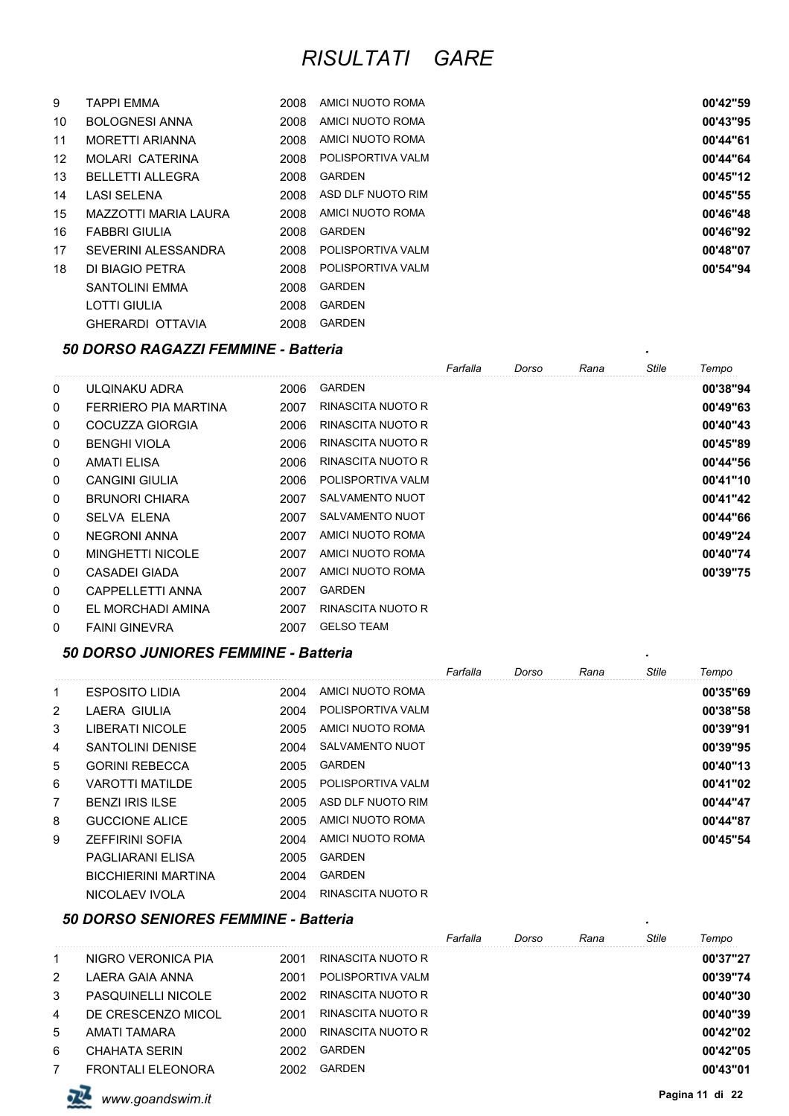| 9                 | <b>TAPPI EMMA</b>          | 2008 | AMICI NUOTO ROMA  | 00'42"59 |
|-------------------|----------------------------|------|-------------------|----------|
| 10                | <b>BOLOGNESI ANNA</b>      | 2008 | AMICI NUOTO ROMA  | 00'43"95 |
| 11                | <b>MORETTI ARIANNA</b>     | 2008 | AMICI NUOTO ROMA  | 00'44"61 |
| $12 \overline{ }$ | MOLARI CATERINA            | 2008 | POLISPORTIVA VALM | 00'44"64 |
| 13                | BELLETTI ALLEGRA           | 2008 | <b>GARDEN</b>     | 00'45"12 |
| 14                | <b>LASI SELENA</b>         | 2008 | ASD DLF NUOTO RIM | 00'45"55 |
| 15                | MAZZOTTI MARIA LAURA       | 2008 | AMICI NUOTO ROMA  | 00'46"48 |
| 16                | <b>FABBRI GIULIA</b>       | 2008 | <b>GARDEN</b>     | 00'46"92 |
| 17                | <b>SEVERINI ALESSANDRA</b> | 2008 | POLISPORTIVA VALM | 00'48"07 |
| 18                | DI BIAGIO PETRA            | 2008 | POLISPORTIVA VALM | 00'54"94 |
|                   | <b>SANTOLINI EMMA</b>      | 2008 | <b>GARDEN</b>     |          |
|                   | <b>LOTTI GIULIA</b>        | 2008 | <b>GARDEN</b>     |          |
|                   | <b>GHERARDI OTTAVIA</b>    | 2008 | <b>GARDEN</b>     |          |

# *50 DORSO RAGAZZI FEMMINE - Batteria .*

|             |                         |      |                   | Farfalla | Dorso | Rana | Stile | Tempo    |
|-------------|-------------------------|------|-------------------|----------|-------|------|-------|----------|
| 0           | ULOINAKU ADRA           | 2006 | <b>GARDEN</b>     |          |       |      |       | 00'38"94 |
| 0           | FERRIERO PIA MARTINA    | 2007 | RINASCITA NUOTO R |          |       |      |       | 00'49"63 |
| 0           | COCUZZA GIORGIA         | 2006 | RINASCITA NUOTO R |          |       |      |       | 00'40"43 |
| 0           | <b>BENGHI VIOLA</b>     | 2006 | RINASCITA NUOTO R |          |       |      |       | 00'45"89 |
| 0           | AMATI ELISA             | 2006 | RINASCITA NUOTO R |          |       |      |       | 00'44"56 |
| 0           | <b>CANGINI GIULIA</b>   | 2006 | POLISPORTIVA VALM |          |       |      |       | 00'41"10 |
| 0           | <b>BRUNORI CHIARA</b>   | 2007 | SALVAMENTO NUOT   |          |       |      |       | 00'41"42 |
| 0           | <b>SELVA ELENA</b>      | 2007 | SALVAMENTO NUOT   |          |       |      |       | 00'44"66 |
| 0           | NEGRONI ANNA            | 2007 | AMICI NUOTO ROMA  |          |       |      |       | 00'49"24 |
| $\mathbf 0$ | <b>MINGHETTI NICOLE</b> | 2007 | AMICI NUOTO ROMA  |          |       |      |       | 00'40"74 |
| 0           | CASADEI GIADA           | 2007 | AMICI NUOTO ROMA  |          |       |      |       | 00'39"75 |
| $\mathbf 0$ | <b>CAPPELLETTI ANNA</b> | 2007 | <b>GARDEN</b>     |          |       |      |       |          |
| 0           | EL MORCHADI AMINA       | 2007 | RINASCITA NUOTO R |          |       |      |       |          |
| 0           | <b>FAINI GINEVRA</b>    | 2007 | <b>GELSO TEAM</b> |          |       |      |       |          |

#### *50 DORSO JUNIORES FEMMINE - Batteria .*

|                |                            |      |                   | Farfalla | Dorso | Rana | <b>Stile</b> | Tempo    |
|----------------|----------------------------|------|-------------------|----------|-------|------|--------------|----------|
| 1              | <b>ESPOSITO LIDIA</b>      | 2004 | AMICI NUOTO ROMA  |          |       |      |              | 00'35"69 |
| $\overline{2}$ | LAERA GIULIA               | 2004 | POLISPORTIVA VALM |          |       |      |              | 00'38"58 |
| 3              | LIBERATI NICOLE            | 2005 | AMICI NUOTO ROMA  |          |       |      |              | 00'39"91 |
| 4              | <b>SANTOLINI DENISE</b>    | 2004 | SALVAMENTO NUOT   |          |       |      |              | 00'39"95 |
| 5              | <b>GORINI REBECCA</b>      | 2005 | <b>GARDEN</b>     |          |       |      |              | 00'40"13 |
| 6              | <b>VAROTTI MATILDE</b>     | 2005 | POLISPORTIVA VALM |          |       |      |              | 00'41"02 |
| 7              | <b>BENZLIRIS ILSE</b>      | 2005 | ASD DLF NUOTO RIM |          |       |      |              | 00'44"47 |
| 8              | GUCCIONE ALICE             | 2005 | AMICI NUOTO ROMA  |          |       |      |              | 00'44"87 |
| 9              | <b>ZEFFIRINI SOFIA</b>     | 2004 | AMICI NUOTO ROMA  |          |       |      |              | 00'45"54 |
|                | PAGLIARANI ELISA           | 2005 | <b>GARDEN</b>     |          |       |      |              |          |
|                | <b>BICCHIERINI MARTINA</b> | 2004 | <b>GARDEN</b>     |          |       |      |              |          |
|                | NICOLAEV IVOLA             | 2004 | RINASCITA NUOTO R |          |       |      |              |          |

#### *50 DORSO SENIORES FEMMINE - Batteria .*

|   |                           |      |                   | Farfalla | Dorso | Rana | Stile | Tempo    |
|---|---------------------------|------|-------------------|----------|-------|------|-------|----------|
| 1 | NIGRO VERONICA PIA        | 2001 | RINASCITA NUOTO R |          |       |      |       | 00'37"27 |
| 2 | LAERA GAIA ANNA           | 2001 | POLISPORTIVA VALM |          |       |      |       | 00'39"74 |
| 3 | <b>PASQUINELLI NICOLE</b> | 2002 | RINASCITA NUOTO R |          |       |      |       | 00'40"30 |
| 4 | DE CRESCENZO MICOL        | 2001 | RINASCITA NUOTO R |          |       |      |       | 00'40"39 |
| 5 | AMATI TAMARA              | 2000 | RINASCITA NUOTO R |          |       |      |       | 00'42"02 |
| 6 | CHAHATA SERIN             | 2002 | GARDEN            |          |       |      |       | 00'42"05 |
|   | <b>FRONTALI ELEONORA</b>  | 2002 | GARDEN            |          |       |      |       | 00'43"01 |

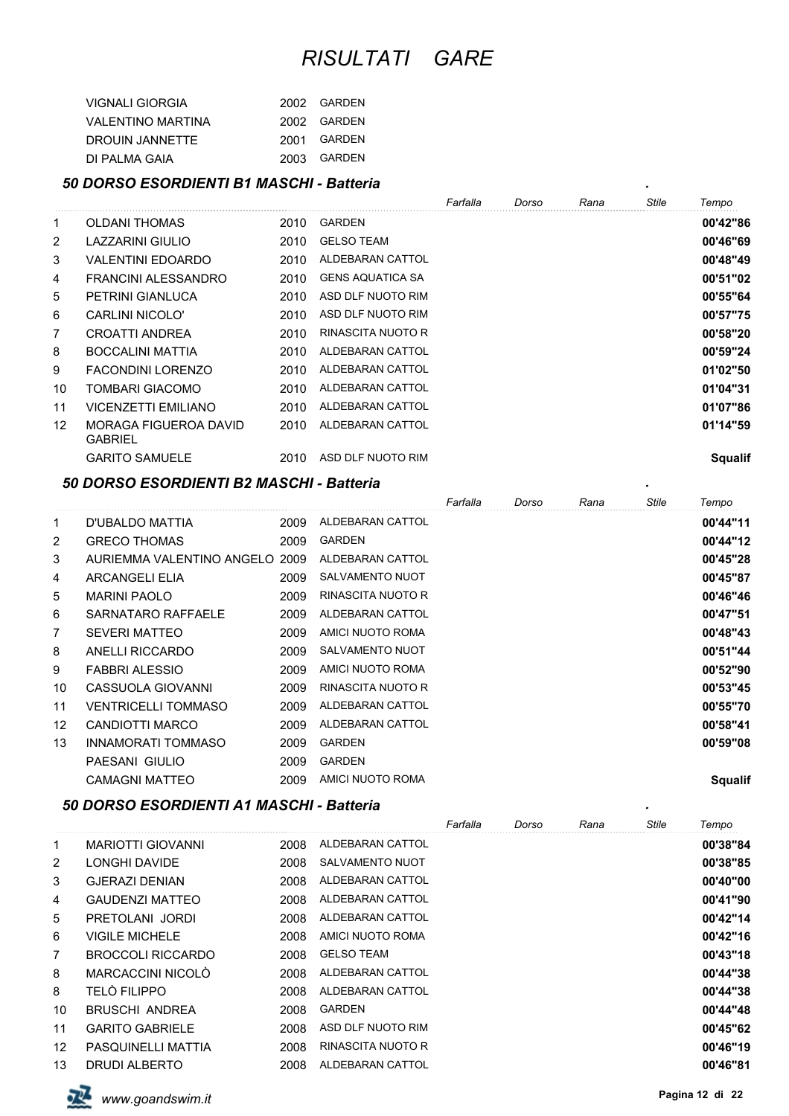| VIGNALI GIORGIA    | 2002 GARDEN |
|--------------------|-------------|
| VAI FNTINO MARTINA | 2002 GARDEN |
| DROUIN JANNETTE    | 2001 GARDEN |
| DI PAI MA GAIA     | 2003 GARDEN |

# *50 DORSO ESORDIENTI B1 MASCHI - Batteria .*

| 50 DORSO ESORDIENTI B1 MASCHI - Batteria<br>$\bullet$ |                                         |      |                         |          |       |      |              |                |  |
|-------------------------------------------------------|-----------------------------------------|------|-------------------------|----------|-------|------|--------------|----------------|--|
|                                                       |                                         |      |                         | Farfalla | Dorso | Rana | <b>Stile</b> | Tempo          |  |
| 1                                                     | <b>OLDANI THOMAS</b>                    | 2010 | <b>GARDEN</b>           |          |       |      |              | 00'42"86       |  |
| $\overline{2}$                                        | LAZZARINI GIULIO                        | 2010 | <b>GELSO TEAM</b>       |          |       |      |              | 00'46"69       |  |
| 3                                                     | <b>VALENTINI EDOARDO</b>                | 2010 | ALDEBARAN CATTOL        |          |       |      |              | 00'48"49       |  |
| 4                                                     | FRANCINI ALESSANDRO                     | 2010 | <b>GENS AQUATICA SA</b> |          |       |      |              | 00'51"02       |  |
| 5                                                     | PETRINI GIANLUCA                        | 2010 | ASD DLF NUOTO RIM       |          |       |      |              | 00'55"64       |  |
| 6                                                     | CARLINI NICOLO'                         | 2010 | ASD DLF NUOTO RIM       |          |       |      |              | 00'57"75       |  |
| $\overline{7}$                                        | CROATTI ANDREA                          | 2010 | RINASCITA NUOTO R       |          |       |      |              | 00'58"20       |  |
| 8                                                     | BOCCALINI MATTIA                        | 2010 | ALDEBARAN CATTOL        |          |       |      |              | 00'59"24       |  |
| 9                                                     | <b>FACONDINI LORENZO</b>                | 2010 | ALDEBARAN CATTOL        |          |       |      |              | 01'02"50       |  |
| 10                                                    | TOMBARI GIACOMO                         | 2010 | ALDEBARAN CATTOL        |          |       |      |              | 01'04"31       |  |
| 11                                                    | <b>VICENZETTI EMILIANO</b>              | 2010 | ALDEBARAN CATTOL        |          |       |      |              | 01'07"86       |  |
| 12                                                    | MORAGA FIGUEROA DAVID<br><b>GABRIEL</b> | 2010 | ALDEBARAN CATTOL        |          |       |      |              | 01'14"59       |  |
|                                                       | <b>GARITO SAMUELE</b>                   | 2010 | ASD DLF NUOTO RIM       |          |       |      |              | <b>Squalif</b> |  |

#### *50 DORSO ESORDIENTI B2 MASCHI - Batteria .*

|              |                                |      |                        | Farfalla | Dorso | Rana | <b>Stile</b> | Tempo          |
|--------------|--------------------------------|------|------------------------|----------|-------|------|--------------|----------------|
| $\mathbf{1}$ | D'UBALDO MATTIA                | 2009 | ALDEBARAN CATTOL       |          |       |      |              | 00'44"11       |
| 2            | <b>GRECO THOMAS</b>            | 2009 | <b>GARDEN</b>          |          |       |      |              | 00'44"12       |
| 3            | AURIEMMA VALENTINO ANGELO 2009 |      | ALDEBARAN CATTOL       |          |       |      |              | 00'45"28       |
| 4            | ARCANGELI ELIA                 | 2009 | <b>SALVAMENTO NUOT</b> |          |       |      |              | 00'45"87       |
| 5            | <b>MARINI PAOLO</b>            | 2009 | RINASCITA NUOTO R      |          |       |      |              | 00'46"46       |
| 6            | SARNATARO RAFFAELE             | 2009 | ALDEBARAN CATTOL       |          |       |      |              | 00'47"51       |
| 7            | <b>SEVERI MATTEO</b>           | 2009 | AMICI NUOTO ROMA       |          |       |      |              | 00'48"43       |
| 8            | ANELLI RICCARDO                | 2009 | <b>SALVAMENTO NUOT</b> |          |       |      |              | 00'51"44       |
| 9            | <b>FABBRI ALESSIO</b>          | 2009 | AMICI NUOTO ROMA       |          |       |      |              | 00'52"90       |
| 10           | CASSUOLA GIOVANNI              | 2009 | RINASCITA NUOTO R      |          |       |      |              | 00'53"45       |
| 11           | <b>VENTRICELLI TOMMASO</b>     | 2009 | ALDEBARAN CATTOL       |          |       |      |              | 00'55"70       |
| 12           | CANDIOTTI MARCO                | 2009 | ALDEBARAN CATTOL       |          |       |      |              | 00'58"41       |
| 13           | <b>INNAMORATI TOMMASO</b>      | 2009 | <b>GARDEN</b>          |          |       |      |              | 00'59"08       |
|              | PAESANI GIULIO                 | 2009 | <b>GARDEN</b>          |          |       |      |              |                |
|              | <b>CAMAGNI MATTEO</b>          | 2009 | AMICI NUOTO ROMA       |          |       |      |              | <b>Squalif</b> |

#### *50 DORSO ESORDIENTI A1 MASCHI - Batteria .*

|                |                          |      |                        | Farfalla | Dorso | Rana | Stile | Tempo    |
|----------------|--------------------------|------|------------------------|----------|-------|------|-------|----------|
| 1              | <b>MARIOTTI GIOVANNI</b> | 2008 | ALDEBARAN CATTOL       |          |       |      |       | 00'38"84 |
| 2              | LONGHI DAVIDE            | 2008 | <b>SALVAMENTO NUOT</b> |          |       |      |       | 00'38"85 |
| 3              | <b>GJERAZI DENIAN</b>    | 2008 | ALDEBARAN CATTOL       |          |       |      |       | 00'40"00 |
| 4              | <b>GAUDENZI MATTEO</b>   | 2008 | ALDEBARAN CATTOL       |          |       |      |       | 00'41"90 |
| 5              | PRETOLANI JORDI          | 2008 | ALDEBARAN CATTOL       |          |       |      |       | 00'42"14 |
| 6              | <b>VIGILE MICHELE</b>    | 2008 | AMICI NUOTO ROMA       |          |       |      |       | 00'42"16 |
| $\overline{7}$ | <b>BROCCOLI RICCARDO</b> | 2008 | <b>GELSO TEAM</b>      |          |       |      |       | 00'43"18 |
| 8              | MARCACCINI NICOLÒ        | 2008 | ALDEBARAN CATTOL       |          |       |      |       | 00'44"38 |
| 8              | <b>TELÒ FILIPPO</b>      | 2008 | ALDEBARAN CATTOL       |          |       |      |       | 00'44"38 |
| 10             | <b>BRUSCHI ANDREA</b>    | 2008 | <b>GARDEN</b>          |          |       |      |       | 00'44"48 |
| 11             | <b>GARITO GABRIELE</b>   | 2008 | ASD DLF NUOTO RIM      |          |       |      |       | 00'45"62 |
| 12             | PASQUINELLI MATTIA       | 2008 | RINASCITA NUOTO R      |          |       |      |       | 00'46"19 |
| 13             | <b>DRUDI ALBERTO</b>     | 2008 | ALDEBARAN CATTOL       |          |       |      |       | 00'46"81 |

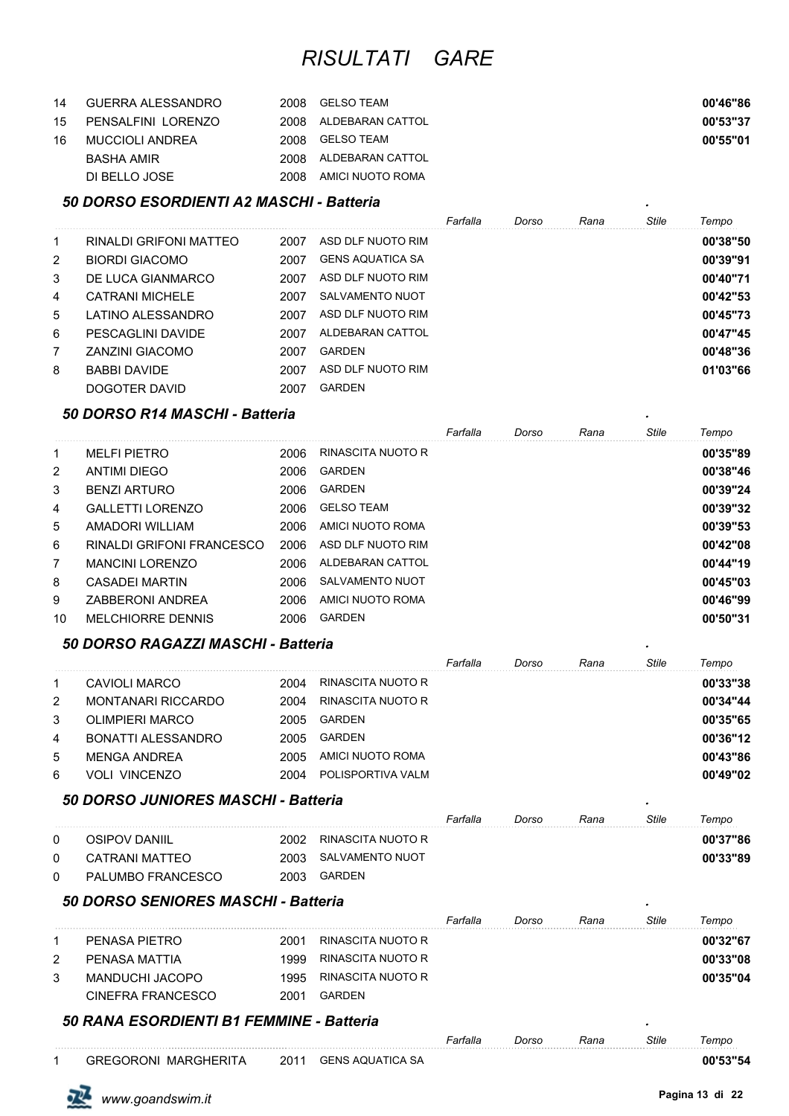| 14  | GUERRA ALESSANDRO     |      | 2008 GELSO TEAM       | 00'46"86 |
|-----|-----------------------|------|-----------------------|----------|
|     | 15 PENSALFINI LORENZO |      | 2008 ALDEBARAN CATTOL | 00'53"37 |
| 16. | MUCCIOLI ANDREA       |      | 2008 GELSO TEAM       | 00'55"01 |
|     | BASHA AMIR            |      | 2008 ALDEBARAN CATTOL |          |
|     | DI BELLO JOSE         | 2008 | AMICI NUOTO ROMA      |          |

#### *50 DORSO ESORDIENTI A2 MASCHI - Batteria .*

|                |                        |      |                         | Farfalla | Dorso | Rana | Stile | Tempo    |
|----------------|------------------------|------|-------------------------|----------|-------|------|-------|----------|
| 1              | RINALDI GRIFONI MATTEO | 2007 | ASD DLF NUOTO RIM       |          |       |      |       | 00'38"50 |
| 2              | <b>BIORDI GIACOMO</b>  | 2007 | <b>GENS AQUATICA SA</b> |          |       |      |       | 00'39"91 |
| 3              | DE LUCA GIANMARCO      | 2007 | ASD DLF NUOTO RIM       |          |       |      |       | 00'40"71 |
| 4              | CATRANI MICHELE        | 2007 | SALVAMENTO NUOT         |          |       |      |       | 00'42"53 |
| 5              | LATINO ALESSANDRO      | 2007 | ASD DLF NUOTO RIM       |          |       |      |       | 00'45"73 |
| 6              | PESCAGLINI DAVIDE      | 2007 | ALDEBARAN CATTOL        |          |       |      |       | 00'47"45 |
| $\overline{7}$ | ZANZINI GIACOMO        | 2007 | <b>GARDEN</b>           |          |       |      |       | 00'48"36 |
| 8              | <b>BABBI DAVIDE</b>    | 2007 | ASD DLF NUOTO RIM       |          |       |      |       | 01'03"66 |
|                | DOGOTER DAVID          | 2007 | <b>GARDEN</b>           |          |       |      |       |          |

#### *50 DORSO R14 MASCHI - Batteria .*

|                |                           |      |                   | Farfalla | Dorso | Rana | Stile | Tempo    |
|----------------|---------------------------|------|-------------------|----------|-------|------|-------|----------|
| 1              | <b>MELFI PIETRO</b>       | 2006 | RINASCITA NUOTO R |          |       |      |       | 00'35"89 |
| $\overline{2}$ | <b>ANTIMI DIEGO</b>       | 2006 | GARDEN            |          |       |      |       | 00'38"46 |
| 3              | <b>BENZI ARTURO</b>       | 2006 | <b>GARDEN</b>     |          |       |      |       | 00'39"24 |
| 4              | GALLETTLI ORENZO          | 2006 | <b>GELSO TEAM</b> |          |       |      |       | 00'39"32 |
| 5              | AMADORI WILLIAM           | 2006 | AMICI NUOTO ROMA  |          |       |      |       | 00'39"53 |
| 6              | RINALDI GRIFONI FRANCESCO | 2006 | ASD DLF NUOTO RIM |          |       |      |       | 00'42"08 |
| $\overline{7}$ | <b>MANCINI LORENZO</b>    | 2006 | ALDEBARAN CATTOL  |          |       |      |       | 00'44"19 |
| 8              | CASADEI MARTIN            | 2006 | SALVAMENTO NUOT   |          |       |      |       | 00'45"03 |
| 9              | <b>ZABBERONI ANDREA</b>   | 2006 | AMICI NUOTO ROMA  |          |       |      |       | 00'46"99 |
| 10             | <b>MELCHIORRE DENNIS</b>  | 2006 | GARDEN            |          |       |      |       | 00'50"31 |

#### *50 DORSO RAGAZZI MASCHI - Batteria .*

|   |                           |      |                   | Farfalla | Dorso | Rana | <b>Stile</b> | Tempo    |
|---|---------------------------|------|-------------------|----------|-------|------|--------------|----------|
|   | CAVIOLI MARCO             | 2004 | RINASCITA NUOTO R |          |       |      |              | 00'33"38 |
| 2 | <b>MONTANARI RICCARDO</b> | 2004 | RINASCITA NUOTO R |          |       |      |              | 00'34"44 |
| 3 | OLIMPIERI MARCO           | 2005 | <b>GARDEN</b>     |          |       |      |              | 00'35"65 |
| 4 | BONATTI ALESSANDRO        | 2005 | <b>GARDEN</b>     |          |       |      |              | 00'36"12 |
| 5 | MFNGA ANDRFA              | 2005 | AMICI NUOTO ROMA  |          |       |      |              | 00'43"86 |
| 6 | <b>VOLI VINCENZO</b>      | 2004 | POLISPORTIVA VALM |          |       |      |              | 00'49"02 |

#### *50 DORSO JUNIORES MASCHI - Batteria .*

|              |                   |      |                   | Farfalla | Dorso | Rana | Stile | empo     |
|--------------|-------------------|------|-------------------|----------|-------|------|-------|----------|
| $\mathbf{0}$ | OSIPOV DANIIL     | 2002 | RINASCITA NUOTO R |          |       |      |       | 00'37"86 |
| $\Omega$     | CATRANI MATTEO    | 2003 | SALVAMENTO NUOT   |          |       |      |       | 00'33"89 |
| $\Omega$     | PALUMBO FRANCESCO | 2003 | GARDEN            |          |       |      |       |          |

#### *50 DORSO SENIORES MASCHI - Batteria .*

|   |                   |      |                   | Farfalla | Dorso | Rana | Stile | Tempo    |
|---|-------------------|------|-------------------|----------|-------|------|-------|----------|
|   | PENASA PIETRO     | 2001 | RINASCITA NUOTO R |          |       |      |       | 00'32"67 |
| 2 | PENASA MATTIA     | 1999 | RINASCITA NUOTO R |          |       |      |       | 00'33"08 |
|   | MANDUCHI JACOPO   | 1995 | RINASCITA NUOTO R |          |       |      |       | 00'35"04 |
|   | CINEFRA FRANCESCO | 2001 | GARDEN            |          |       |      |       |          |

### *50 RANA ESORDIENTI B1 FEMMINE - Batteria .*

|                                                  |     |                                             | arfalla | Dorso | .<br>≺ana | <b>Stile</b> | empo                |
|--------------------------------------------------|-----|---------------------------------------------|---------|-------|-----------|--------------|---------------------|
| ORONI<br>⊤וכ…<br>MARGHE.<br>∃RFi<br>$\mathbf{A}$ | 201 | :A SA<br>гι<br>GENS<br>ו ונ<br>$\mathbf{v}$ |         |       |           |              | <b>nn'5°</b><br>-54 |

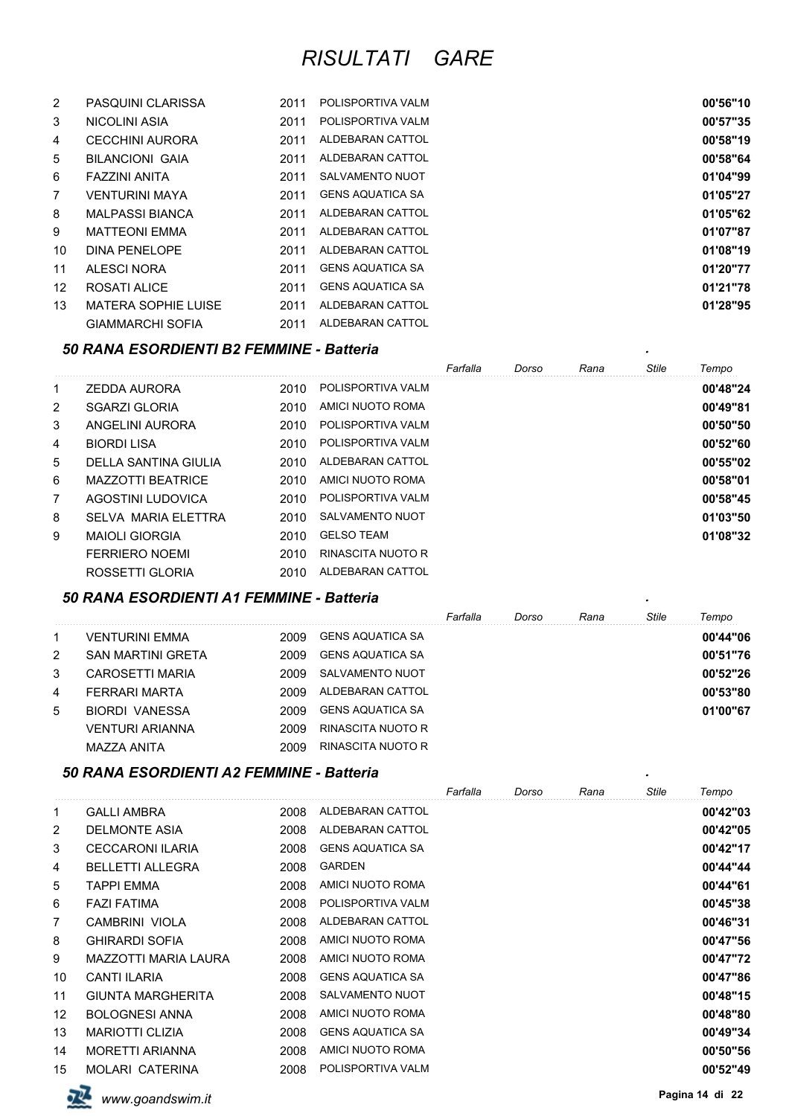| $\overline{2}$  | <b>PASQUINI CLARISSA</b>   | 2011 | POLISPORTIVA VALM       | 00'56"10 |
|-----------------|----------------------------|------|-------------------------|----------|
| 3               | NICOLINI ASIA              | 2011 | POLISPORTIVA VALM       | 00'57"35 |
| 4               | <b>CECCHINI AURORA</b>     | 2011 | ALDEBARAN CATTOL        | 00'58"19 |
| 5               | <b>BILANCIONI GAIA</b>     | 2011 | ALDEBARAN CATTOL        | 00'58"64 |
| 6               | FAZZINI ANITA              | 2011 | SALVAMENTO NUOT         | 01'04"99 |
| $\overline{7}$  | <b>VENTURINI MAYA</b>      | 2011 | <b>GENS AQUATICA SA</b> | 01'05"27 |
| 8               | <b>MALPASSI BIANCA</b>     | 2011 | ALDEBARAN CATTOL        | 01'05"62 |
| 9               | <b>MATTEONI EMMA</b>       | 2011 | ALDEBARAN CATTOL        | 01'07"87 |
| 10              | DINA PENELOPE              | 2011 | ALDEBARAN CATTOL        | 01'08"19 |
| 11              | ALESCI NORA                | 2011 | <b>GENS AQUATICA SA</b> | 01'20"77 |
| 12 <sup>°</sup> | ROSATI ALICE               | 2011 | <b>GENS AQUATICA SA</b> | 01'21"78 |
| 13              | <b>MATERA SOPHIE LUISE</b> | 2011 | ALDEBARAN CATTOL        | 01'28"95 |
|                 | <b>GIAMMARCHI SOFIA</b>    | 2011 | ALDEBARAN CATTOL        |          |

#### *50 RANA ESORDIENTI B2 FEMMINE - Batteria .*

|   |                          |      |                   | Farfalla | Dorso | Rana | Stile | Tempo    |
|---|--------------------------|------|-------------------|----------|-------|------|-------|----------|
| 1 | <b>ZEDDA AURORA</b>      | 2010 | POLISPORTIVA VALM |          |       |      |       | 00'48"24 |
| 2 | <b>SGARZI GLORIA</b>     | 2010 | AMICI NUOTO ROMA  |          |       |      |       | 00'49"81 |
| 3 | ANGELINI AURORA          | 2010 | POLISPORTIVA VALM |          |       |      |       | 00'50"50 |
| 4 | <b>BIORDI LISA</b>       | 2010 | POLISPORTIVA VALM |          |       |      |       | 00'52"60 |
| 5 | DELLA SANTINA GIULIA     | 2010 | ALDEBARAN CATTOL  |          |       |      |       | 00'55"02 |
| 6 | <b>MAZZOTTI BEATRICE</b> | 2010 | AMICI NUOTO ROMA  |          |       |      |       | 00'58"01 |
| 7 | AGOSTINI LUDOVICA        | 2010 | POLISPORTIVA VALM |          |       |      |       | 00'58"45 |
| 8 | SEI VA MARIA EI FTTRA    | 2010 | SALVAMENTO NUOT   |          |       |      |       | 01'03"50 |
| 9 | <b>MAIOLI GIORGIA</b>    | 2010 | <b>GELSO TEAM</b> |          |       |      |       | 01'08"32 |
|   | <b>FERRIERO NOEMI</b>    | 2010 | RINASCITA NUOTO R |          |       |      |       |          |
|   | ROSSETTI GLORIA          | 2010 | ALDEBARAN CATTOL  |          |       |      |       |          |

#### *50 RANA ESORDIENTI A1 FEMMINE - Batteria .*

|   |                          |      |                         | Farfalla | Dorso | Rana | <b>Stile</b> | Tempo    |
|---|--------------------------|------|-------------------------|----------|-------|------|--------------|----------|
|   | VENTURINI EMMA           | 2009 | GENS AQUATICA SA        |          |       |      |              | 00'44"06 |
| 2 | <b>SAN MARTINI GRETA</b> | 2009 | GENS AQUATICA SA        |          |       |      |              | 00'51"76 |
| 3 | CAROSFTTI MARIA          | 2009 | SALVAMENTO NUOT         |          |       |      |              | 00'52"26 |
| 4 | FERRARI MARTA            | 2009 | ALDEBARAN CATTOL        |          |       |      |              | 00'53"80 |
| 5 | BIORDI VANESSA           | 2009 | <b>GENS AQUATICA SA</b> |          |       |      |              | 01'00"67 |
|   | VENTURI ARIANNA          | 2009 | RINASCITA NUOTO R       |          |       |      |              |          |
|   | MAZZA ANITA              | 2009 | RINASCITA NUOTO R       |          |       |      |              |          |

#### *50 RANA ESORDIENTI A2 FEMMINE - Batteria .*

|                |                          |      |                         | Farfalla | Dorso | Rana | <b>Stile</b> | Tempo    |
|----------------|--------------------------|------|-------------------------|----------|-------|------|--------------|----------|
| 1              | <b>GALLI AMBRA</b>       | 2008 | ALDEBARAN CATTOL        |          |       |      |              | 00'42"03 |
| $\overline{2}$ | <b>DELMONTE ASIA</b>     | 2008 | ALDEBARAN CATTOL        |          |       |      |              | 00'42"05 |
| 3              | <b>CECCARONI ILARIA</b>  | 2008 | <b>GENS AQUATICA SA</b> |          |       |      |              | 00'42"17 |
| 4              | <b>BELLETTI ALLEGRA</b>  | 2008 | <b>GARDEN</b>           |          |       |      |              | 00'44"44 |
| 5              | <b>TAPPI EMMA</b>        | 2008 | AMICI NUOTO ROMA        |          |       |      |              | 00'44"61 |
| 6              | <b>FAZI FATIMA</b>       | 2008 | POLISPORTIVA VALM       |          |       |      |              | 00'45"38 |
| 7              | CAMBRINI VIOLA           | 2008 | ALDEBARAN CATTOL        |          |       |      |              | 00'46"31 |
| 8              | <b>GHIRARDI SOFIA</b>    | 2008 | AMICI NUOTO ROMA        |          |       |      |              | 00'47"56 |
| 9              | MAZZOTTI MARIA LAURA     | 2008 | AMICI NUOTO ROMA        |          |       |      |              | 00'47"72 |
| 10             | CANTI ILARIA             | 2008 | <b>GENS AQUATICA SA</b> |          |       |      |              | 00'47"86 |
| 11             | <b>GIUNTA MARGHERITA</b> | 2008 | <b>SALVAMENTO NUOT</b>  |          |       |      |              | 00'48"15 |
| 12             | <b>BOLOGNESI ANNA</b>    | 2008 | AMICI NUOTO ROMA        |          |       |      |              | 00'48"80 |
| 13             | <b>MARIOTTI CLIZIA</b>   | 2008 | <b>GENS AQUATICA SA</b> |          |       |      |              | 00'49"34 |
| 14             | <b>MORETTI ARIANNA</b>   | 2008 | AMICI NUOTO ROMA        |          |       |      |              | 00'50"56 |
| 15             | <b>MOLARI CATERINA</b>   | 2008 | POLISPORTIVA VALM       |          |       |      |              | 00'52"49 |



**Pagina 14 di** 22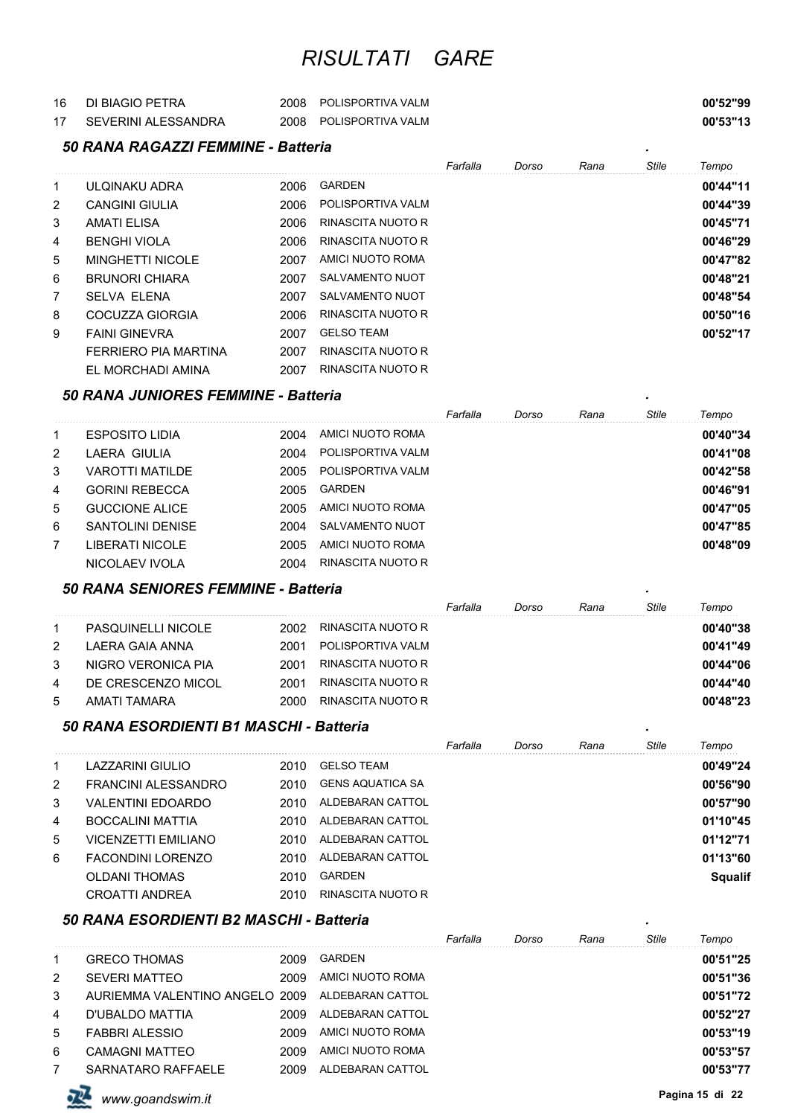| 16 | DI BIAGIO PETRA     | 2008 POLISPORTIVA VALM | 00'52"99 |
|----|---------------------|------------------------|----------|
|    | SEVERINI ALESSANDRA | 2008 POLISPORTIVA VALM | 00'53"13 |

# *50 RANA RAGAZZI FEMMINE - Batteria .*

|                |                         |      |                   | Farfalla | Dorso | Rana | Stile | Tempo    |
|----------------|-------------------------|------|-------------------|----------|-------|------|-------|----------|
| 1              | ULQINAKU ADRA           | 2006 | GARDEN            |          |       |      |       | 00'44"11 |
| $\overline{2}$ | <b>CANGINI GIULIA</b>   | 2006 | POLISPORTIVA VALM |          |       |      |       | 00'44"39 |
| 3              | AMATI ELISA             | 2006 | RINASCITA NUOTO R |          |       |      |       | 00'45"71 |
| 4              | <b>BENGHI VIOLA</b>     | 2006 | RINASCITA NUOTO R |          |       |      |       | 00'46"29 |
| 5              | <b>MINGHETTI NICOLE</b> | 2007 | AMICI NUOTO ROMA  |          |       |      |       | 00'47"82 |
| 6              | <b>BRUNORI CHIARA</b>   | 2007 | SALVAMENTO NUOT   |          |       |      |       | 00'48"21 |
| 7              | <b>SELVA ELENA</b>      | 2007 | SALVAMENTO NUOT   |          |       |      |       | 00'48"54 |
| 8              | COCUZZA GIORGIA         | 2006 | RINASCITA NUOTO R |          |       |      |       | 00'50"16 |
| 9              | <b>FAINI GINEVRA</b>    | 2007 | <b>GELSO TEAM</b> |          |       |      |       | 00'52"17 |
|                | FERRIERO PIA MARTINA    | 2007 | RINASCITA NUOTO R |          |       |      |       |          |
|                | EL MORCHADI AMINA       | 2007 | RINASCITA NUOTO R |          |       |      |       |          |

#### *50 RANA JUNIORES FEMMINE - Batteria .*

|    |                       |      |                   | Farfalla | Dorso | Rana | <b>Stile</b> | Tempo    |
|----|-----------------------|------|-------------------|----------|-------|------|--------------|----------|
|    | <b>ESPOSITO LIDIA</b> | 2004 | AMICI NUOTO ROMA  |          |       |      |              | 00'40"34 |
|    | LAERA GIULIA          | 2004 | POLISPORTIVA VALM |          |       |      |              | 00'41"08 |
| 3  | VAROTTI MATILDE       | 2005 | POLISPORTIVA VALM |          |       |      |              | 00'42"58 |
| 4  | <b>GORINI REBECCA</b> | 2005 | <b>GARDEN</b>     |          |       |      |              | 00'46"91 |
| 5. | <b>GUCCIONE ALICE</b> | 2005 | AMICI NUOTO ROMA  |          |       |      |              | 00'47"05 |
| 6  | SANTOLINI DENISE      | 2004 | SALVAMENTO NUOT   |          |       |      |              | 00'47"85 |
|    | LIBERATI NICOLE       | 2005 | AMICI NUOTO ROMA  |          |       |      |              | 00'48"09 |
|    | NICOLAEV IVOLA        | 2004 | RINASCITA NUOTO R |          |       |      |              |          |

#### *50 RANA SENIORES FEMMINE - Batteria .*

|    |                           |      |                   | Farfalla | Dorso | Rana | Stile | Tempo    |
|----|---------------------------|------|-------------------|----------|-------|------|-------|----------|
|    | <b>PASQUINELLI NICOLE</b> | 2002 | RINASCITA NUOTO R |          |       |      |       | 00'40"38 |
| 2  | LAERA GAIA ANNA           | 2001 | POLISPORTIVA VALM |          |       |      |       | 00'41"49 |
| 3  | NIGRO VERONICA PIA        | 2001 | RINASCITA NUOTO R |          |       |      |       | 00'44"06 |
| -4 | DE CRESCENZO MICOL        | 2001 | RINASCITA NUOTO R |          |       |      |       | 00'44"40 |
| 5  | AMATI TAMARA              | 2000 | RINASCITA NUOTO R |          |       |      |       | 00'48"23 |

#### *50 RANA ESORDIENTI B1 MASCHI - Batteria .*

|   |                            |      |                   | Farfalla | Dorso | Rana | Stile | Tempo          |
|---|----------------------------|------|-------------------|----------|-------|------|-------|----------------|
|   | LAZZARINI GIULIO           | 2010 | <b>GELSO TEAM</b> |          |       |      |       | 00'49"24       |
| 2 | FRANCINI ALESSANDRO        | 2010 | GENS AQUATICA SA  |          |       |      |       | 00'56"90       |
| 3 | VALENTINI EDOARDO          | 2010 | ALDEBARAN CATTOL  |          |       |      |       | 00'57"90       |
| 4 | BOCCALINI MATTIA           | 2010 | ALDEBARAN CATTOL  |          |       |      |       | 01'10"45       |
| 5 | <b>VICENZETTI EMILIANO</b> | 2010 | ALDEBARAN CATTOL  |          |       |      |       | 01'12"71       |
| 6 | FACONDINI LORENZO          | 2010 | ALDEBARAN CATTOL  |          |       |      |       | 01'13"60       |
|   | OLDANI THOMAS              | 2010 | <b>GARDEN</b>     |          |       |      |       | <b>Squalif</b> |
|   | <b>CROATTI ANDREA</b>      | 2010 | RINASCITA NUOTO R |          |       |      |       |                |

#### *50 RANA ESORDIENTI B2 MASCHI - Batteria .*

|              |                                |      |                  | Farfalla | Dorso | Rana | Stile | Tempo    |
|--------------|--------------------------------|------|------------------|----------|-------|------|-------|----------|
| $\mathbf{1}$ | <b>GRECO THOMAS</b>            | 2009 | <b>GARDEN</b>    |          |       |      |       | 00'51"25 |
| 2            | <b>SEVERI MATTEO</b>           | 2009 | AMICI NUOTO ROMA |          |       |      |       | 00'51"36 |
| 3            | AURIEMMA VALENTINO ANGELO 2009 |      | ALDEBARAN CATTOL |          |       |      |       | 00'51"72 |
| 4            | D'UBALDO MATTIA                | 2009 | ALDEBARAN CATTOL |          |       |      |       | 00'52"27 |
| 5            | FABBRI ALESSIO                 | 2009 | AMICI NUOTO ROMA |          |       |      |       | 00'53"19 |
| 6            | CAMAGNI MATTEO                 | 2009 | AMICI NUOTO ROMA |          |       |      |       | 00'53"57 |
|              | SARNATARO RAFFAELE             | 2009 | ALDEBARAN CATTOL |          |       |      |       | 00'53"77 |

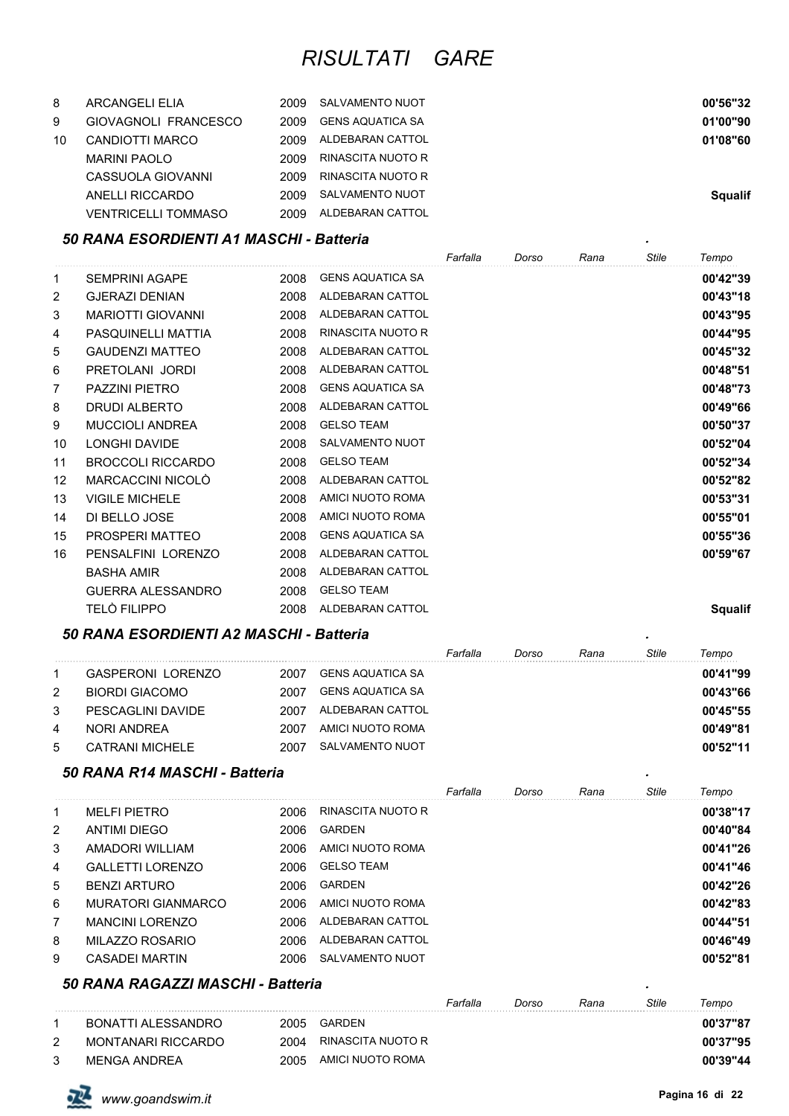| 8  | ARCANGELI ELIA             | 2009  | SALVAMENTO NUOT   | 00'56"32       |
|----|----------------------------|-------|-------------------|----------------|
| 9  | GIOVAGNOLI FRANCESCO       | 2009  | GENS AQUATICA SA  | 01'00"90       |
| 10 | CANDIOTTI MARCO            | 2009. | ALDEBARAN CATTOL  | 01'08"60       |
|    | <b>MARINI PAOLO</b>        | 2009  | RINASCITA NUOTO R |                |
|    | CASSUOLA GIOVANNI          | 2009  | RINASCITA NUOTO R |                |
|    | ANELLI RICCARDO            | 2009  | SALVAMENTO NUOT   | <b>Squalif</b> |
|    | <b>VENTRICELLI TOMMASO</b> | 2009  | ALDEBARAN CATTOL  |                |

#### *50 RANA ESORDIENTI A1 MASCHI - Batteria .*

|                |                          |      |                          | Farfalla | Dorso | Rana | <b>Stile</b> | Tempo          |
|----------------|--------------------------|------|--------------------------|----------|-------|------|--------------|----------------|
| 1              | <b>SEMPRINI AGAPE</b>    | 2008 | <b>GENS AQUATICA SA</b>  |          |       |      |              | 00'42"39       |
| 2              | <b>GJERAZI DENIAN</b>    | 2008 | ALDEBARAN CATTOL         |          |       |      |              | 00'43"18       |
| 3              | <b>MARIOTTI GIOVANNI</b> | 2008 | ALDEBARAN CATTOL         |          |       |      |              | 00'43"95       |
| 4              | PASQUINELLI MATTIA       | 2008 | <b>RINASCITA NUOTO R</b> |          |       |      |              | 00'44"95       |
| 5              | <b>GAUDENZI MATTEO</b>   | 2008 | ALDEBARAN CATTOL         |          |       |      |              | 00'45"32       |
| 6              | PRETOLANI JORDI          | 2008 | ALDEBARAN CATTOL         |          |       |      |              | 00'48"51       |
| $\overline{7}$ | <b>PAZZINI PIETRO</b>    | 2008 | <b>GENS AQUATICA SA</b>  |          |       |      |              | 00'48"73       |
| 8              | <b>DRUDI ALBERTO</b>     | 2008 | ALDEBARAN CATTOL         |          |       |      |              | 00'49"66       |
| 9              | <b>MUCCIOLI ANDREA</b>   | 2008 | <b>GELSO TEAM</b>        |          |       |      |              | 00'50"37       |
| 10             | <b>LONGHI DAVIDE</b>     | 2008 | <b>SALVAMENTO NUOT</b>   |          |       |      |              | 00'52"04       |
| 11             | <b>BROCCOLI RICCARDO</b> | 2008 | <b>GELSO TEAM</b>        |          |       |      |              | 00'52"34       |
| 12             | MARCACCINI NICOLO        | 2008 | ALDEBARAN CATTOL         |          |       |      |              | 00'52"82       |
| 13             | <b>VIGILE MICHELE</b>    | 2008 | AMICI NUOTO ROMA         |          |       |      |              | 00'53"31       |
| 14             | DI BELLO JOSE            | 2008 | AMICI NUOTO ROMA         |          |       |      |              | 00'55"01       |
| 15             | PROSPERI MATTEO          | 2008 | <b>GENS AQUATICA SA</b>  |          |       |      |              | 00'55"36       |
| 16             | PENSALFINI LORENZO       | 2008 | ALDEBARAN CATTOL         |          |       |      |              | 00'59"67       |
|                | <b>BASHA AMIR</b>        | 2008 | ALDEBARAN CATTOL         |          |       |      |              |                |
|                | <b>GUERRA ALESSANDRO</b> | 2008 | <b>GELSO TEAM</b>        |          |       |      |              |                |
|                | TELÒ FILIPPO             | 2008 | ALDEBARAN CATTOL         |          |       |      |              | <b>Squalif</b> |

#### *50 RANA ESORDIENTI A2 MASCHI - Batteria .*

|    |                          |      |                  | Farfalla | Dorso | Rana | Stile | Tempo    |
|----|--------------------------|------|------------------|----------|-------|------|-------|----------|
|    | <b>GASPERONI LORENZO</b> | 2007 | GENS AQUATICA SA |          |       |      |       | 00'41"99 |
| 2  | BIORDI GIACOMO           | 2007 | GENS AQUATICA SA |          |       |      |       | 00'43"66 |
| 3  | PESCAGLINI DAVIDE        | 2007 | ALDEBARAN CATTOL |          |       |      |       | 00'45"55 |
| -4 | NORI ANDRFA              | 2007 | AMICI NUOTO ROMA |          |       |      |       | 00'49"81 |
| 5  | <b>CATRANI MICHELE</b>   | 2007 | SALVAMENTO NUOT  |          |       |      |       | 00'52"11 |

#### *50 RANA R14 MASCHI - Batteria .*

|   | 50 RANA R14 MASCHI - Batteria |      |                   |          |       |      |              |          |
|---|-------------------------------|------|-------------------|----------|-------|------|--------------|----------|
|   |                               |      |                   | Farfalla | Dorso | Rana | <b>Stile</b> | Tempo    |
| 1 | <b>MELFI PIETRO</b>           | 2006 | RINASCITA NUOTO R |          |       |      |              | 00'38"17 |
| 2 | <b>ANTIMI DIEGO</b>           | 2006 | GARDEN            |          |       |      |              | 00'40"84 |
| 3 | AMADORI WII I IAM             | 2006 | AMICI NUOTO ROMA  |          |       |      |              | 00'41"26 |
| 4 | <b>GALLETTI LORENZO</b>       | 2006 | <b>GELSO TEAM</b> |          |       |      |              | 00'41"46 |
| 5 | BENZI ARTURO                  | 2006 | GARDEN            |          |       |      |              | 00'42"26 |
| 6 | <b>MURATORI GIANMARCO</b>     | 2006 | AMICI NUOTO ROMA  |          |       |      |              | 00'42"83 |
| 7 | MANCINI I ORFNZO              | 2006 | ALDEBARAN CATTOL  |          |       |      |              | 00'44"51 |
| 8 | MILAZZO ROSARIO               | 2006 | ALDEBARAN CATTOL  |          |       |      |              | 00'46"49 |
| 9 | <b>CASADEI MARTIN</b>         | 2006 | SALVAMENTO NUOT   |          |       |      |              | 00'52"81 |

#### *50 RANA RAGAZZI MASCHI - Batteria .*

|   |                    |      |                   | Farfalla | Dorso | Rana | Stile | Tempo    |
|---|--------------------|------|-------------------|----------|-------|------|-------|----------|
|   | BONATTI ALESSANDRO | 2005 | GARDEN            |          |       |      |       | 00'37"87 |
| 2 | MONTANARI RICCARDO | 2004 | RINASCITA NUOTO R |          |       |      |       | 00'37"95 |
|   | MFNGA ANDRFA       | 2005 | AMICI NUOTO ROMA  |          |       |      |       | 00'39"44 |

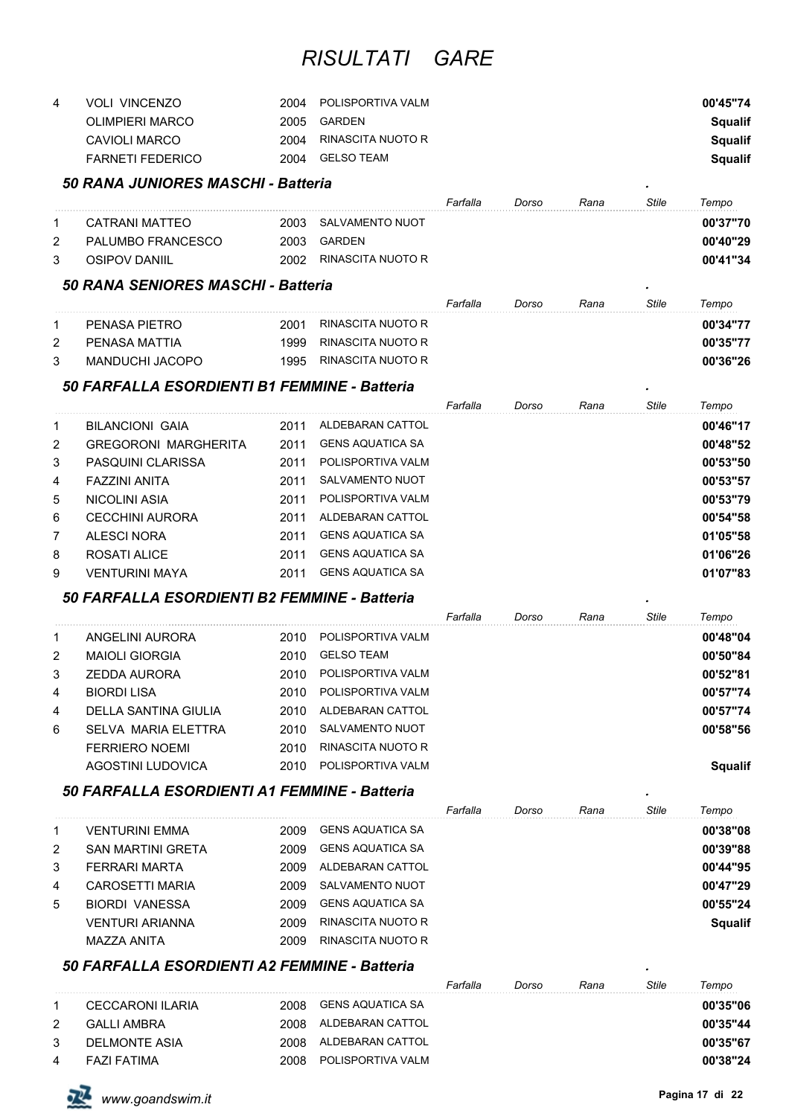| 4 | <b>VOLI VINCENZO</b> | 2004 | POLISPORTIVA VALM | 00'45"74 |
|---|----------------------|------|-------------------|----------|
|   | OLIMPIERI MARCO      | 2005 | GARDEN            | Squalif  |
|   | CAVIOLI MARCO        | 2004 | RINASCITA NUOTO R | Squalif  |
|   | FARNETI FEDERICO     | 2004 | GELSO TEAM        | Squalif  |

#### *50 RANA JUNIORES MASCHI - Batteria .*

|   |                           |      |                   | Farfalla | Dorso | Rana | Stile | Tempo    |
|---|---------------------------|------|-------------------|----------|-------|------|-------|----------|
|   | CATRANI MATTEO            | 2003 | SALVAMENTO NUOT   |          |       |      |       | 00'37"70 |
| 2 | <b>PAI UMBO FRANCESCO</b> | 2003 | GARDEN            |          |       |      |       | 00'40"29 |
| 3 | OSIPOV DANIIL             | 2002 | RINASCITA NUOTO R |          |       |      |       | 00'41"34 |
|   |                           |      |                   |          |       |      |       |          |

### *50 RANA SENIORES MASCHI - Batteria .*

|   |                 |      |                   | Farfalla | Dorso | Rana | Stile | Tempo    |
|---|-----------------|------|-------------------|----------|-------|------|-------|----------|
|   | PENASA PIETRO   | 2001 | RINASCITA NUOTO R |          |       |      |       | 00'34"77 |
| 2 | PFNASA MATTIA   | 1999 | RINASCITA NUOTO R |          |       |      |       | 00'35"77 |
|   | MANDUCHI JACOPO | 1995 | RINASCITA NUOTO R |          |       |      |       | 00'36"26 |

### *50 FARFALLA ESORDIENTI B1 FEMMINE - Batteria .*

|   |                             |      |                         | Farfalla | Dorso | Rana | Stile | Tempo    |
|---|-----------------------------|------|-------------------------|----------|-------|------|-------|----------|
| 1 | <b>BILANCIONI GAIA</b>      | 2011 | ALDEBARAN CATTOL        |          |       |      |       | 00'46"17 |
| 2 | <b>GREGORONI MARGHERITA</b> | 2011 | <b>GENS AQUATICA SA</b> |          |       |      |       | 00'48"52 |
| 3 | PASQUINI CLARISSA           | 2011 | POLISPORTIVA VALM       |          |       |      |       | 00'53"50 |
| 4 | FAZZINI ANITA               | 2011 | SALVAMENTO NUOT         |          |       |      |       | 00'53"57 |
| 5 | NICOLINI ASIA               | 2011 | POLISPORTIVA VALM       |          |       |      |       | 00'53"79 |
| 6 | CECCHINI AURORA             | 2011 | ALDEBARAN CATTOL        |          |       |      |       | 00'54"58 |
| 7 | ALESCI NORA                 | 2011 | <b>GENS AQUATICA SA</b> |          |       |      |       | 01'05"58 |
| 8 | ROSATI ALICE                | 2011 | <b>GENS AQUATICA SA</b> |          |       |      |       | 01'06"26 |
| 9 | VFNTURINI MAYA              | 2011 | <b>GENS AQUATICA SA</b> |          |       |      |       | 01'07"83 |

#### *50 FARFALLA ESORDIENTI B2 FEMMINE - Batteria .*

|    |                       |       |                   | Farfalla | Dorso | Rana | Stile | Tempo    |
|----|-----------------------|-------|-------------------|----------|-------|------|-------|----------|
| -1 | ANGELINI AURORA       | 2010  | POLISPORTIVA VALM |          |       |      |       | 00'48"04 |
| 2  | <b>MAIOLI GIORGIA</b> | 2010  | <b>GELSO TEAM</b> |          |       |      |       | 00'50"84 |
| 3  | ZEDDA AURORA          | 2010. | POLISPORTIVA VALM |          |       |      |       | 00'52"81 |
| 4  | <b>BIORDI LISA</b>    | 2010  | POLISPORTIVA VALM |          |       |      |       | 00'57"74 |
| 4  | DELLA SANTINA GIULIA  | 2010  | ALDEBARAN CATTOL  |          |       |      |       | 00'57"74 |
| 6  | SELVA MARIA ELETTRA   | 2010  | SALVAMENTO NUOT   |          |       |      |       | 00'58"56 |
|    | <b>FERRIERO NOEMI</b> | 2010  | RINASCITA NUOTO R |          |       |      |       |          |
|    | AGOSTINI LUDOVICA     | 2010  | POLISPORTIVA VALM |          |       |      |       | Sɑualif  |

#### *50 FARFALLA ESORDIENTI A1 FEMMINE - Batteria .*

|   |                          |      |                   | Farfalla | Dorso | Rana | <b>Stile</b> | Tempo          |
|---|--------------------------|------|-------------------|----------|-------|------|--------------|----------------|
|   | VENTURINI EMMA           | 2009 | GENS AQUATICA SA  |          |       |      |              | 00'38"08       |
| 2 | <b>SAN MARTINI GRETA</b> | 2009 | GENS AQUATICA SA  |          |       |      |              | 00'39"88       |
| 3 | FFRRARI MARTA            | 2009 | ALDEBARAN CATTOL  |          |       |      |              | 00'44"95       |
| 4 | CAROSETTI MARIA          | 2009 | SALVAMENTO NUOT   |          |       |      |              | 00'47"29       |
| 5 | BIORDI VANESSA           | 2009 | GENS AQUATICA SA  |          |       |      |              | 00'55"24       |
|   | VENTURI ARIANNA          | 2009 | RINASCITA NUOTO R |          |       |      |              | <b>Squalif</b> |
|   | MAZZA ANITA              | 2009 | RINASCITA NUOTO R |          |       |      |              |                |

### *50 FARFALLA ESORDIENTI A2 FEMMINE - Batteria .*

|   |                    |      |                   | Farfalla | Dorso | Rana | Stile | Tempo    |
|---|--------------------|------|-------------------|----------|-------|------|-------|----------|
|   | CECCARONI ILARIA   | 2008 | GENS AQUATICA SA  |          |       |      |       | 00'35"06 |
|   | <b>GALLI AMBRA</b> | 2008 | ALDEBARAN CATTOL  |          |       |      |       | 00'35"44 |
| 3 | DELMONTE ASIA      | 2008 | ALDEBARAN CATTOL  |          |       |      |       | 00'35"67 |
| 4 | FAZI FATIMA        | 2008 | POLISPORTIVA VALM |          |       |      |       | 00'38"24 |

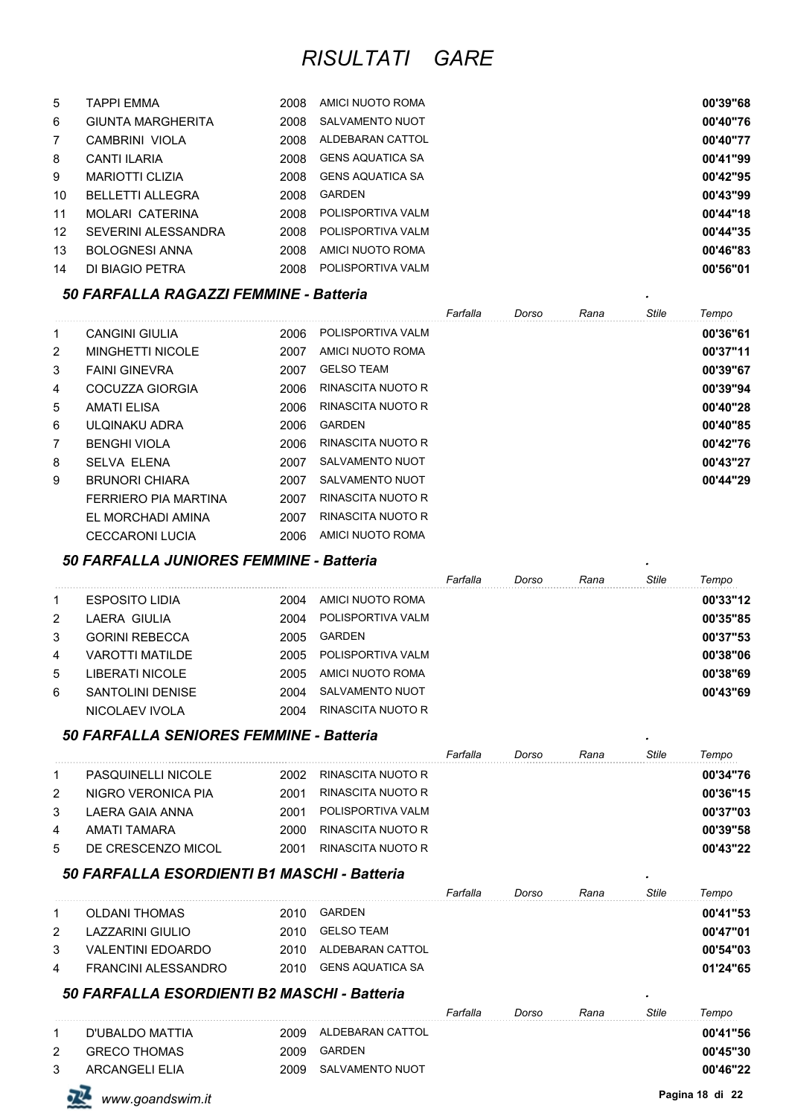| 5              | TAPPI EMMA               | 2008 | AMICI NUOTO ROMA        | 00'39"68 |
|----------------|--------------------------|------|-------------------------|----------|
| 6              | <b>GIUNTA MARGHERITA</b> | 2008 | SALVAMENTO NUOT         | 00'40"76 |
| $\overline{7}$ | CAMBRINI VIOLA           | 2008 | ALDEBARAN CATTOL        | 00'40"77 |
| 8              | CANTI ILARIA             | 2008 | <b>GENS AQUATICA SA</b> | 00'41"99 |
| 9              | <b>MARIOTTI CLIZIA</b>   | 2008 | <b>GENS AQUATICA SA</b> | 00'42"95 |
| 10             | <b>BELLETTI ALLEGRA</b>  | 2008 | GARDEN                  | 00'43"99 |
| 11             | MOLARI CATERINA          | 2008 | POLISPORTIVA VALM       | 00'44"18 |
| 12             | SEVERINI ALESSANDRA      | 2008 | POLISPORTIVA VALM       | 00'44"35 |
| 13             | <b>BOLOGNESI ANNA</b>    | 2008 | AMICI NUOTO ROMA        | 00'46"83 |
| 14             | DI BIAGIO PETRA          | 2008 | POLISPORTIVA VALM       | 00'56"01 |

#### *50 FARFALLA RAGAZZI FEMMINE - Batteria .*

|   |                        |      |                   | Farfalla | Dorso | Rana | Stile | Tempo    |
|---|------------------------|------|-------------------|----------|-------|------|-------|----------|
| 1 | <b>CANGINI GIULIA</b>  | 2006 | POLISPORTIVA VALM |          |       |      |       | 00'36"61 |
| 2 | MINGHETTI NICOLE       | 2007 | AMICI NUOTO ROMA  |          |       |      |       | 00'37"11 |
| 3 | <b>FAINI GINEVRA</b>   | 2007 | <b>GELSO TEAM</b> |          |       |      |       | 00'39"67 |
| 4 | COCUZZA GIORGIA        | 2006 | RINASCITA NUOTO R |          |       |      |       | 00'39"94 |
| 5 | <b>AMATI ELISA</b>     | 2006 | RINASCITA NUOTO R |          |       |      |       | 00'40"28 |
| 6 | ULOINAKU ADRA          | 2006 | <b>GARDEN</b>     |          |       |      |       | 00'40"85 |
| 7 | <b>BENGHI VIOLA</b>    | 2006 | RINASCITA NUOTO R |          |       |      |       | 00'42"76 |
| 8 | <b>SELVA ELENA</b>     | 2007 | SALVAMENTO NUOT   |          |       |      |       | 00'43"27 |
| 9 | <b>BRUNORI CHIARA</b>  | 2007 | SALVAMENTO NUOT   |          |       |      |       | 00'44"29 |
|   | FERRIERO PIA MARTINA   | 2007 | RINASCITA NUOTO R |          |       |      |       |          |
|   | EL MORCHADI AMINA      | 2007 | RINASCITA NUOTO R |          |       |      |       |          |
|   | <b>CECCARONI LUCIA</b> | 2006 | AMICI NUOTO ROMA  |          |       |      |       |          |

### *50 FARFALLA JUNIORES FEMMINE - Batteria .*

|   |                        |      |                   | Farfalla | Dorso | Rana | Stile | Tempo    |
|---|------------------------|------|-------------------|----------|-------|------|-------|----------|
| 1 | <b>ESPOSITO LIDIA</b>  | 2004 | AMICI NUOTO ROMA  |          |       |      |       | 00'33"12 |
| 2 | LAERA GIULIA           | 2004 | POLISPORTIVA VALM |          |       |      |       | 00'35"85 |
| 3 | <b>GORINI REBECCA</b>  | 2005 | GARDEN            |          |       |      |       | 00'37"53 |
| 4 | <b>VAROTTI MATILDE</b> | 2005 | POLISPORTIVA VALM |          |       |      |       | 00'38"06 |
| 5 | LIBERATI NICOLE        | 2005 | AMICI NUOTO ROMA  |          |       |      |       | 00'38"69 |
| 6 | SANTOLINI DENISE       | 2004 | SALVAMENTO NUOT   |          |       |      |       | 00'43"69 |
|   | NICOLAEV IVOLA         | 2004 | RINASCITA NUOTO R |          |       |      |       |          |

#### *50 FARFALLA SENIORES FEMMINE - Batteria .*

|   |                           |       |                   | Farfalla | Dorso | Rana | Stile | Tempo    |
|---|---------------------------|-------|-------------------|----------|-------|------|-------|----------|
|   | <b>PASQUINELLI NICOLE</b> | 2002. | RINASCITA NUOTO R |          |       |      |       | 00'34"76 |
| 2 | NIGRO VERONICA PIA        | 2001  | RINASCITA NUOTO R |          |       |      |       | 00'36"15 |
| 3 | LAERA GAIA ANNA           | 2001  | POLISPORTIVA VALM |          |       |      |       | 00'37"03 |
| 4 | AMATI TAMARA              | 2000  | RINASCITA NUOTO R |          |       |      |       | 00'39"58 |
| 5 | DE CRESCENZO MICOL        | 2001  | RINASCITA NUOTO R |          |       |      |       | 00'43"22 |

#### *50 FARFALLA ESORDIENTI B1 MASCHI - Batteria .*

|   |                     |      |                  | Farfalla | Dorso | Rana | Stile | Tempo    |
|---|---------------------|------|------------------|----------|-------|------|-------|----------|
|   | OLDANI THOMAS       | 2010 | GARDEN           |          |       |      |       | 00'41"53 |
|   | LAZZARINI GIULIO    | 2010 | GELSO TEAM       |          |       |      |       | 00'47"01 |
| 3 | VALENTINI EDOARDO   | 2010 | ALDEBARAN CATTOL |          |       |      |       | 00'54"03 |
| 4 | FRANCINI ALESSANDRO | 2010 | GENS AQUATICA SA |          |       |      |       | 01'24"65 |

#### *50 FARFALLA ESORDIENTI B2 MASCHI - Batteria .*

|   |                     |      |                  | Farfalla | Dorso | Rana | Stile | Tempo    |
|---|---------------------|------|------------------|----------|-------|------|-------|----------|
|   | D'UBALDO MATTIA     | 2009 | ALDEBARAN CATTOL |          |       |      |       | 00'41"56 |
| 2 | <b>GRECO THOMAS</b> | 2009 | GARDEN           |          |       |      |       | 00'45"30 |
|   | ARCANGELLELIA       | 2009 | SALVAMENTO NUOT  |          |       |      |       | 00'46"22 |

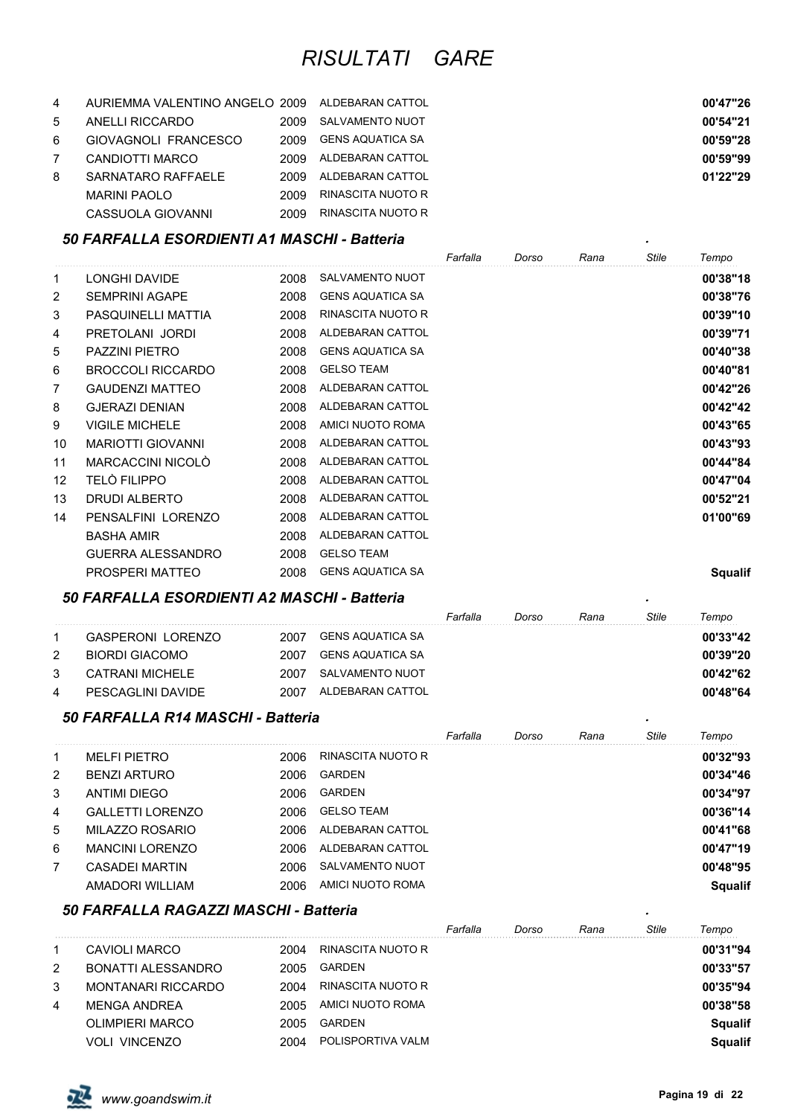| 4 | AURIEMMA VALENTINO ANGELO 2009 |       | ALDEBARAN CATTOL  | 00'47"26 |
|---|--------------------------------|-------|-------------------|----------|
| 5 | ANELLI RICCARDO                | 2009  | SALVAMENTO NUOT   | 00'54"21 |
| 6 | GIOVAGNOLI FRANCESCO           | 2009  | GENS AQUATICA SA  | 00'59"28 |
|   | CANDIOTTI MARCO                | 2009  | ALDEBARAN CATTOL  | 00'59"99 |
| 8 | SARNATARO RAFFAELE             | 2009. | ALDEBARAN CATTOL  | 01'22"29 |
|   | MARINI PAOLO                   | 2009  | RINASCITA NUOTO R |          |
|   | CASSUOLA GIOVANNI              | 2009  | RINASCITA NUOTO R |          |

#### *50 FARFALLA ESORDIENTI A1 MASCHI - Batteria .*

|    |                          |      |                          | Farfalla | Dorso | Rana | Stile | Tempo          |
|----|--------------------------|------|--------------------------|----------|-------|------|-------|----------------|
| 1  | LONGHI DAVIDE            | 2008 | <b>SALVAMENTO NUOT</b>   |          |       |      |       | 00'38"18       |
| 2  | <b>SEMPRINI AGAPE</b>    | 2008 | <b>GENS AQUATICA SA</b>  |          |       |      |       | 00'38"76       |
| 3  | PASQUINELLI MATTIA       | 2008 | <b>RINASCITA NUOTO R</b> |          |       |      |       | 00'39"10       |
| 4  | PRETOLANI JORDI          | 2008 | ALDEBARAN CATTOL         |          |       |      |       | 00'39"71       |
| 5  | <b>PAZZINI PIETRO</b>    | 2008 | <b>GENS AQUATICA SA</b>  |          |       |      |       | 00'40"38       |
| 6  | <b>BROCCOLI RICCARDO</b> | 2008 | <b>GELSO TEAM</b>        |          |       |      |       | 00'40"81       |
| 7  | <b>GAUDENZI MATTEO</b>   | 2008 | ALDEBARAN CATTOL         |          |       |      |       | 00'42"26       |
| 8  | <b>GJERAZI DENIAN</b>    | 2008 | ALDEBARAN CATTOL         |          |       |      |       | 00'42"42       |
| 9  | <b>VIGILE MICHELE</b>    | 2008 | AMICI NUOTO ROMA         |          |       |      |       | 00'43"65       |
| 10 | <b>MARIOTTI GIOVANNI</b> | 2008 | ALDEBARAN CATTOL         |          |       |      |       | 00'43"93       |
| 11 | MARCACCINI NICOLÒ        | 2008 | ALDEBARAN CATTOL         |          |       |      |       | 00'44"84       |
| 12 | <b>TELÒ FILIPPO</b>      | 2008 | ALDEBARAN CATTOL         |          |       |      |       | 00'47"04       |
| 13 | <b>DRUDI ALBERTO</b>     | 2008 | ALDEBARAN CATTOL         |          |       |      |       | 00'52"21       |
| 14 | PENSALFINI LORENZO       | 2008 | ALDEBARAN CATTOL         |          |       |      |       | 01'00"69       |
|    | <b>BASHA AMIR</b>        | 2008 | ALDEBARAN CATTOL         |          |       |      |       |                |
|    | <b>GUERRA ALESSANDRO</b> | 2008 | <b>GELSO TEAM</b>        |          |       |      |       |                |
|    | <b>PROSPERI MATTEO</b>   | 2008 | <b>GENS AQUATICA SA</b>  |          |       |      |       | <b>Squalif</b> |

#### *50 FARFALLA ESORDIENTI A2 MASCHI - Batteria .*

|   |                    |      |                  | Farfalla | Dorso | Rana | Stile | Tempo    |
|---|--------------------|------|------------------|----------|-------|------|-------|----------|
|   | GASPERONI LORENZO  | 2007 | GENS AQUATICA SA |          |       |      |       | 00'33"42 |
|   | BIORDI GIACOMO     | 2007 | GENS AQUATICA SA |          |       |      |       | 00'39"20 |
| 3 | CATRANI MICHELE    | 2007 | SALVAMENTO NUOT  |          |       |      |       | 00'42"62 |
| 4 | PESCAGI INI DAVIDE | 2007 | ALDEBARAN CATTOL |          |       |      |       | 00'48"64 |

#### *50 FARFALLA R14 MASCHI - Batteria .*

|    |                         |      |                   | Farfalla | Dorso | Rana | Stile | Tempo          |
|----|-------------------------|------|-------------------|----------|-------|------|-------|----------------|
| -1 | <b>MELFI PIETRO</b>     | 2006 | RINASCITA NUOTO R |          |       |      |       | 00'32"93       |
| 2  | <b>BENZI ARTURO</b>     | 2006 | <b>GARDEN</b>     |          |       |      |       | 00'34"46       |
| 3  | <b>ANTIMI DIEGO</b>     | 2006 | <b>GARDEN</b>     |          |       |      |       | 00'34"97       |
| 4  | <b>GALLETTI LORENZO</b> | 2006 | <b>GELSO TEAM</b> |          |       |      |       | 00'36"14       |
| 5  | MILAZZO ROSARIO         | 2006 | ALDEBARAN CATTOL  |          |       |      |       | 00'41"68       |
| 6  | <b>MANCINI LORENZO</b>  | 2006 | ALDEBARAN CATTOL  |          |       |      |       | 00'47"19       |
| 7  | CASADEI MARTIN          | 2006 | SALVAMENTO NUOT   |          |       |      |       | 00'48"95       |
|    | AMADORI WILLIAM         | 2006 | AMICI NUOTO ROMA  |          |       |      |       | <b>Squalif</b> |

# *50 FARFALLA RAGAZZI MASCHI - Batteria .*

|   |                           |      |                   | Farfalla | Dorso | Rana | <b>Stile</b> | Tempo          |
|---|---------------------------|------|-------------------|----------|-------|------|--------------|----------------|
|   | CAVIOLI MARCO             | 2004 | RINASCITA NUOTO R |          |       |      |              | 00'31"94       |
| 2 | BONATTI ALESSANDRO        | 2005 | GARDEN            |          |       |      |              | 00'33"57       |
| 3 | <b>MONTANARI RICCARDO</b> | 2004 | RINASCITA NUOTO R |          |       |      |              | 00'35"94       |
| 4 | MENGA ANDREA              | 2005 | AMICI NUOTO ROMA  |          |       |      |              | 00'38"58       |
|   | OLIMPIERI MARCO           | 2005 | GARDEN            |          |       |      |              | <b>Squalif</b> |
|   | <b>VOLI VINCENZO</b>      | 2004 | POLISPORTIVA VALM |          |       |      |              | <b>Squalif</b> |

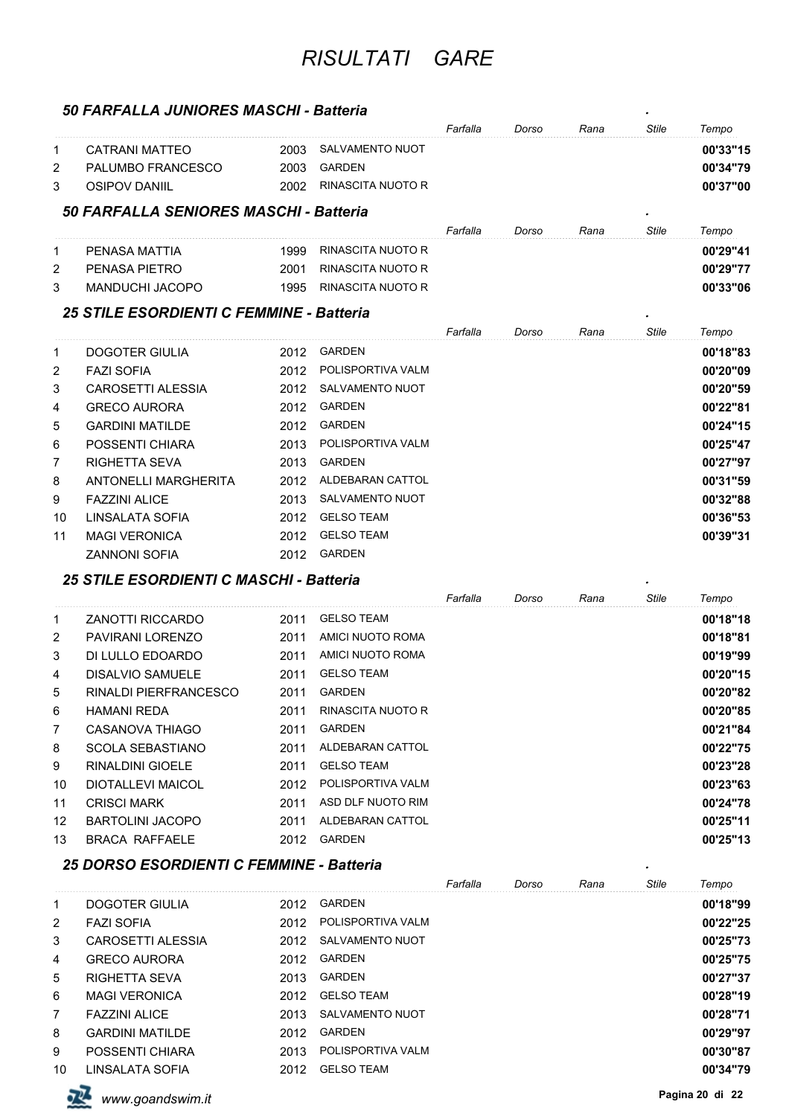### *50 FARFALLA JUNIORES MASCHI - Batteria .*

|    |                                          |      |                        | Farfalla | Dorso | Rana | Stile        | Tempo    |
|----|------------------------------------------|------|------------------------|----------|-------|------|--------------|----------|
| 1  | CATRANI MATTEO                           | 2003 | SALVAMENTO NUOT        |          |       |      |              | 00'33"15 |
| 2  | PALUMBO FRANCESCO                        | 2003 | <b>GARDEN</b>          |          |       |      |              | 00'34"79 |
| 3  | <b>OSIPOV DANIIL</b>                     | 2002 | RINASCITA NUOTO R      |          |       |      |              | 00'37"00 |
|    | 50 FARFALLA SENIORES MASCHI - Batteria   |      |                        |          |       |      |              |          |
|    |                                          |      |                        | Farfalla | Dorso | Rana | <b>Stile</b> | Tempo    |
| 1  | PENASA MATTIA                            | 1999 | RINASCITA NUOTO R      |          |       |      |              | 00'29"41 |
| 2  | PENASA PIETRO                            | 2001 | RINASCITA NUOTO R      |          |       |      |              | 00'29"77 |
| 3  | <b>MANDUCHI JACOPO</b>                   | 1995 | RINASCITA NUOTO R      |          |       |      |              | 00'33"06 |
|    | 25 STILE ESORDIENTI C FEMMINE - Batteria |      |                        |          |       |      |              |          |
|    |                                          |      |                        | Farfalla | Dorso | Rana | <b>Stile</b> | Tempo    |
| 1  | DOGOTER GIULIA                           | 2012 | GARDEN                 |          |       |      |              | 00'18"83 |
| 2  | <b>FAZI SOFIA</b>                        | 2012 | POLISPORTIVA VALM      |          |       |      |              | 00'20"09 |
| 3  | <b>CAROSETTI ALESSIA</b>                 | 2012 | SALVAMENTO NUOT        |          |       |      |              | 00'20"59 |
| 4  | <b>GRECO AURORA</b>                      | 2012 | <b>GARDEN</b>          |          |       |      |              | 00'22"81 |
| 5  | <b>GARDINI MATILDE</b>                   | 2012 | <b>GARDEN</b>          |          |       |      |              | 00'24"15 |
| 6  | POSSENTI CHIARA                          | 2013 | POLISPORTIVA VALM      |          |       |      |              | 00'25"47 |
| 7  | RIGHETTA SEVA                            | 2013 | GARDEN                 |          |       |      |              | 00'27"97 |
| 8  | ANTONELLI MARGHERITA                     | 2012 | ALDEBARAN CATTOL       |          |       |      |              | 00'31"59 |
| 9  | <b>FAZZINI ALICE</b>                     | 2013 | SALVAMENTO NUOT        |          |       |      |              | 00'32"88 |
| 10 | LINSALATA SOFIA                          | 2012 | <b>GELSO TEAM</b>      |          |       |      |              | 00'36"53 |
| 11 | <b>MAGI VERONICA</b>                     | 2012 | <b>GELSO TEAM</b>      |          |       |      |              | 00'39"31 |
|    | <b>ZANNONI SOFIA</b>                     | 2012 | GARDEN                 |          |       |      |              |          |
|    | 25 STILE ESORDIENTI C MASCHI - Batteria  |      |                        |          |       |      |              |          |
|    |                                          |      |                        | Farfalla | Dorso | Rana | <b>Stile</b> | Tempo    |
| 1  | ZANOTTI RICCARDO                         | 2011 | <b>GELSO TEAM</b>      |          |       |      |              | 00'18"18 |
| 2  | PAVIRANI LORENZO                         | 2011 | AMICI NUOTO ROMA       |          |       |      |              | 00'18"81 |
| 3  | DI LULLO EDOARDO                         | 2011 | AMICI NUOTO ROMA       |          |       |      |              | 00'19"99 |
| 4  | <b>DISALVIO SAMUELE</b>                  | 2011 | <b>GELSO TEAM</b>      |          |       |      |              | 00'20"15 |
| 5  | <b>RINALDI PIERFRANCESCO</b>             | 2011 | <b>GARDEN</b>          |          |       |      |              | 00'20"82 |
| 6  | HAMANI REDA                              | 2011 | RINASCITA NUOTO R      |          |       |      |              | 00'20"85 |
| 7  | CASANOVA THIAGO                          | 2011 | GARDEN                 |          |       |      |              | 00'21"84 |
| 8  | <b>SCOLA SEBASTIANO</b>                  | 2011 | ALDEBARAN CATTOL       |          |       |      |              | 00'22"75 |
| 9  | <b>RINALDINI GIOELE</b>                  | 2011 | <b>GELSO TEAM</b>      |          |       |      |              | 00'23"28 |
| 10 | <b>DIOTALLEVI MAICOL</b>                 |      | 2012 POLISPORTIVA VALM |          |       |      |              | 00'23"63 |
| 11 | <b>CRISCI MARK</b>                       | 2011 | ASD DLF NUOTO RIM      |          |       |      |              | 00'24"78 |
| 12 | <b>BARTOLINI JACOPO</b>                  | 2011 | ALDEBARAN CATTOL       |          |       |      |              | 00'25"11 |
| 13 | <b>BRACA RAFFAELE</b>                    |      | 2012 GARDEN            |          |       |      |              | 00'25"13 |
|    | 25 DORSO ESORDIENTI C FEMMINE - Batteria |      |                        |          |       |      |              |          |
|    |                                          |      |                        | Farfalla | Dorso | Rana | <b>Stile</b> | Tempo    |
| 1  | DOGOTER GIULIA                           |      | 2012 GARDEN            |          |       |      |              | 00'18"99 |
| 2  | <b>FAZI SOFIA</b>                        |      | 2012 POLISPORTIVA VALM |          |       |      |              | 00'22"25 |
| 3  | CAROSETTI ALESSIA                        |      | 2012 SALVAMENTO NUOT   |          |       |      |              | 00'25"73 |
| 4  | <b>GRECO AURORA</b>                      | 2012 | GARDEN                 |          |       |      |              | 00'25"75 |
| 5  | <b>RIGHETTA SEVA</b>                     | 2013 | GARDEN                 |          |       |      |              | 00'27"37 |
| 6  | <b>MAGI VERONICA</b>                     | 2012 | <b>GELSO TEAM</b>      |          |       |      |              | 00'28"19 |
| 7  | <b>FAZZINI ALICE</b>                     | 2013 | SALVAMENTO NUOT        |          |       |      |              | 00'28"71 |
| 8  | <b>GARDINI MATILDE</b>                   | 2012 | GARDEN                 |          |       |      |              | 00'29"97 |
|    | POSSENTI CHIARA                          |      | 2013 POLISPORTIVA VALM |          |       |      |              | 00'30"87 |

LINSALATA SOFIA 2012 GELSO TEAM **00'34"79**



**Pagina 20 di <sup>22</sup>** *www.goandswim.it*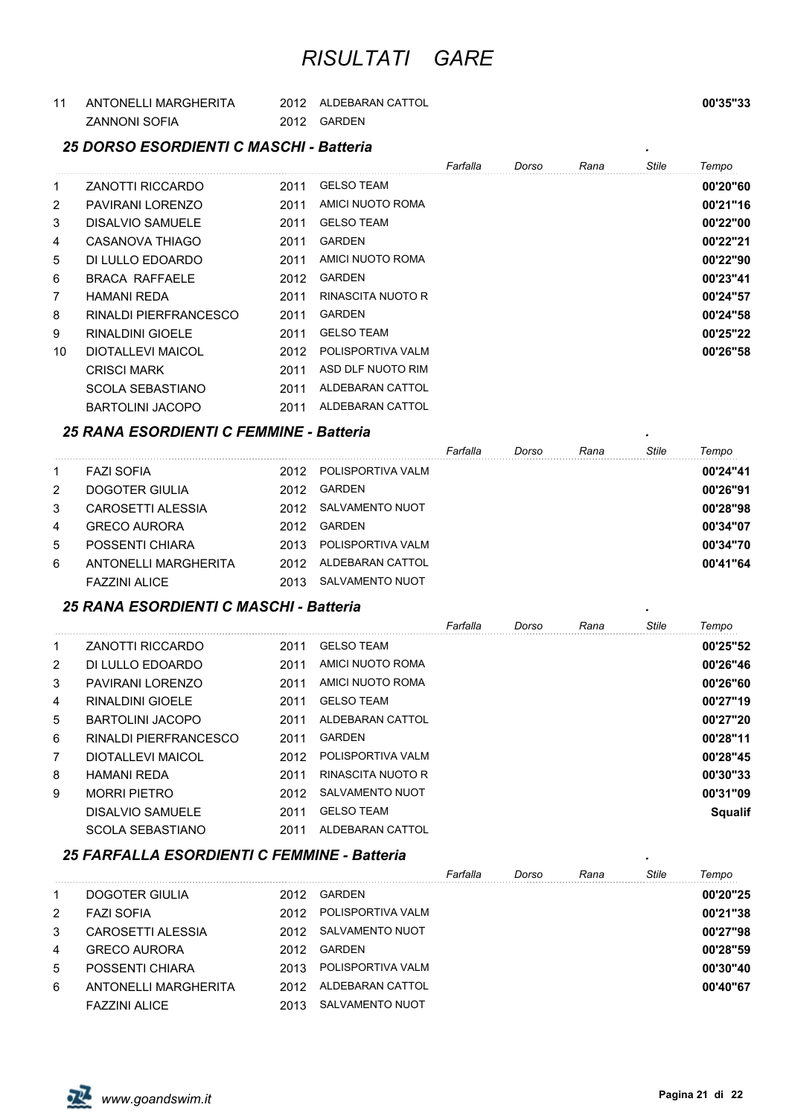| ANTONELLI MARGHERITA | 2012 | ALDEBARAN CATTOL | 00'35"33 |
|----------------------|------|------------------|----------|
| <b>ZANNONI SOFIA</b> | 2012 | <b>GARDEN</b>    |          |

#### *25 DORSO ESORDIENTI C MASCHI - Batteria .*

|                |                          |      |                   | Farfalla | Dorso | Rana | Stile | Tempo    |
|----------------|--------------------------|------|-------------------|----------|-------|------|-------|----------|
| $\mathbf{1}$   | ZANOTTI RICCARDO         | 2011 | <b>GELSO TEAM</b> |          |       |      |       | 00'20"60 |
| $\overline{2}$ | PAVIRANI LORENZO         | 2011 | AMICI NUOTO ROMA  |          |       |      |       | 00'21"16 |
| 3              | DISALVIO SAMUELE         | 2011 | <b>GELSO TEAM</b> |          |       |      |       | 00'22"00 |
| 4              | CASANOVA THIAGO          | 2011 | <b>GARDEN</b>     |          |       |      |       | 00'22"21 |
| 5              | DI LULLO EDOARDO         | 2011 | AMICI NUOTO ROMA  |          |       |      |       | 00'22"90 |
| 6              | <b>BRACA RAFFAELE</b>    | 2012 | <b>GARDEN</b>     |          |       |      |       | 00'23"41 |
| 7              | <b>HAMANI REDA</b>       | 2011 | RINASCITA NUOTO R |          |       |      |       | 00'24"57 |
| 8              | RINALDI PIERFRANCESCO    | 2011 | <b>GARDEN</b>     |          |       |      |       | 00'24"58 |
| 9              | RINALDINI GIOELE         | 2011 | <b>GELSO TEAM</b> |          |       |      |       | 00'25"22 |
| 10             | <b>DIOTALLEVI MAICOL</b> | 2012 | POLISPORTIVA VALM |          |       |      |       | 00'26"58 |
|                | <b>CRISCI MARK</b>       | 2011 | ASD DLF NUOTO RIM |          |       |      |       |          |
|                | SCOLA SEBASTIANO         | 2011 | ALDEBARAN CATTOL  |          |       |      |       |          |
|                | <b>BARTOLINI JACOPO</b>  | 2011 | ALDEBARAN CATTOL  |          |       |      |       |          |

#### *25 RANA ESORDIENTI C FEMMINE - Batteria .*

|   |                      |       |                   | Farfalla | Dorso | Rana | <b>Stile</b> | Tempo    |
|---|----------------------|-------|-------------------|----------|-------|------|--------------|----------|
| 1 | <b>FAZI SOFIA</b>    | 2012. | POLISPORTIVA VALM |          |       |      |              | 00'24"41 |
| 2 | DOGOTER GIULIA       | 2012  | GARDEN            |          |       |      |              | 00'26"91 |
| 3 | CAROSETTI ALESSIA    | 2012  | SALVAMENTO NUOT   |          |       |      |              | 00'28"98 |
| 4 | <b>GRECO AURORA</b>  | 2012  | GARDEN            |          |       |      |              | 00'34"07 |
| 5 | POSSENTI CHIARA      | 2013  | POLISPORTIVA VALM |          |       |      |              | 00'34"70 |
| 6 | ANTONELLI MARGHERITA | 2012  | ALDEBARAN CATTOL  |          |       |      |              | 00'41"64 |
|   | <b>FAZZINI ALICE</b> | 2013  | SALVAMENTO NUOT   |          |       |      |              |          |

#### *25 RANA ESORDIENTI C MASCHI - Batteria .*

|                |                         |      |                   | Farfalla | Dorso | Rana | Stile | Tempo          |
|----------------|-------------------------|------|-------------------|----------|-------|------|-------|----------------|
| 1              | <b>ZANOTTI RICCARDO</b> | 2011 | <b>GELSO TEAM</b> |          |       |      |       | 00'25"52       |
| 2              | DI LULLO EDOARDO        | 2011 | AMICI NUOTO ROMA  |          |       |      |       | 00'26"46       |
| 3              | PAVIRANI LORENZO        | 2011 | AMICI NUOTO ROMA  |          |       |      |       | 00'26"60       |
| 4              | RINAI DINI GIOFI F      | 2011 | <b>GELSO TEAM</b> |          |       |      |       | 00'27"19       |
| 5              | BARTOLINI JACOPO        | 2011 | ALDEBARAN CATTOL  |          |       |      |       | 00'27"20       |
| 6              | RINALDI PIERFRANCESCO   | 2011 | GARDEN            |          |       |      |       | 00'28"11       |
| $\overline{7}$ | DIOTALLEVI MAICOL       | 2012 | POLISPORTIVA VALM |          |       |      |       | 00'28"45       |
| 8              | <b>HAMANI REDA</b>      | 2011 | RINASCITA NUOTO R |          |       |      |       | 00'30"33       |
| 9              | <b>MORRI PIFTRO</b>     | 2012 | SALVAMENTO NUOT   |          |       |      |       | 00'31"09       |
|                | DISALVIO SAMUELE        | 2011 | <b>GELSO TEAM</b> |          |       |      |       | <b>Squalif</b> |
|                | <b>SCOLA SEBASTIANO</b> | 2011 | ALDEBARAN CATTOL  |          |       |      |       |                |

#### *25 FARFALLA ESORDIENTI C FEMMINE - Batteria .*

|   |                      |      |                   | Farfalla | Dorso | Rana | Stile | Tempo    |
|---|----------------------|------|-------------------|----------|-------|------|-------|----------|
| 1 | DOGOTER GIULIA       | 2012 | <b>GARDEN</b>     |          |       |      |       | 00'20"25 |
| 2 | <b>FAZI SOFIA</b>    | 2012 | POLISPORTIVA VALM |          |       |      |       | 00'21"38 |
| 3 | CAROSETTI AI ESSIA   | 2012 | SALVAMENTO NUOT   |          |       |      |       | 00'27"98 |
| 4 | <b>GRECO AURORA</b>  | 2012 | <b>GARDEN</b>     |          |       |      |       | 00'28"59 |
| 5 | POSSENTI CHIARA      | 2013 | POLISPORTIVA VALM |          |       |      |       | 00'30"40 |
| 6 | ANTONELLI MARGHERITA | 2012 | ALDEBARAN CATTOL  |          |       |      |       | 00'40"67 |
|   | <b>FAZZINI ALICE</b> | 2013 | SALVAMENTO NUOT   |          |       |      |       |          |